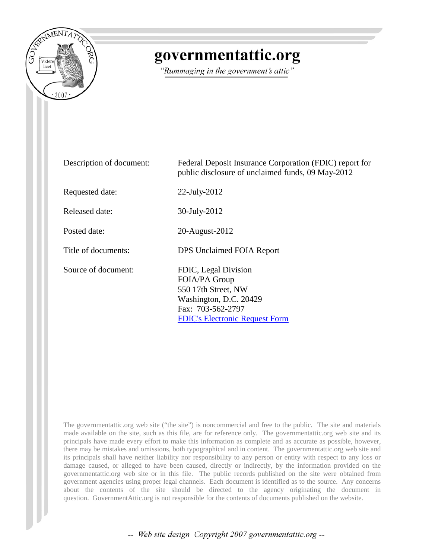

# governmentattic.org

"Rummaging in the government's attic"

| Description of document: | Federal Deposit Insurance Corporation (FDIC) report for<br>public disclosure of unclaimed funds, 09 May-2012                                         |
|--------------------------|------------------------------------------------------------------------------------------------------------------------------------------------------|
| Requested date:          | $22$ -July- $2012$                                                                                                                                   |
| Released date:           | 30-July-2012                                                                                                                                         |
| Posted date:             | 20-August-2012                                                                                                                                       |
| Title of documents:      | DPS Unclaimed FOIA Report                                                                                                                            |
| Source of document:      | FDIC, Legal Division<br>FOIA/PA Group<br>550 17th Street, NW<br>Washington, D.C. 20429<br>Fax: 703-562-2797<br><b>FDIC's Electronic Request Form</b> |

The governmentattic.org web site ("the site") is noncommercial and free to the public. The site and materials made available on the site, such as this file, are for reference only. The governmentattic.org web site and its principals have made every effort to make this information as complete and as accurate as possible, however, there may be mistakes and omissions, both typographical and in content. The governmentattic.org web site and its principals shall have neither liability nor responsibility to any person or entity with respect to any loss or damage caused, or alleged to have been caused, directly or indirectly, by the information provided on the governmentattic.org web site or in this file. The public records published on the site were obtained from government agencies using proper legal channels. Each document is identified as to the source. Any concerns about the contents of the site should be directed to the agency originating the document in question. GovernmentAttic.org is not responsible for the contents of documents published on the website.

-- Web site design Copyright 2007 governmentattic.org --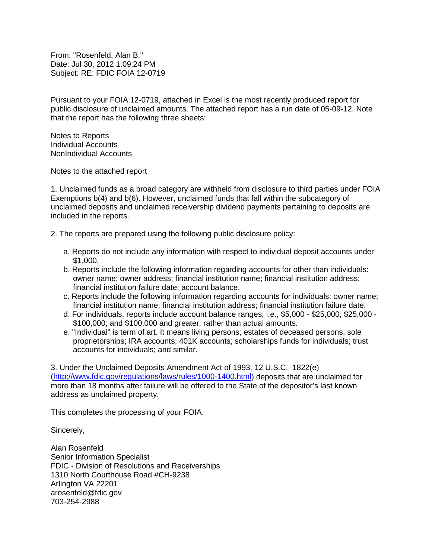From: "Rosenfeld, Alan B." Date: Jul 30, 2012 1:09:24 PM Subject: RE: FDIC FOIA 12-0719

Pursuant to your FOIA 12-0719, attached in Excel is the most recently produced report for public disclosure of unclaimed amounts. The attached report has a run date of 05-09-12. Note that the report has the following three sheets:

Notes to Reports Individual Accounts NonIndividual Accounts

Notes to the attached report

1. Unclaimed funds as a broad category are withheld from disclosure to third parties under FOIA Exemptions b(4) and b(6). However, unclaimed funds that fall within the subcategory of unclaimed deposits and unclaimed receivership dividend payments pertaining to deposits are included in the reports.

2. The reports are prepared using the following public disclosure policy:

- a. Reports do not include any information with respect to individual deposit accounts under \$1,000.
- b. Reports include the following information regarding accounts for other than individuals: owner name; owner address; financial institution name; financial institution address; financial institution failure date; account balance.
- c. Reports include the following information regarding accounts for individuals: owner name; financial institution name; financial institution address; financial institution failure date.
- d. For individuals, reports include account balance ranges; i.e., \$5,000 \$25,000; \$25,000 \$100,000; and \$100,000 and greater, rather than actual amounts.
- e. "Individual" is term of art. It means living persons; estates of deceased persons; sole proprietorships; IRA accounts; 401K accounts; scholarships funds for individuals; trust accounts for individuals; and similar.

3. Under the Unclaimed Deposits Amendment Act of 1993, 12 U.S.C. 1822(e) [\(http://www.fdic.gov/regulations/laws/rules/1000-1400.html\)](http://www.fdic.gov/regulations/laws/rules/1000-1400.html) deposits that are unclaimed for more than 18 months after failure will be offered to the State of the depositor's last known address as unclaimed property.

This completes the processing of your FOIA.

Sincerely,

Alan Rosenfeld Senior Information Specialist FDIC - Division of Resolutions and Receiverships 1310 North Courthouse Road #CH-9238 Arlington VA 22201 arosenfeld@fdic.gov 703-254-2988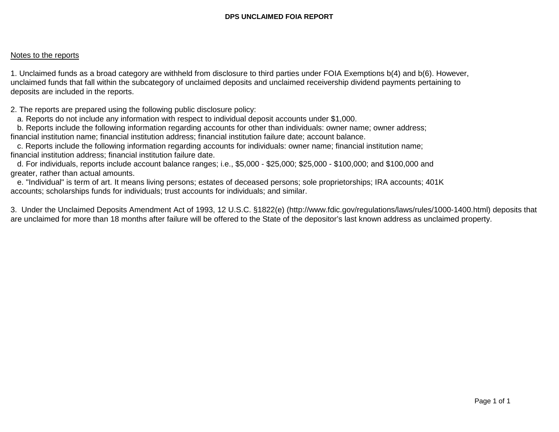# Notes to the reports

1. Unclaimed funds as a broad category are withheld from disclosure to third parties under FOIA Exemptions b(4) and b(6). However, unclaimed funds that fall within the subcategory of unclaimed deposits and unclaimed receivership dividend payments pertaining to deposits are included in the reports.

2. The reports are prepared using the following public disclosure policy:

a. Reports do not include any information with respect to individual deposit accounts under \$1,000.

 b. Reports include the following information regarding accounts for other than individuals: owner name; owner address; financial institution name; financial institution address; financial institution failure date; account balance.

 c. Reports include the following information regarding accounts for individuals: owner name; financial institution name; financial institution address; financial institution failure date.

 d. For individuals, reports include account balance ranges; i.e., \$5,000 - \$25,000; \$25,000 - \$100,000; and \$100,000 and greater, rather than actual amounts.

 e. "Individual" is term of art. It means living persons; estates of deceased persons; sole proprietorships; IRA accounts; 401K accounts; scholarships funds for individuals; trust accounts for individuals; and similar.

3. Under the Unclaimed Deposits Amendment Act of 1993, 12 U.S.C. §1822(e) (http://www.fdic.gov/regulations/laws/rules/1000-1400.html) deposits that are unclaimed for more than 18 months after failure will be offered to the State of the depositor's last known address as unclaimed property.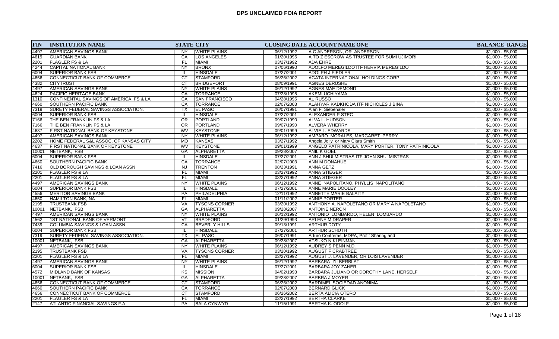| <b>FIN</b> | <b>INSTITUTION NAME</b>                 | <b>STATE CITY</b>      |                      |            | <b>CLOSING DATE ACCOUNT NAME ONE</b>              | <b>BALANCE_RANGE</b> |
|------------|-----------------------------------------|------------------------|----------------------|------------|---------------------------------------------------|----------------------|
| 4497       | IAMERICAN SAVINGS BANK                  | <b>NY</b>              | <b>WHITE PLAINS</b>  | 06/12/1992 | IA C ANDERSON, OR ANDERSON                        | $$1,000 - $5,000$    |
| 4619       | <b>GUARDIAN BANK</b>                    | CA                     | <b>LOS ANGELES</b>   | 01/20/1995 | A TO Z ESCROW AS TRUSTEE FOR SUMI UJIMORI         | $$1,000 - $5,000$    |
| 2201       | <b>FLAGLER FS &amp; LA</b>              | FL.                    | <b>MIAMI</b>         | 03/27/1992 | <b>ADA EHRE</b>                                   | $$1,000 - $5,000$    |
| 4244       | CAPITAL NATIONAL BANK                   | NY                     | <b>BRONX</b>         | 07/06/1990 | ADOLFO MEREGILDO ITF HERVIA MEREGILDO             | $$1,000 - $5,000$    |
| 6004       | <b>SUPERIOR BANK FSB</b>                | IL                     | <b>HINSDALE</b>      | 07/27/2001 | <b>ADOLPH J FIEDLER</b>                           | $$1,000 - $5,000$    |
| 4656       | <b>CONNECTICUT BANK OF COMMERCE</b>     | $\overline{\text{CT}}$ | <b>STAMFORD</b>      | 06/26/2002 | <b>AGATA INTERNATIONAL HOLDINGS CORP</b>          | $$1,000 - $5,000$    |
| 4382       | <b>CITYTRUST</b>                        | CT                     | <b>BRIDGEPORT</b>    | 08/09/1991 | <b>AGNES DERUSHE</b>                              | $$1,000 - $5,000$    |
| 4497       | <b>AMERICAN SAVINGS BANK</b>            | <b>NY</b>              | <b>WHITE PLAINS</b>  | 06/12/1992 | <b>AGNES MAE DEMOND</b>                           | $$1,000 - $5,000$    |
| 4624       | <b>PACIFIC HERITAGE BANK</b>            | CA                     | <b>TORRANCE</b>      | 07/28/1995 | <b>AKEMI UCHIYAMA</b>                             | $$1,000 - $5,000$    |
| 1310       | CONTINENTAL SAVINGS OF AMERICA, FS & LA | CA                     | <b>SAN FRANCISCO</b> | 04/28/1995 | <b>AL RUSSO</b>                                   | $$1,000 - $5,000$    |
| 4660       | <b>SOUTHERN PACIFIC BANK</b>            | CA                     | <b>TORRANCE</b>      | 02/07/2003 | ALAHYAR KADKHODA ITF NICHOLES J BINA              | $$1,000 - $5,000$    |
| 7319       | SURETY FEDERAL SAVINGS ASSOCIATION.     | ТX                     | <b>EL PASO</b>       | 06/07/1991 | Alan F. Siebenaler                                | $$1,000 - $5,000$    |
| 6004       | <b>SUPERIOR BANK FSB</b>                | IL                     | <b>HINSDALE</b>      | 07/27/2001 | ALEXANDER P STEC                                  | $$1,000 - $5,000$    |
| 7166       | THE BEN FRANKLIN FS & LA                | OR                     | PORTLAND             | 09/07/1990 | ALVA L. HUDSON                                    | $$1,000 - $5,000$    |
| 7166       | THE BEN FRANKLIN FS & LA                | $\overline{OR}$        | PORTLAND             | 09/07/1990 | <b>ALVERA WHERRY</b>                              | \$1,000 - \$5,000    |
| 4637       | FIRST NATIONAL BANK OF KEYSTONE         | <b>WV</b>              | <b>KEYSTONE</b>      | 09/01/1999 | ALVIE L. EDWARDS                                  | $$1,000 - $5,000$    |
| 4497       | <b>AMERICAN SAVINGS BANK</b>            | NY                     | <b>WHITE PLAINS</b>  | 06/12/1992 | AMPARO MORALES, MARGARET PERRY                    | $$1,000 - $5,000$    |
| 2202       | HOME FEDERAL S&L ASSOC. OF KANSAS CITY  | <b>MO</b>              | KANSAS               | 03/27/1992 | Angela Jolly or Mary Clara Smith                  | $$1,000 - $5,000$    |
| 4637       | FIRST NATIONAL BANK OF KEYSTONE         | WV                     | <b>KEYSTONE</b>      | 09/01/1999 | ANGELO PATRINICOLA, MARY PORTER, TONY PATRINICOLA | $$1,000 - $5,000$    |
| 10001      | NETBANK, FSB                            | <b>GA</b>              | ALPHARETTA           | 09/28/2007 | ANIL K GOEL                                       | $$1,000 - $5,000$    |
| 6004       | <b>SUPERIOR BANK FSB</b>                | IL                     | <b>HINSDALE</b>      | 07/27/2001 | ANN J SHULMISTRAS ITF JOHN SHULMISTRAS            | $$1,000 - $5,000$    |
| 4660       | <b>SOUTHERN PACIFIC BANK</b>            | CA                     | <b>TORRANCE</b>      | 02/07/2003 | ANN M DONAHUE                                     | $$1,000 - $5,000$    |
| 7416       | OLD BOROUGH SAVINGS & LOAN ASSN         | <b>NJ</b>              | <b>TRENTON</b>       | 08/23/1991 | ANNA GETZ                                         | $$1,000 - $5,000$    |
| 2201       | FLAGLER FS & LA                         | FL                     | <b>MIAMI</b>         | 03/27/1992 | <b>ANNA STIEGER</b>                               | $$1,000 - $5,000$    |
| 2201       | <b>FLAGLER FS &amp; LA</b>              | <b>FL</b>              | <b>MIAMI</b>         | 03/27/1992 | <b>ANNA STIEGER</b>                               | $$1,000 - $5,000$    |
| 4497       | AMERICAN SAVINGS BANK                   | <b>NY</b>              | <b>WHITE PLAINS</b>  | 06/12/1992 | ANNE NAPOLITANO, PHYLLIS NAPOLITANO               | $$1,000 - $5,000$    |
| 6004       | <b>SUPERIOR BANK FSB</b>                |                        | <b>HINSDALE</b>      | 07/27/2001 | <b>ANNE MARIE DOOLEY</b>                          | $$1,000 - $5,000$    |
| 4556       | <b>MERITOR SAVINGS BANK</b>             | <b>PA</b>              | PHILADELPHIA         | 12/11/1992 | <b>ANNETTE MARIE BALAITY</b>                      | $$1,000 - $5,000$    |
| 4650       | HAMILTON BANK, NA                       | FL                     | <b>MIAMI</b>         | 01/11/2002 | <b>ANNIE PORTER</b>                               | $$1,000 - $5,000$    |
| 2195       | <b>TRUSTBANK FSB</b>                    | VA                     | <b>TYSONS CORNER</b> | 03/20/1992 | ANTHONY A. NAPOLETANO OR MARY A NAPOLETANO        | $$1,000 - $5,000$    |
| 10001      | NETBANK, FSB                            | GA                     | ALPHARETTA           | 09/28/2007 | <b>ANTOINE NERON</b>                              | $$1,000 - $5,000$    |
| 4497       | <b>AMERICAN SAVINGS BANK</b>            | <b>NY</b>              | <b>WHITE PLAINS</b>  | 06/12/1992 | ANTONIO LOMBARDO, HELEN LOMBARDO                  | $$1,000 - $5,000$    |
| 4562       | 1ST NATIONAL BANK OF VERMONT            | <b>VT</b>              | <b>BRADFORD</b>      | 01/29/1993 | ARLENE M DRAPER                                   | $$1,000 - $5,000$    |
| 7439       | COLUMBIA SAVINGS & LOAN ASSN.           | CA                     | <b>BEVERLY HILLS</b> | 09/13/1991 | <b>ARTHUR DOTY</b>                                | $$1,000 - $5,000$    |
| 6004       | <b>SUPERIOR BANK FSB</b>                |                        | <b>HINSDALE</b>      | 07/27/2001 | ARTHUR SCHUTH                                     | $$1,000 - $5,000$    |
| 7319       | SURETY FEDERAL SAVINGS ASSOCIATION.     | ТX                     | <b>EL PASO</b>       | 06/07/1991 | Arturo Contreras, MDPA, Profit Sharing and        | $$1,000 - $5,000$    |
| 10001      | NETBANK, FSB                            | GA                     | <b>ALPHARETTA</b>    | 09/28/2007 | <b>ATSUKO N KLEINMAN</b>                          | $$1,000 - $5,000$    |
| 4497       | <b>AMERICAN SAVINGS BANK</b>            | <b>NY</b>              | <b>WHITE PLAINS</b>  | 06/12/1992 | AUDREY S PENN M.D.                                | $$1,000 - $5,000$    |
| 2195       | <b>TRUSTBANK FSB</b>                    | VA                     | <b>TYSONS CORNER</b> | 03/20/1992 | <b>AUGUST F CRABTREE</b>                          | $$1,000 - $5,000$    |
| 2201       | <b>FLAGLER FS &amp; LA</b>              | FL.                    | <b>MIAMI</b>         | 03/27/1992 | <b>AUGUST J. LAVENDER, OR LOIS LAVENDER</b>       | $$1,000 - $5,000$    |
| 4497       | <b>AMERICAN SAVINGS BANK</b>            | <b>NY</b>              | <b>WHITE PLAINS</b>  | 06/12/1992 | <b>BARBARA ZILBERBLAT</b>                         | $$1,000 - $5,000$    |
| 6004       | <b>SUPERIOR BANK FSB</b>                | IL                     | <b>HINSDALE</b>      | 07/27/2001 | <b>BARBARA JOY ZANER</b>                          | $$1,000 - $5,000$    |
| 4572       | MIDLAND BANK OF KANSAS                  | KS                     | <b>MISSION</b>       | 04/02/1993 | BARBARA JULIANO OR DOROTHY LANE, HERSELF          | $$1,000 - $5,000$    |
| 10001      | NETBANK, FSB                            | <b>GA</b>              | ALPHARETTA           | 09/28/2007 | <b>BARBRA J MOYER</b>                             | $$1,000 - $5,000$    |
| 4656       | CONNECTICUT BANK OF COMMERCE            | <b>CT</b>              | <b>STAMFORD</b>      | 06/26/2002 | <b>BARDIMEL SOCIEDAD ANONIMA</b>                  | $$1,000 - $5,000$    |
| 4660       | <b>SOUTHERN PACIFIC BANK</b>            | CA                     | <b>TORRANCE</b>      | 02/07/2003 | <b>BERNARD GLICK</b>                              | $$1,000 - $5,000$    |
| 4656       | CONNECTICUT BANK OF COMMERCE            | <b>CT</b>              | <b>STAMFORD</b>      | 06/26/2002 | <b>BERTA ALICIA OTERO</b>                         | $$1,000 - $5,000$    |
| 2201       | <b>FLAGLER FS &amp; LA</b>              | FL                     | <b>MIAMI</b>         | 03/27/1992 | <b>BERTHA CLARKE</b>                              | $$1,000 - $5,000$    |
| 2147       | ATLANTIC FINANCIAL SAVINGS F.A.         | PA                     | <b>BALA CYNWYD</b>   | 11/15/1991 | <b>BERTHA K. ODOLF</b>                            | $$1,000 - $5,000$    |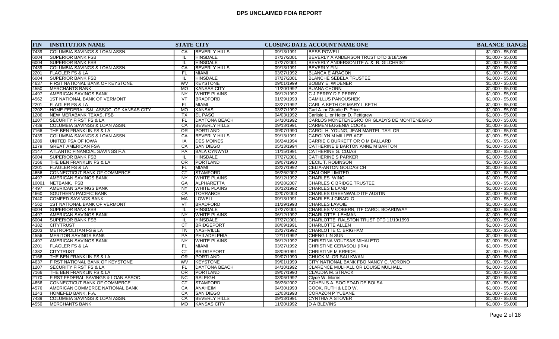| 7439<br><b>COLUMBIA SAVINGS &amp; LOAN ASSN.</b><br><b>BEVERLY HILLS</b><br><b>IBESS POWELL</b><br>$$1,000 - $5,000$<br>09/13/1991<br>CA<br><b>HINSDALE</b><br>07/27/2001<br>BEVERLY A ANDERSON TRUST DTD 3/18/1999<br>$$1,000 - $5,000$<br>6004<br><b>ISUPERIOR BANK FSB</b><br>IL<br><b>SUPERIOR BANK FSB</b><br><b>HINSDALE</b><br>07/27/2001<br>BEVERLY ANDERSON ITF A. & R. GILCHRIST<br>$$1,000 - $5,000$<br>6004<br>IL<br>$$1,000 - $5,000$<br>7439<br>COLUMBIA SAVINGS & LOAN ASSN.<br><b>BEVERLY HILLS</b><br>09/13/1991<br><b>BEVERLY FIN</b><br>CA<br><b>MIAMI</b><br>03/27/1992<br><b>BLANCA E ARAGON</b><br>$$1,000 - $5,000$<br>2201<br>FLAGLER FS & LA<br>FL<br><b>SUPERIOR BANK FSB</b><br><b>HINSDALE</b><br>$$1,000 - $5,000$<br>07/27/2001<br><b>BLANCHE SEBELA TRUSTEE</b><br>6004<br>IL.<br><b>KEYSTONE</b><br>$$1,000 - $5,000$<br>4637<br>FIRST NATIONAL BANK OF KEYSTONE<br><b>WV</b><br>09/01/1999<br><b>BOBBY E. WIDENER</b><br>4550<br><b>MERCHANTS BANK</b><br>MO<br><b>KANSAS CITY</b><br>11/20/1992<br><b>BUANA CHORN</b><br>$$1,000 - $5,000$<br><b>AMERICAN SAVINGS BANK</b><br><b>WHITE PLAINS</b><br>06/12/1992<br><b>CJPERRY DF PERRY</b><br>$$1,000 - $5,000$<br>4497<br><b>NY</b><br>01/29/1993<br>4562<br>1ST NATIONAL BANK OF VERMONT<br>VT<br>BRADFORD<br><b>CAMILLUS PANOUSHEK</b><br>$$1,000 - $5,000$<br>2201<br><b>FLAGLER FS &amp; LA</b><br>FL<br><b>MIAMI</b><br>03/27/1992<br>CARL A KETH OR MARY L KETH<br>$$1,000 - $5,000$<br>HOME FEDERAL S&L ASSOC. OF KANSAS CITY<br><b>MO</b><br><b>KANSAS</b><br>03/27/1992<br>$$1,000 - $5,000$<br>2202<br>Carl A. or Charlie P. Price<br><b>EL PASO</b><br>$$1,000 - $5,000$<br>1206<br>NEW MERABANK TEXAS, FSB<br><b>TX</b><br>04/03/1992<br>Carlisle L. or Helen D. Pettigrew<br><b>DAYTONA BEACH</b><br>$$1,000 - $5,000$<br>1207<br><b>SECURITY FIRST FS &amp; LA</b><br>FL.<br>04/10/1992<br>CARLOS MONETENEGRO OR GLADYS DE MONTENEGRO<br><b>COLUMBIA SAVINGS &amp; LOAN ASSN.</b><br>09/13/1991<br>$$1,000 - $5,000$<br>7439<br>CA<br><b>BEVERLY HILLS</b><br>ICARMEN EUGENIA COOKE<br>09/07/1990<br>7166<br>THE BEN FRANKLIN FS & LA<br><b>OR</b><br>PORTLAND<br>CAROL H. YOUNG, JEAN MARTEL TAYLOR<br>$$1,000 - $5,000$<br>7439<br>COLUMBIA SAVINGS & LOAN ASSN.<br>CA<br><b>BEVERLY HILLS</b><br>09/13/1991<br>$$1,000 - $5,000$<br>CAROLYN M MILLER ACF<br>06/24/1994<br>1289<br>UNITED FSA OF IOWA<br><b>DES MOINES</b><br>CARRIE C BURKETT OR O M BALLARD<br>$$1,000 - $5,000$<br>IA<br><b>GREAT AMERICAN FSA</b><br>05/13/1994<br>$$1,000 - $5,000$<br>1279<br>CA<br><b>SAN DIEGO</b><br>CATHERINE B BARTON ANNE M BARTON<br>2147<br><b>ATLANTIC FINANCIAL SAVINGS F.A.</b><br><b>PA</b><br><b>BALA CYNWYD</b><br>11/15/1991<br><b>CATHERINE G. CUJAS</b><br>$$1,000 - $5,000$<br>6004<br><b>SUPERIOR BANK FSB</b><br><b>HINSDALE</b><br>07/27/2001<br><b>CATHERINE S PARKER</b><br>$$1,000 - $5,000$<br>IL<br>PORTLAND<br>$$1,000 - $5,000$<br>7166<br>THE BEN FRANKLIN FS & LA<br><b>OR</b><br>09/07/1990<br><b>CECIL T. ROBINSON</b><br><b>FLAGLER FS &amp; LA</b><br><b>MIAMI</b><br>03/27/1992<br><b>CELIA-ANTON GOLDASICH</b><br>$$1,000 - $5,000$<br>2201<br>FL.<br>CT<br>STAMFORD<br>CONNECTICUT BANK OF COMMERCE<br>06/26/2002<br>$$1,000 - $5,000$<br>4656<br><b>CHALONE LIMITED</b><br><b>AMERICAN SAVINGS BANK</b><br><b>NY</b><br><b>WHITE PLAINS</b><br>06/12/1992<br><b>CHARLES WING</b><br>$$1,000 - $5,000$<br>4497<br>09/28/2007<br><b>CHARLES C BRIDGE TRUSTEE</b><br>$$1,000 - $5,000$<br>NETBANK, FSB<br>GA<br>ALPHARETTA<br>10001<br><b>AMERICAN SAVINGS BANK</b><br><b>WHITE PLAINS</b><br>06/12/1992<br><b>CHARLES E LAND</b><br>$$1,000 - $5,000$<br><b>NY</b><br>4497<br>4660<br><b>SOUTHERN PACIFIC BANK</b><br>CA<br>TORRANCE<br>02/07/2003<br>CHARLES GREENWALD ITF AUSTIN<br>$$1,000 - $5,000$<br><b>COMFED SAVINGS BANK</b><br><b>LOWELL</b><br>09/13/1991<br><b>CHARLES J GIBADLO</b><br>$$1,000 - $5,000$<br>7440<br>MA<br>4562<br>1ST NATIONAL BANK OF VERMONT<br>VT<br><b>BRADFORD</b><br>01/29/1993<br><b>CHARLES LAVOIE</b><br>$$1,000 - $5,000$<br><b>SUPERIOR BANK FSB</b><br><b>HINSDALE</b><br>07/27/2001<br>CHARLES V COBERN, ITF CAROL BOARDWAY<br>$$1,000 - $5,000$<br>6004<br>IL.<br><b>AMERICAN SAVINGS BANK</b><br><b>WHITE PLAINS</b><br>06/12/1992<br>CHARLOTTE LEHMAN<br>$$1,000 - $5,000$<br>4497<br><b>NY</b><br>6004<br><b>SUPERIOR BANK FSB</b><br><b>HINSDALE</b><br>07/27/2001<br>CHARLOTTE RALSTON TRUST DTD 11/19/1993<br>$$1,000 - $5,000$<br>IL<br>CT<br>4382<br><b>CITYTRUST</b><br><b>BRIDGEPORT</b><br>08/09/1991<br>$$1,000 - $5,000$<br><b>CHARLOTTE ALLEN</b><br>TN<br>NASHVILLE<br>$$1,000 - $5,000$<br>2203<br><b>METROPOLITAN FS &amp; LA</b><br>03/27/1992<br>CHARLOTTE C. BRIGHAM | <b>FIN</b> | <b>INSTITUTION NAME</b> | <b>STATE CITY</b> | CLOSING DATE ACCOUNT NAME ONE | <b>BALANCE_RANGE</b> |
|------------------------------------------------------------------------------------------------------------------------------------------------------------------------------------------------------------------------------------------------------------------------------------------------------------------------------------------------------------------------------------------------------------------------------------------------------------------------------------------------------------------------------------------------------------------------------------------------------------------------------------------------------------------------------------------------------------------------------------------------------------------------------------------------------------------------------------------------------------------------------------------------------------------------------------------------------------------------------------------------------------------------------------------------------------------------------------------------------------------------------------------------------------------------------------------------------------------------------------------------------------------------------------------------------------------------------------------------------------------------------------------------------------------------------------------------------------------------------------------------------------------------------------------------------------------------------------------------------------------------------------------------------------------------------------------------------------------------------------------------------------------------------------------------------------------------------------------------------------------------------------------------------------------------------------------------------------------------------------------------------------------------------------------------------------------------------------------------------------------------------------------------------------------------------------------------------------------------------------------------------------------------------------------------------------------------------------------------------------------------------------------------------------------------------------------------------------------------------------------------------------------------------------------------------------------------------------------------------------------------------------------------------------------------------------------------------------------------------------------------------------------------------------------------------------------------------------------------------------------------------------------------------------------------------------------------------------------------------------------------------------------------------------------------------------------------------------------------------------------------------------------------------------------------------------------------------------------------------------------------------------------------------------------------------------------------------------------------------------------------------------------------------------------------------------------------------------------------------------------------------------------------------------------------------------------------------------------------------------------------------------------------------------------------------------------------------------------------------------------------------------------------------------------------------------------------------------------------------------------------------------------------------------------------------------------------------------------------------------------------------------------------------------------------------------------------------------------------------------------------------------------------------------------------------------------------------------------------------------------------------------------------------------------------------------------------------------------------------------------------------------------------------------------------------------------------------------------------------------------------------------------------------------------------------------------------------------------------------------------------------------------------------------------------------------------------------------------------------------------------------------------|------------|-------------------------|-------------------|-------------------------------|----------------------|
|                                                                                                                                                                                                                                                                                                                                                                                                                                                                                                                                                                                                                                                                                                                                                                                                                                                                                                                                                                                                                                                                                                                                                                                                                                                                                                                                                                                                                                                                                                                                                                                                                                                                                                                                                                                                                                                                                                                                                                                                                                                                                                                                                                                                                                                                                                                                                                                                                                                                                                                                                                                                                                                                                                                                                                                                                                                                                                                                                                                                                                                                                                                                                                                                                                                                                                                                                                                                                                                                                                                                                                                                                                                                                                                                                                                                                                                                                                                                                                                                                                                                                                                                                                                                                                                                                                                                                                                                                                                                                                                                                                                                                                                                                                                                                                  |            |                         |                   |                               |                      |
|                                                                                                                                                                                                                                                                                                                                                                                                                                                                                                                                                                                                                                                                                                                                                                                                                                                                                                                                                                                                                                                                                                                                                                                                                                                                                                                                                                                                                                                                                                                                                                                                                                                                                                                                                                                                                                                                                                                                                                                                                                                                                                                                                                                                                                                                                                                                                                                                                                                                                                                                                                                                                                                                                                                                                                                                                                                                                                                                                                                                                                                                                                                                                                                                                                                                                                                                                                                                                                                                                                                                                                                                                                                                                                                                                                                                                                                                                                                                                                                                                                                                                                                                                                                                                                                                                                                                                                                                                                                                                                                                                                                                                                                                                                                                                                  |            |                         |                   |                               |                      |
|                                                                                                                                                                                                                                                                                                                                                                                                                                                                                                                                                                                                                                                                                                                                                                                                                                                                                                                                                                                                                                                                                                                                                                                                                                                                                                                                                                                                                                                                                                                                                                                                                                                                                                                                                                                                                                                                                                                                                                                                                                                                                                                                                                                                                                                                                                                                                                                                                                                                                                                                                                                                                                                                                                                                                                                                                                                                                                                                                                                                                                                                                                                                                                                                                                                                                                                                                                                                                                                                                                                                                                                                                                                                                                                                                                                                                                                                                                                                                                                                                                                                                                                                                                                                                                                                                                                                                                                                                                                                                                                                                                                                                                                                                                                                                                  |            |                         |                   |                               |                      |
|                                                                                                                                                                                                                                                                                                                                                                                                                                                                                                                                                                                                                                                                                                                                                                                                                                                                                                                                                                                                                                                                                                                                                                                                                                                                                                                                                                                                                                                                                                                                                                                                                                                                                                                                                                                                                                                                                                                                                                                                                                                                                                                                                                                                                                                                                                                                                                                                                                                                                                                                                                                                                                                                                                                                                                                                                                                                                                                                                                                                                                                                                                                                                                                                                                                                                                                                                                                                                                                                                                                                                                                                                                                                                                                                                                                                                                                                                                                                                                                                                                                                                                                                                                                                                                                                                                                                                                                                                                                                                                                                                                                                                                                                                                                                                                  |            |                         |                   |                               |                      |
|                                                                                                                                                                                                                                                                                                                                                                                                                                                                                                                                                                                                                                                                                                                                                                                                                                                                                                                                                                                                                                                                                                                                                                                                                                                                                                                                                                                                                                                                                                                                                                                                                                                                                                                                                                                                                                                                                                                                                                                                                                                                                                                                                                                                                                                                                                                                                                                                                                                                                                                                                                                                                                                                                                                                                                                                                                                                                                                                                                                                                                                                                                                                                                                                                                                                                                                                                                                                                                                                                                                                                                                                                                                                                                                                                                                                                                                                                                                                                                                                                                                                                                                                                                                                                                                                                                                                                                                                                                                                                                                                                                                                                                                                                                                                                                  |            |                         |                   |                               |                      |
|                                                                                                                                                                                                                                                                                                                                                                                                                                                                                                                                                                                                                                                                                                                                                                                                                                                                                                                                                                                                                                                                                                                                                                                                                                                                                                                                                                                                                                                                                                                                                                                                                                                                                                                                                                                                                                                                                                                                                                                                                                                                                                                                                                                                                                                                                                                                                                                                                                                                                                                                                                                                                                                                                                                                                                                                                                                                                                                                                                                                                                                                                                                                                                                                                                                                                                                                                                                                                                                                                                                                                                                                                                                                                                                                                                                                                                                                                                                                                                                                                                                                                                                                                                                                                                                                                                                                                                                                                                                                                                                                                                                                                                                                                                                                                                  |            |                         |                   |                               |                      |
|                                                                                                                                                                                                                                                                                                                                                                                                                                                                                                                                                                                                                                                                                                                                                                                                                                                                                                                                                                                                                                                                                                                                                                                                                                                                                                                                                                                                                                                                                                                                                                                                                                                                                                                                                                                                                                                                                                                                                                                                                                                                                                                                                                                                                                                                                                                                                                                                                                                                                                                                                                                                                                                                                                                                                                                                                                                                                                                                                                                                                                                                                                                                                                                                                                                                                                                                                                                                                                                                                                                                                                                                                                                                                                                                                                                                                                                                                                                                                                                                                                                                                                                                                                                                                                                                                                                                                                                                                                                                                                                                                                                                                                                                                                                                                                  |            |                         |                   |                               |                      |
|                                                                                                                                                                                                                                                                                                                                                                                                                                                                                                                                                                                                                                                                                                                                                                                                                                                                                                                                                                                                                                                                                                                                                                                                                                                                                                                                                                                                                                                                                                                                                                                                                                                                                                                                                                                                                                                                                                                                                                                                                                                                                                                                                                                                                                                                                                                                                                                                                                                                                                                                                                                                                                                                                                                                                                                                                                                                                                                                                                                                                                                                                                                                                                                                                                                                                                                                                                                                                                                                                                                                                                                                                                                                                                                                                                                                                                                                                                                                                                                                                                                                                                                                                                                                                                                                                                                                                                                                                                                                                                                                                                                                                                                                                                                                                                  |            |                         |                   |                               |                      |
|                                                                                                                                                                                                                                                                                                                                                                                                                                                                                                                                                                                                                                                                                                                                                                                                                                                                                                                                                                                                                                                                                                                                                                                                                                                                                                                                                                                                                                                                                                                                                                                                                                                                                                                                                                                                                                                                                                                                                                                                                                                                                                                                                                                                                                                                                                                                                                                                                                                                                                                                                                                                                                                                                                                                                                                                                                                                                                                                                                                                                                                                                                                                                                                                                                                                                                                                                                                                                                                                                                                                                                                                                                                                                                                                                                                                                                                                                                                                                                                                                                                                                                                                                                                                                                                                                                                                                                                                                                                                                                                                                                                                                                                                                                                                                                  |            |                         |                   |                               |                      |
|                                                                                                                                                                                                                                                                                                                                                                                                                                                                                                                                                                                                                                                                                                                                                                                                                                                                                                                                                                                                                                                                                                                                                                                                                                                                                                                                                                                                                                                                                                                                                                                                                                                                                                                                                                                                                                                                                                                                                                                                                                                                                                                                                                                                                                                                                                                                                                                                                                                                                                                                                                                                                                                                                                                                                                                                                                                                                                                                                                                                                                                                                                                                                                                                                                                                                                                                                                                                                                                                                                                                                                                                                                                                                                                                                                                                                                                                                                                                                                                                                                                                                                                                                                                                                                                                                                                                                                                                                                                                                                                                                                                                                                                                                                                                                                  |            |                         |                   |                               |                      |
|                                                                                                                                                                                                                                                                                                                                                                                                                                                                                                                                                                                                                                                                                                                                                                                                                                                                                                                                                                                                                                                                                                                                                                                                                                                                                                                                                                                                                                                                                                                                                                                                                                                                                                                                                                                                                                                                                                                                                                                                                                                                                                                                                                                                                                                                                                                                                                                                                                                                                                                                                                                                                                                                                                                                                                                                                                                                                                                                                                                                                                                                                                                                                                                                                                                                                                                                                                                                                                                                                                                                                                                                                                                                                                                                                                                                                                                                                                                                                                                                                                                                                                                                                                                                                                                                                                                                                                                                                                                                                                                                                                                                                                                                                                                                                                  |            |                         |                   |                               |                      |
|                                                                                                                                                                                                                                                                                                                                                                                                                                                                                                                                                                                                                                                                                                                                                                                                                                                                                                                                                                                                                                                                                                                                                                                                                                                                                                                                                                                                                                                                                                                                                                                                                                                                                                                                                                                                                                                                                                                                                                                                                                                                                                                                                                                                                                                                                                                                                                                                                                                                                                                                                                                                                                                                                                                                                                                                                                                                                                                                                                                                                                                                                                                                                                                                                                                                                                                                                                                                                                                                                                                                                                                                                                                                                                                                                                                                                                                                                                                                                                                                                                                                                                                                                                                                                                                                                                                                                                                                                                                                                                                                                                                                                                                                                                                                                                  |            |                         |                   |                               |                      |
|                                                                                                                                                                                                                                                                                                                                                                                                                                                                                                                                                                                                                                                                                                                                                                                                                                                                                                                                                                                                                                                                                                                                                                                                                                                                                                                                                                                                                                                                                                                                                                                                                                                                                                                                                                                                                                                                                                                                                                                                                                                                                                                                                                                                                                                                                                                                                                                                                                                                                                                                                                                                                                                                                                                                                                                                                                                                                                                                                                                                                                                                                                                                                                                                                                                                                                                                                                                                                                                                                                                                                                                                                                                                                                                                                                                                                                                                                                                                                                                                                                                                                                                                                                                                                                                                                                                                                                                                                                                                                                                                                                                                                                                                                                                                                                  |            |                         |                   |                               |                      |
|                                                                                                                                                                                                                                                                                                                                                                                                                                                                                                                                                                                                                                                                                                                                                                                                                                                                                                                                                                                                                                                                                                                                                                                                                                                                                                                                                                                                                                                                                                                                                                                                                                                                                                                                                                                                                                                                                                                                                                                                                                                                                                                                                                                                                                                                                                                                                                                                                                                                                                                                                                                                                                                                                                                                                                                                                                                                                                                                                                                                                                                                                                                                                                                                                                                                                                                                                                                                                                                                                                                                                                                                                                                                                                                                                                                                                                                                                                                                                                                                                                                                                                                                                                                                                                                                                                                                                                                                                                                                                                                                                                                                                                                                                                                                                                  |            |                         |                   |                               |                      |
|                                                                                                                                                                                                                                                                                                                                                                                                                                                                                                                                                                                                                                                                                                                                                                                                                                                                                                                                                                                                                                                                                                                                                                                                                                                                                                                                                                                                                                                                                                                                                                                                                                                                                                                                                                                                                                                                                                                                                                                                                                                                                                                                                                                                                                                                                                                                                                                                                                                                                                                                                                                                                                                                                                                                                                                                                                                                                                                                                                                                                                                                                                                                                                                                                                                                                                                                                                                                                                                                                                                                                                                                                                                                                                                                                                                                                                                                                                                                                                                                                                                                                                                                                                                                                                                                                                                                                                                                                                                                                                                                                                                                                                                                                                                                                                  |            |                         |                   |                               |                      |
|                                                                                                                                                                                                                                                                                                                                                                                                                                                                                                                                                                                                                                                                                                                                                                                                                                                                                                                                                                                                                                                                                                                                                                                                                                                                                                                                                                                                                                                                                                                                                                                                                                                                                                                                                                                                                                                                                                                                                                                                                                                                                                                                                                                                                                                                                                                                                                                                                                                                                                                                                                                                                                                                                                                                                                                                                                                                                                                                                                                                                                                                                                                                                                                                                                                                                                                                                                                                                                                                                                                                                                                                                                                                                                                                                                                                                                                                                                                                                                                                                                                                                                                                                                                                                                                                                                                                                                                                                                                                                                                                                                                                                                                                                                                                                                  |            |                         |                   |                               |                      |
|                                                                                                                                                                                                                                                                                                                                                                                                                                                                                                                                                                                                                                                                                                                                                                                                                                                                                                                                                                                                                                                                                                                                                                                                                                                                                                                                                                                                                                                                                                                                                                                                                                                                                                                                                                                                                                                                                                                                                                                                                                                                                                                                                                                                                                                                                                                                                                                                                                                                                                                                                                                                                                                                                                                                                                                                                                                                                                                                                                                                                                                                                                                                                                                                                                                                                                                                                                                                                                                                                                                                                                                                                                                                                                                                                                                                                                                                                                                                                                                                                                                                                                                                                                                                                                                                                                                                                                                                                                                                                                                                                                                                                                                                                                                                                                  |            |                         |                   |                               |                      |
|                                                                                                                                                                                                                                                                                                                                                                                                                                                                                                                                                                                                                                                                                                                                                                                                                                                                                                                                                                                                                                                                                                                                                                                                                                                                                                                                                                                                                                                                                                                                                                                                                                                                                                                                                                                                                                                                                                                                                                                                                                                                                                                                                                                                                                                                                                                                                                                                                                                                                                                                                                                                                                                                                                                                                                                                                                                                                                                                                                                                                                                                                                                                                                                                                                                                                                                                                                                                                                                                                                                                                                                                                                                                                                                                                                                                                                                                                                                                                                                                                                                                                                                                                                                                                                                                                                                                                                                                                                                                                                                                                                                                                                                                                                                                                                  |            |                         |                   |                               |                      |
|                                                                                                                                                                                                                                                                                                                                                                                                                                                                                                                                                                                                                                                                                                                                                                                                                                                                                                                                                                                                                                                                                                                                                                                                                                                                                                                                                                                                                                                                                                                                                                                                                                                                                                                                                                                                                                                                                                                                                                                                                                                                                                                                                                                                                                                                                                                                                                                                                                                                                                                                                                                                                                                                                                                                                                                                                                                                                                                                                                                                                                                                                                                                                                                                                                                                                                                                                                                                                                                                                                                                                                                                                                                                                                                                                                                                                                                                                                                                                                                                                                                                                                                                                                                                                                                                                                                                                                                                                                                                                                                                                                                                                                                                                                                                                                  |            |                         |                   |                               |                      |
|                                                                                                                                                                                                                                                                                                                                                                                                                                                                                                                                                                                                                                                                                                                                                                                                                                                                                                                                                                                                                                                                                                                                                                                                                                                                                                                                                                                                                                                                                                                                                                                                                                                                                                                                                                                                                                                                                                                                                                                                                                                                                                                                                                                                                                                                                                                                                                                                                                                                                                                                                                                                                                                                                                                                                                                                                                                                                                                                                                                                                                                                                                                                                                                                                                                                                                                                                                                                                                                                                                                                                                                                                                                                                                                                                                                                                                                                                                                                                                                                                                                                                                                                                                                                                                                                                                                                                                                                                                                                                                                                                                                                                                                                                                                                                                  |            |                         |                   |                               |                      |
|                                                                                                                                                                                                                                                                                                                                                                                                                                                                                                                                                                                                                                                                                                                                                                                                                                                                                                                                                                                                                                                                                                                                                                                                                                                                                                                                                                                                                                                                                                                                                                                                                                                                                                                                                                                                                                                                                                                                                                                                                                                                                                                                                                                                                                                                                                                                                                                                                                                                                                                                                                                                                                                                                                                                                                                                                                                                                                                                                                                                                                                                                                                                                                                                                                                                                                                                                                                                                                                                                                                                                                                                                                                                                                                                                                                                                                                                                                                                                                                                                                                                                                                                                                                                                                                                                                                                                                                                                                                                                                                                                                                                                                                                                                                                                                  |            |                         |                   |                               |                      |
|                                                                                                                                                                                                                                                                                                                                                                                                                                                                                                                                                                                                                                                                                                                                                                                                                                                                                                                                                                                                                                                                                                                                                                                                                                                                                                                                                                                                                                                                                                                                                                                                                                                                                                                                                                                                                                                                                                                                                                                                                                                                                                                                                                                                                                                                                                                                                                                                                                                                                                                                                                                                                                                                                                                                                                                                                                                                                                                                                                                                                                                                                                                                                                                                                                                                                                                                                                                                                                                                                                                                                                                                                                                                                                                                                                                                                                                                                                                                                                                                                                                                                                                                                                                                                                                                                                                                                                                                                                                                                                                                                                                                                                                                                                                                                                  |            |                         |                   |                               |                      |
|                                                                                                                                                                                                                                                                                                                                                                                                                                                                                                                                                                                                                                                                                                                                                                                                                                                                                                                                                                                                                                                                                                                                                                                                                                                                                                                                                                                                                                                                                                                                                                                                                                                                                                                                                                                                                                                                                                                                                                                                                                                                                                                                                                                                                                                                                                                                                                                                                                                                                                                                                                                                                                                                                                                                                                                                                                                                                                                                                                                                                                                                                                                                                                                                                                                                                                                                                                                                                                                                                                                                                                                                                                                                                                                                                                                                                                                                                                                                                                                                                                                                                                                                                                                                                                                                                                                                                                                                                                                                                                                                                                                                                                                                                                                                                                  |            |                         |                   |                               |                      |
|                                                                                                                                                                                                                                                                                                                                                                                                                                                                                                                                                                                                                                                                                                                                                                                                                                                                                                                                                                                                                                                                                                                                                                                                                                                                                                                                                                                                                                                                                                                                                                                                                                                                                                                                                                                                                                                                                                                                                                                                                                                                                                                                                                                                                                                                                                                                                                                                                                                                                                                                                                                                                                                                                                                                                                                                                                                                                                                                                                                                                                                                                                                                                                                                                                                                                                                                                                                                                                                                                                                                                                                                                                                                                                                                                                                                                                                                                                                                                                                                                                                                                                                                                                                                                                                                                                                                                                                                                                                                                                                                                                                                                                                                                                                                                                  |            |                         |                   |                               |                      |
|                                                                                                                                                                                                                                                                                                                                                                                                                                                                                                                                                                                                                                                                                                                                                                                                                                                                                                                                                                                                                                                                                                                                                                                                                                                                                                                                                                                                                                                                                                                                                                                                                                                                                                                                                                                                                                                                                                                                                                                                                                                                                                                                                                                                                                                                                                                                                                                                                                                                                                                                                                                                                                                                                                                                                                                                                                                                                                                                                                                                                                                                                                                                                                                                                                                                                                                                                                                                                                                                                                                                                                                                                                                                                                                                                                                                                                                                                                                                                                                                                                                                                                                                                                                                                                                                                                                                                                                                                                                                                                                                                                                                                                                                                                                                                                  |            |                         |                   |                               |                      |
|                                                                                                                                                                                                                                                                                                                                                                                                                                                                                                                                                                                                                                                                                                                                                                                                                                                                                                                                                                                                                                                                                                                                                                                                                                                                                                                                                                                                                                                                                                                                                                                                                                                                                                                                                                                                                                                                                                                                                                                                                                                                                                                                                                                                                                                                                                                                                                                                                                                                                                                                                                                                                                                                                                                                                                                                                                                                                                                                                                                                                                                                                                                                                                                                                                                                                                                                                                                                                                                                                                                                                                                                                                                                                                                                                                                                                                                                                                                                                                                                                                                                                                                                                                                                                                                                                                                                                                                                                                                                                                                                                                                                                                                                                                                                                                  |            |                         |                   |                               |                      |
|                                                                                                                                                                                                                                                                                                                                                                                                                                                                                                                                                                                                                                                                                                                                                                                                                                                                                                                                                                                                                                                                                                                                                                                                                                                                                                                                                                                                                                                                                                                                                                                                                                                                                                                                                                                                                                                                                                                                                                                                                                                                                                                                                                                                                                                                                                                                                                                                                                                                                                                                                                                                                                                                                                                                                                                                                                                                                                                                                                                                                                                                                                                                                                                                                                                                                                                                                                                                                                                                                                                                                                                                                                                                                                                                                                                                                                                                                                                                                                                                                                                                                                                                                                                                                                                                                                                                                                                                                                                                                                                                                                                                                                                                                                                                                                  |            |                         |                   |                               |                      |
|                                                                                                                                                                                                                                                                                                                                                                                                                                                                                                                                                                                                                                                                                                                                                                                                                                                                                                                                                                                                                                                                                                                                                                                                                                                                                                                                                                                                                                                                                                                                                                                                                                                                                                                                                                                                                                                                                                                                                                                                                                                                                                                                                                                                                                                                                                                                                                                                                                                                                                                                                                                                                                                                                                                                                                                                                                                                                                                                                                                                                                                                                                                                                                                                                                                                                                                                                                                                                                                                                                                                                                                                                                                                                                                                                                                                                                                                                                                                                                                                                                                                                                                                                                                                                                                                                                                                                                                                                                                                                                                                                                                                                                                                                                                                                                  |            |                         |                   |                               |                      |
|                                                                                                                                                                                                                                                                                                                                                                                                                                                                                                                                                                                                                                                                                                                                                                                                                                                                                                                                                                                                                                                                                                                                                                                                                                                                                                                                                                                                                                                                                                                                                                                                                                                                                                                                                                                                                                                                                                                                                                                                                                                                                                                                                                                                                                                                                                                                                                                                                                                                                                                                                                                                                                                                                                                                                                                                                                                                                                                                                                                                                                                                                                                                                                                                                                                                                                                                                                                                                                                                                                                                                                                                                                                                                                                                                                                                                                                                                                                                                                                                                                                                                                                                                                                                                                                                                                                                                                                                                                                                                                                                                                                                                                                                                                                                                                  |            |                         |                   |                               |                      |
|                                                                                                                                                                                                                                                                                                                                                                                                                                                                                                                                                                                                                                                                                                                                                                                                                                                                                                                                                                                                                                                                                                                                                                                                                                                                                                                                                                                                                                                                                                                                                                                                                                                                                                                                                                                                                                                                                                                                                                                                                                                                                                                                                                                                                                                                                                                                                                                                                                                                                                                                                                                                                                                                                                                                                                                                                                                                                                                                                                                                                                                                                                                                                                                                                                                                                                                                                                                                                                                                                                                                                                                                                                                                                                                                                                                                                                                                                                                                                                                                                                                                                                                                                                                                                                                                                                                                                                                                                                                                                                                                                                                                                                                                                                                                                                  |            |                         |                   |                               |                      |
|                                                                                                                                                                                                                                                                                                                                                                                                                                                                                                                                                                                                                                                                                                                                                                                                                                                                                                                                                                                                                                                                                                                                                                                                                                                                                                                                                                                                                                                                                                                                                                                                                                                                                                                                                                                                                                                                                                                                                                                                                                                                                                                                                                                                                                                                                                                                                                                                                                                                                                                                                                                                                                                                                                                                                                                                                                                                                                                                                                                                                                                                                                                                                                                                                                                                                                                                                                                                                                                                                                                                                                                                                                                                                                                                                                                                                                                                                                                                                                                                                                                                                                                                                                                                                                                                                                                                                                                                                                                                                                                                                                                                                                                                                                                                                                  |            |                         |                   |                               |                      |
|                                                                                                                                                                                                                                                                                                                                                                                                                                                                                                                                                                                                                                                                                                                                                                                                                                                                                                                                                                                                                                                                                                                                                                                                                                                                                                                                                                                                                                                                                                                                                                                                                                                                                                                                                                                                                                                                                                                                                                                                                                                                                                                                                                                                                                                                                                                                                                                                                                                                                                                                                                                                                                                                                                                                                                                                                                                                                                                                                                                                                                                                                                                                                                                                                                                                                                                                                                                                                                                                                                                                                                                                                                                                                                                                                                                                                                                                                                                                                                                                                                                                                                                                                                                                                                                                                                                                                                                                                                                                                                                                                                                                                                                                                                                                                                  |            |                         |                   |                               |                      |
|                                                                                                                                                                                                                                                                                                                                                                                                                                                                                                                                                                                                                                                                                                                                                                                                                                                                                                                                                                                                                                                                                                                                                                                                                                                                                                                                                                                                                                                                                                                                                                                                                                                                                                                                                                                                                                                                                                                                                                                                                                                                                                                                                                                                                                                                                                                                                                                                                                                                                                                                                                                                                                                                                                                                                                                                                                                                                                                                                                                                                                                                                                                                                                                                                                                                                                                                                                                                                                                                                                                                                                                                                                                                                                                                                                                                                                                                                                                                                                                                                                                                                                                                                                                                                                                                                                                                                                                                                                                                                                                                                                                                                                                                                                                                                                  |            |                         |                   |                               |                      |
|                                                                                                                                                                                                                                                                                                                                                                                                                                                                                                                                                                                                                                                                                                                                                                                                                                                                                                                                                                                                                                                                                                                                                                                                                                                                                                                                                                                                                                                                                                                                                                                                                                                                                                                                                                                                                                                                                                                                                                                                                                                                                                                                                                                                                                                                                                                                                                                                                                                                                                                                                                                                                                                                                                                                                                                                                                                                                                                                                                                                                                                                                                                                                                                                                                                                                                                                                                                                                                                                                                                                                                                                                                                                                                                                                                                                                                                                                                                                                                                                                                                                                                                                                                                                                                                                                                                                                                                                                                                                                                                                                                                                                                                                                                                                                                  |            |                         |                   |                               |                      |
|                                                                                                                                                                                                                                                                                                                                                                                                                                                                                                                                                                                                                                                                                                                                                                                                                                                                                                                                                                                                                                                                                                                                                                                                                                                                                                                                                                                                                                                                                                                                                                                                                                                                                                                                                                                                                                                                                                                                                                                                                                                                                                                                                                                                                                                                                                                                                                                                                                                                                                                                                                                                                                                                                                                                                                                                                                                                                                                                                                                                                                                                                                                                                                                                                                                                                                                                                                                                                                                                                                                                                                                                                                                                                                                                                                                                                                                                                                                                                                                                                                                                                                                                                                                                                                                                                                                                                                                                                                                                                                                                                                                                                                                                                                                                                                  |            |                         |                   |                               |                      |
| 4556<br>PA<br>PHILADELPHIA<br>12/11/1992<br>$$1,000 - $5,000$<br><b>MERITOR SAVINGS BANK</b><br><b>CHENG LIN SUN</b>                                                                                                                                                                                                                                                                                                                                                                                                                                                                                                                                                                                                                                                                                                                                                                                                                                                                                                                                                                                                                                                                                                                                                                                                                                                                                                                                                                                                                                                                                                                                                                                                                                                                                                                                                                                                                                                                                                                                                                                                                                                                                                                                                                                                                                                                                                                                                                                                                                                                                                                                                                                                                                                                                                                                                                                                                                                                                                                                                                                                                                                                                                                                                                                                                                                                                                                                                                                                                                                                                                                                                                                                                                                                                                                                                                                                                                                                                                                                                                                                                                                                                                                                                                                                                                                                                                                                                                                                                                                                                                                                                                                                                                             |            |                         |                   |                               |                      |
| 4497<br>NY<br><b>WHITE PLAINS</b><br>06/12/1992<br>CHRISTINA VOUTSAS MIHALETO<br>$$1,000 - $5,000$<br>AMERICAN SAVINGS BANK                                                                                                                                                                                                                                                                                                                                                                                                                                                                                                                                                                                                                                                                                                                                                                                                                                                                                                                                                                                                                                                                                                                                                                                                                                                                                                                                                                                                                                                                                                                                                                                                                                                                                                                                                                                                                                                                                                                                                                                                                                                                                                                                                                                                                                                                                                                                                                                                                                                                                                                                                                                                                                                                                                                                                                                                                                                                                                                                                                                                                                                                                                                                                                                                                                                                                                                                                                                                                                                                                                                                                                                                                                                                                                                                                                                                                                                                                                                                                                                                                                                                                                                                                                                                                                                                                                                                                                                                                                                                                                                                                                                                                                      |            |                         |                   |                               |                      |
| <b>FLAGLER FS &amp; LA</b><br>03/27/1992<br>$$1,000 - $5,000$<br>2201<br>FL.<br><b>MIAMI</b><br>CHRISTINE CERASOLI (IRA)                                                                                                                                                                                                                                                                                                                                                                                                                                                                                                                                                                                                                                                                                                                                                                                                                                                                                                                                                                                                                                                                                                                                                                                                                                                                                                                                                                                                                                                                                                                                                                                                                                                                                                                                                                                                                                                                                                                                                                                                                                                                                                                                                                                                                                                                                                                                                                                                                                                                                                                                                                                                                                                                                                                                                                                                                                                                                                                                                                                                                                                                                                                                                                                                                                                                                                                                                                                                                                                                                                                                                                                                                                                                                                                                                                                                                                                                                                                                                                                                                                                                                                                                                                                                                                                                                                                                                                                                                                                                                                                                                                                                                                         |            |                         |                   |                               |                      |
| 4382<br>CT<br><b>BRIDGEPORT</b><br>08/09/1991<br><b>CHRISTINE M KREIDEL</b><br><b>CITYTRUST</b><br>$$1,000 - $5,000$                                                                                                                                                                                                                                                                                                                                                                                                                                                                                                                                                                                                                                                                                                                                                                                                                                                                                                                                                                                                                                                                                                                                                                                                                                                                                                                                                                                                                                                                                                                                                                                                                                                                                                                                                                                                                                                                                                                                                                                                                                                                                                                                                                                                                                                                                                                                                                                                                                                                                                                                                                                                                                                                                                                                                                                                                                                                                                                                                                                                                                                                                                                                                                                                                                                                                                                                                                                                                                                                                                                                                                                                                                                                                                                                                                                                                                                                                                                                                                                                                                                                                                                                                                                                                                                                                                                                                                                                                                                                                                                                                                                                                                             |            |                         |                   |                               |                      |
| 7166<br>THE BEN FRANKLIN FS & LA<br>OR.<br><b>PORTLAND</b><br>09/07/1990<br>CHUCK M. OR SAU KWAN<br>$$1,000 - $5,000$                                                                                                                                                                                                                                                                                                                                                                                                                                                                                                                                                                                                                                                                                                                                                                                                                                                                                                                                                                                                                                                                                                                                                                                                                                                                                                                                                                                                                                                                                                                                                                                                                                                                                                                                                                                                                                                                                                                                                                                                                                                                                                                                                                                                                                                                                                                                                                                                                                                                                                                                                                                                                                                                                                                                                                                                                                                                                                                                                                                                                                                                                                                                                                                                                                                                                                                                                                                                                                                                                                                                                                                                                                                                                                                                                                                                                                                                                                                                                                                                                                                                                                                                                                                                                                                                                                                                                                                                                                                                                                                                                                                                                                            |            |                         |                   |                               |                      |
| <b>KEYSTONE</b><br>$$1,000 - $5,000$<br>4637<br>FIRST NATIONAL BANK OF KEYSTONE<br><b>WV</b><br>09/01/1999<br>CITY NATIONAL BANK FBO NANCY C. VORONO                                                                                                                                                                                                                                                                                                                                                                                                                                                                                                                                                                                                                                                                                                                                                                                                                                                                                                                                                                                                                                                                                                                                                                                                                                                                                                                                                                                                                                                                                                                                                                                                                                                                                                                                                                                                                                                                                                                                                                                                                                                                                                                                                                                                                                                                                                                                                                                                                                                                                                                                                                                                                                                                                                                                                                                                                                                                                                                                                                                                                                                                                                                                                                                                                                                                                                                                                                                                                                                                                                                                                                                                                                                                                                                                                                                                                                                                                                                                                                                                                                                                                                                                                                                                                                                                                                                                                                                                                                                                                                                                                                                                             |            |                         |                   |                               |                      |
| $$1,000 - $5,000$<br>1207<br><b>SECURITY FIRST FS &amp; LA</b><br>DAYTONA BEACH<br>04/10/1992<br>CLARENCE MULHALL OR LOUISE MULHALL<br>FL.                                                                                                                                                                                                                                                                                                                                                                                                                                                                                                                                                                                                                                                                                                                                                                                                                                                                                                                                                                                                                                                                                                                                                                                                                                                                                                                                                                                                                                                                                                                                                                                                                                                                                                                                                                                                                                                                                                                                                                                                                                                                                                                                                                                                                                                                                                                                                                                                                                                                                                                                                                                                                                                                                                                                                                                                                                                                                                                                                                                                                                                                                                                                                                                                                                                                                                                                                                                                                                                                                                                                                                                                                                                                                                                                                                                                                                                                                                                                                                                                                                                                                                                                                                                                                                                                                                                                                                                                                                                                                                                                                                                                                       |            |                         |                   |                               |                      |
| THE BEN FRANKLIN FS & LA<br><b>OR</b><br>PORTLAND<br>09/07/1990<br><b>CLAUDIA M. STRACK</b><br>$$1,000 - $5,000$<br>7166                                                                                                                                                                                                                                                                                                                                                                                                                                                                                                                                                                                                                                                                                                                                                                                                                                                                                                                                                                                                                                                                                                                                                                                                                                                                                                                                                                                                                                                                                                                                                                                                                                                                                                                                                                                                                                                                                                                                                                                                                                                                                                                                                                                                                                                                                                                                                                                                                                                                                                                                                                                                                                                                                                                                                                                                                                                                                                                                                                                                                                                                                                                                                                                                                                                                                                                                                                                                                                                                                                                                                                                                                                                                                                                                                                                                                                                                                                                                                                                                                                                                                                                                                                                                                                                                                                                                                                                                                                                                                                                                                                                                                                         |            |                         |                   |                               |                      |
| FIRST FEDERAL SAVINGS & LOAN ASSOC.<br>$\overline{\text{NC}}$<br>RALEIGH<br>03/06/1992<br>Clyde W. Morris<br>$$1,000 - $5,000$<br>2170                                                                                                                                                                                                                                                                                                                                                                                                                                                                                                                                                                                                                                                                                                                                                                                                                                                                                                                                                                                                                                                                                                                                                                                                                                                                                                                                                                                                                                                                                                                                                                                                                                                                                                                                                                                                                                                                                                                                                                                                                                                                                                                                                                                                                                                                                                                                                                                                                                                                                                                                                                                                                                                                                                                                                                                                                                                                                                                                                                                                                                                                                                                                                                                                                                                                                                                                                                                                                                                                                                                                                                                                                                                                                                                                                                                                                                                                                                                                                                                                                                                                                                                                                                                                                                                                                                                                                                                                                                                                                                                                                                                                                           |            |                         |                   |                               |                      |
| CT<br>06/26/2002<br>$$1,000 - $5,000$<br>4656<br>CONNECTICUT BANK OF COMMERCE<br><b>STAMFORD</b><br>COHEN S.A. SOCIEDAD DE BOLSA                                                                                                                                                                                                                                                                                                                                                                                                                                                                                                                                                                                                                                                                                                                                                                                                                                                                                                                                                                                                                                                                                                                                                                                                                                                                                                                                                                                                                                                                                                                                                                                                                                                                                                                                                                                                                                                                                                                                                                                                                                                                                                                                                                                                                                                                                                                                                                                                                                                                                                                                                                                                                                                                                                                                                                                                                                                                                                                                                                                                                                                                                                                                                                                                                                                                                                                                                                                                                                                                                                                                                                                                                                                                                                                                                                                                                                                                                                                                                                                                                                                                                                                                                                                                                                                                                                                                                                                                                                                                                                                                                                                                                                 |            |                         |                   |                               |                      |
| AMERICAN COMMERCE NATIONAL BANK<br>CA<br>ANAHEIM<br>04/30/1993<br>COOK, RUTH & LEO W.<br>$$1,000 - $5,000$<br>4576                                                                                                                                                                                                                                                                                                                                                                                                                                                                                                                                                                                                                                                                                                                                                                                                                                                                                                                                                                                                                                                                                                                                                                                                                                                                                                                                                                                                                                                                                                                                                                                                                                                                                                                                                                                                                                                                                                                                                                                                                                                                                                                                                                                                                                                                                                                                                                                                                                                                                                                                                                                                                                                                                                                                                                                                                                                                                                                                                                                                                                                                                                                                                                                                                                                                                                                                                                                                                                                                                                                                                                                                                                                                                                                                                                                                                                                                                                                                                                                                                                                                                                                                                                                                                                                                                                                                                                                                                                                                                                                                                                                                                                               |            |                         |                   |                               |                      |
| <b>SAN DIEGO</b><br>12/03/1993<br><b>CORAZON P YUBANE</b><br>$$1,000 - $5,000$<br>1243<br>HOMEFED BANK, F.A.<br>CA                                                                                                                                                                                                                                                                                                                                                                                                                                                                                                                                                                                                                                                                                                                                                                                                                                                                                                                                                                                                                                                                                                                                                                                                                                                                                                                                                                                                                                                                                                                                                                                                                                                                                                                                                                                                                                                                                                                                                                                                                                                                                                                                                                                                                                                                                                                                                                                                                                                                                                                                                                                                                                                                                                                                                                                                                                                                                                                                                                                                                                                                                                                                                                                                                                                                                                                                                                                                                                                                                                                                                                                                                                                                                                                                                                                                                                                                                                                                                                                                                                                                                                                                                                                                                                                                                                                                                                                                                                                                                                                                                                                                                                               |            |                         |                   |                               |                      |
| <b>COLUMBIA SAVINGS &amp; LOAN ASSN.</b><br>09/13/1991<br><b>CYNTHIA A STOVER</b><br>7439<br>CA<br><b>BEVERLY HILLS</b><br>$$1,000 - $5,000$                                                                                                                                                                                                                                                                                                                                                                                                                                                                                                                                                                                                                                                                                                                                                                                                                                                                                                                                                                                                                                                                                                                                                                                                                                                                                                                                                                                                                                                                                                                                                                                                                                                                                                                                                                                                                                                                                                                                                                                                                                                                                                                                                                                                                                                                                                                                                                                                                                                                                                                                                                                                                                                                                                                                                                                                                                                                                                                                                                                                                                                                                                                                                                                                                                                                                                                                                                                                                                                                                                                                                                                                                                                                                                                                                                                                                                                                                                                                                                                                                                                                                                                                                                                                                                                                                                                                                                                                                                                                                                                                                                                                                     |            |                         |                   |                               |                      |
| 4550<br><b>MERCHANTS BANK</b><br><b>MO</b><br><b>KANSAS CITY</b><br>11/20/1992<br><b>D A BLEVINS</b><br>$$1,000 - $5,000$                                                                                                                                                                                                                                                                                                                                                                                                                                                                                                                                                                                                                                                                                                                                                                                                                                                                                                                                                                                                                                                                                                                                                                                                                                                                                                                                                                                                                                                                                                                                                                                                                                                                                                                                                                                                                                                                                                                                                                                                                                                                                                                                                                                                                                                                                                                                                                                                                                                                                                                                                                                                                                                                                                                                                                                                                                                                                                                                                                                                                                                                                                                                                                                                                                                                                                                                                                                                                                                                                                                                                                                                                                                                                                                                                                                                                                                                                                                                                                                                                                                                                                                                                                                                                                                                                                                                                                                                                                                                                                                                                                                                                                        |            |                         |                   |                               |                      |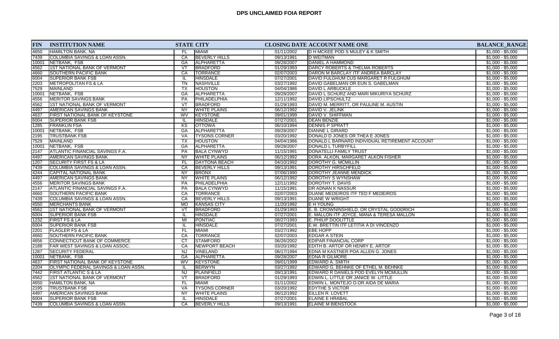| <b>FIN</b> | <b>INSTITUTION NAME</b>                  |                 | <b>STATE CITY</b>    |            | CLOSING DATE ACCOUNT NAME ONE                  | <b>BALANCE_RANGE</b> |
|------------|------------------------------------------|-----------------|----------------------|------------|------------------------------------------------|----------------------|
| 4650       | <b>HAMILTON BANK, NA</b>                 | FL.             | <b>MIAMI</b>         | 01/11/2002 | <b>ID H MCKEE POD S MULEY &amp; K SMITH</b>    | $$1,000 - $5,000$    |
| 7439       | <b>COLUMBIA SAVINGS &amp; LOAN ASSN.</b> | CA              | <b>BEVERLY HILLS</b> | 09/13/1991 | <b>D WEITMAN</b>                               | $$1,000 - $5,000$    |
| 10001      | NETBANK, FSB                             | GA              | <b>ALPHARETTA</b>    | 09/28/2007 | DANIEL A HAMMOND                               | $$1,000 - $5,000$    |
| 4562       | <b>1ST NATIONAL BANK OF VERMONT</b>      | VT              | <b>BRADFORD</b>      | 01/29/1993 | DARCY ROBERTS & THELMA ROBERTS                 | $$1,000 - $5,000$    |
| 4660       | SOUTHERN PACIFIC BANK                    | CA              | <b>TORRANCE</b>      | 02/07/2003 | DARON M BARCLAY ITF ANDREA BARCLAY             | $$1,000 - $5,000$    |
| 6004       | <b>SUPERIOR BANK FSB</b>                 | IL.             | HINSDALE             | 07/27/2001 | DAVID FULGHUM CUS MARGARET R FULGHUM           | $$1,000 - $5,000$    |
| 2203       | <b>METROPOLITAN FS &amp; LA</b>          | TN              | NASHVILLE            | 03/27/1992 | DAVID GABELMAN OR EUN S. GABELMAN              | $$1,000 - $5,000$    |
| 7529       | <b>MAINLAND</b>                          | TX              | <b>HOUSTON</b>       | 04/04/1986 | DAVID L ARBUCKLE                               | $$1,000 - $5,000$    |
| 10001      | NETBANK, FSB                             | GA              | ALPHARETTA           | 09/28/2007 | DAVID L SCHURZ AND MARI MIKURIYA SCHURZ        | $$1,000 - $5,000$    |
| 4556       | <b>MERITOR SAVINGS BANK</b>              | PA              | PHILADELPHIA         | 12/11/1992 | <b>DAVID LIPSCHULTZ</b>                        | $$1,000 - $5,000$    |
| 4562       | <b>1ST NATIONAL BANK OF VERMONT</b>      | VT              | <b>BRADFORD</b>      | 01/29/1993 | DAVID M. MERRITT, OR PAULINE M. AUSTIN         | $$1,000 - $5,000$    |
| 4497       | AMERICAN SAVINGS BANK                    | NY.             | <b>WHITE PLAINS</b>  | 06/12/1992 | DAVID V. JELINK                                | $$1,000 - $5,000$    |
| 4637       | FIRST NATIONAL BANK OF KEYSTONE          | WV              | <b>KEYSTONE</b>      | 09/01/1999 | DAVID V. SHIFFMAN                              | $$1,000 - $5,000$    |
| 6004       | <b>SUPERIOR BANK FSB</b>                 | IL.             | <b>HINSDALE</b>      | 07/27/2001 | <b>DEAN BENZIE</b>                             | $$1,000 - $5,000$    |
| 1285       | <b>FRANKLIN FSA</b>                      | KS              | <b>OTTOWA</b>        | 06/10/1994 | <b>DENNIS P SPRATT</b>                         | $$1,000 - $5,000$    |
| 10001      | NETBANK, FSB                             | GA              | <b>ALPHARETTA</b>    | 09/28/2007 | <b>DIANNE L GIRARD</b>                         | $$1,000 - $5,000$    |
| 2195       | <b>TRUSTBANK FSB</b>                     | <b>VA</b>       | <b>TYSONS CORNER</b> | 03/20/1992 | DONALD D JONES OR THEA E JONES                 | $$1,000 - $5,000$    |
| 7529       | <b>MAINLAND</b>                          | $\overline{TX}$ | <b>HOUSTON</b>       | 04/04/1986 | DONALD L BARNARD INDIVIDUAL RETIREMENT ACCOUNT | $$1,000 - $5,000$    |
| 10001      | NETBANK, FSB                             | GA              | ALPHARETTA           | 09/28/2007 | DONALD L TURBYFILL                             | $$1,000 - $5,000$    |
| 2147       | <b>ATLANTIC FINANCIAL SAVINGS F.A.</b>   | <b>PA</b>       | <b>BALA CYNWYD</b>   | 11/15/1991 | DONATELLI FAMILY TRUST                         | $$1,000 - $5,000$    |
| 4497       | AMERICAN SAVINGS BANK                    | <b>NY</b>       | <b>WHITE PLAINS</b>  | 06/12/1992 | DORA ALKON, MARGARET ALKON FISHER              | $$1,000 - $5,000$    |
| 1207       | <b>SECURITY FIRST FS &amp; LA</b>        | FL.             | DAYTONA BEACH        | 04/10/1992 | DOROTHY G. MCMILLIN                            | $$1,000 - $5,000$    |
| 7439       | COLUMBIA SAVINGS & LOAN ASSN.            | CA              | <b>BEVERLY HILLS</b> | 09/13/1991 | <b>DOROTHY HIRSCHFELD</b>                      | $$1,000 - $5,000$    |
| 4244       | CAPITAL NATIONAL BANK                    | <b>NY</b>       | <b>BRONX</b>         | 07/06/1990 | DOROTHY JEANNE MENDICK                         | $$1,000 - $5,000$    |
| 4497       | <b>AMERICAN SAVINGS BANK</b>             | <b>NY</b>       | <b>WHITE PLAINS</b>  | 06/12/1992 | DOROTHY S WYNSHAW                              | $$1,000 - $5,000$    |
| 4556       | MERITOR SAVINGS BANK                     | <b>PA</b>       | PHILADELPHIA         | 12/11/1992 | DOROTHY T. DAVIS                               | $$1,000 - $5,000$    |
| 2147       | <b>ATLANTIC FINANCIAL SAVINGS F.A.</b>   | PA              | <b>BALA CYNWYD</b>   | 11/15/1991 | <b>DR ADNAN K NASSUR</b>                       | $$1,000 - $5,000$    |
| 4660       | <b>SOUTHERN PACIFIC BANK</b>             | CA              | <b>TORRANCE</b>      | 02/07/2003 | DUANE MEDEIROS ITF TED F MEDEIROS              | $$1,000 - $5,000$    |
| 7439       | <b>COLUMBIA SAVINGS &amp; LOAN ASSN.</b> | CA              | <b>BEVERLY HILLS</b> | 09/13/1991 | <b>DUANE W WRIGHT</b>                          | $$1,000 - $5,000$    |
| 4550       | MERCHANTS BANK                           | MO              | <b>KANSAS CITY</b>   | 11/20/1992 | E H YOUNG                                      | $$1,000 - $5,000$    |
| 4562       | <b>1ST NATIONAL BANK OF VERMONT</b>      | VT              | <b>BRADFORD</b>      | 01/29/1993 | E. B. CROWNINSHIELD, OR CRYSTAL GOODRICH       | $$1,000 - $5,000$    |
| 6004       | <b>SUPERIOR BANK FSB</b>                 | IL.             | <b>HINSDALE</b>      | 07/27/2001 | E. MALLON ITF JOYCE, MANA & TERESA MALLON      | $$1,000 - $5,000$    |
| 1232       | <b>FIRST FS &amp; LA</b>                 | MI              | PONTIAC              | 08/27/1993 | E. PHILIP DOOLITTLE                            | $$1,000 - $5,000$    |
| 6004       | <b>SUPERIOR BANK FSB</b>                 | IL.             | <b>HINSDALE</b>      | 07/27/2001 | E.W. BRETTIN ITF LETITIA A DI VINCENZO         | $$1,000 - $5,000$    |
| 2201       | <b>FLAGLER FS &amp; LA</b>               | FL.             | <b>MIAMI</b>         | 03/27/1992 | <b>EBE HOPP</b>                                | $$1,000 - $5,000$    |
| 4660       | <b>SOUTHERN PACIFIC BANK</b>             | CA              | <b>TORRANCE</b>      | 02/07/2003 | <b>EDGAR A STEIN</b>                           | $$1,000 - $5,000$    |
| 4656       | CONNECTICUT BANK OF COMMERCE             | <b>CT</b>       | STAMFORD             | 06/26/2002 | EDIPAR FINANCIAL CORP                          | $$1,000 - $5,000$    |
| 2188       | FAR WEST SAVINGS & LOAN ASSOC.           | CA              | <b>NEWPORT BEACH</b> | 03/20/1992 | EDITH B. ARTOF OR HENRY E. ARTOF               | $$1,000 - $5,000$    |
| 1287       | <b>SECURITY FEDERAL</b>                  | NJ              | <b>VINELAND</b>      | 06/17/1994 | <b>EDNA M KASTNER POA ALLEN G. JONES</b>       | $$1,000 - $5,000$    |
| 10001      | INETBANK. FSB                            | GA              | ALPHARETTA           | 09/28/2007 | <b>EDNA R GILMORE</b>                          | $$1,000 - $5,000$    |
| 4637       | FIRST NATIONAL BANK OF KEYSTONE          | <b>WV</b>       | KEYSTONE             | 09/01/1999 | EDWARD A. SMITH                                | $$1,000 - $5,000$    |
| 2204       | OLYMPIC FEDERAL SAVINGS & LOAN ASSN.     | -lL             | <b>BERWYN</b>        | 03/27/1992 | EDWARD G. BEHNKE OF ETHEL M. BEHNKE            | $$1,000 - $5,000$    |
| 7442       | FIRST ATLANTIC S & LA                    | <b>NJ</b>       | PLAINFIELD           | 09/13/1991 | EDWARD R DANIELS POD EVELYN MCMULLIN           | $$1,000 - $5,000$    |
| 4562       | <b>1ST NATIONAL BANK OF VERMONT</b>      | VT              | BRADFORD             | 01/29/1993 | EDWIN L. LITTLE OR JANICE W. LITTLE            | $$1,000 - $5,000$    |
| 4650       | HAMILTON BANK, NA                        | FL.             | <b>MIAMI</b>         | 01/11/2002 | EDWIN L. MONTEJO O.OR AIDA DE MARIA            | $$1,000 - $5,000$    |
| 2195       | <b>TRUSTBANK FSB</b>                     | VA              | <b>TYSONS CORNER</b> | 03/20/1992 | <b>EDYTHE S VICTOR</b>                         | $$1,000 - $5,000$    |
| 4497       | AMERICAN SAVINGS BANK                    | <b>NY</b>       | <b>WHITE PLAINS</b>  | 06/12/1992 | <b>EILLEN R. LOVETT</b>                        | $$1,000 - $5,000$    |
| 6004       | <b>SUPERIOR BANK FSB</b>                 | IL.             | <b>HINSDALE</b>      | 07/27/2001 | <b>ELAINE E HRABAL</b>                         | $$1,000 - $5,000$    |
| 7439       | COLUMBIA SAVINGS & LOAN ASSN.            | CA              | <b>BEVERLY HILLS</b> | 09/13/1991 | <b>ELAINE M BIENSTOCK</b>                      | $$1,000 - $5,000$    |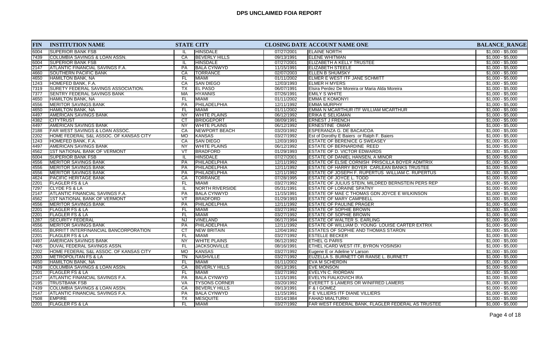| <b>FIN</b> | <b>INSTITUTION NAME</b>                  | <b>STATE CITY</b> |                      |            | CLOSING DATE ACCOUNT NAME ONE                             | <b>BALANCE_RANGE</b> |
|------------|------------------------------------------|-------------------|----------------------|------------|-----------------------------------------------------------|----------------------|
| 6004       | <b>SUPERIOR BANK FSB</b>                 |                   | <b>HINSDALE</b>      | 07/27/2001 | <b>ELAINE NORTH</b>                                       | $$1,000 - $5,000$    |
| 7439       | <b>COLUMBIA SAVINGS &amp; LOAN ASSN.</b> | CA                | <b>BEVERLY HILLS</b> | 09/13/1991 | <b>ELENE WHITMAN</b>                                      | $$1,000 - $5,000$    |
| 6004       | <b>ISUPERIOR BANK FSB</b>                | IL                | <b>HINSDALE</b>      | 07/27/2001 | ELIZABETH A KELLY TRUSTEE                                 | $$1,000 - $5,000$    |
| 2147       | ATLANTIC FINANCIAL SAVINGS F.A.          | <b>PA</b>         | <b>BALA CYNWYD</b>   | 11/15/1991 | <b>ELIZABETH STEELE</b>                                   | $$1,000 - $5,000$    |
| 4660       | <b>SOUTHERN PACIFIC BANK</b>             | CA                | <b>TORRANCE</b>      | 02/07/2003 | <b>ELLEN B SHUMSKY</b>                                    | $$1,000 - $5,000$    |
| 4650       | HAMILTON BANK, NA                        | FL.               | <b>MIAMI</b>         | 01/11/2002 | <b>ELMER E WEST ITF JANE SCHMITT</b>                      | $$1,000 - $5,000$    |
| 1243       | HOMEFED BANK, F.A.                       | CA                | <b>SAN DIEGO</b>     | 12/03/1993 | ELMER H MYERS                                             | $$1,000 - $5,000$    |
| 7319       | SURETY FEDERAL SAVINGS ASSOCIATION.      | TX                | <b>EL PASO</b>       | 06/07/1991 | Elsira Perdez De Moreira or Maria Alda Moreira            | $$1,000 - $5,000$    |
| 7377       | SENTRY FEDERAL SAVINGS BANK              | MA                | <b>HYANNIS</b>       | 07/26/1991 | <b>EMILY S WHITE</b>                                      | $$1,000 - $5,000$    |
| 4650       | <b>HAMILTON BANK, NA</b>                 | FL                | <b>MIAMI</b>         | 01/11/2002 | <b>EMMA E KOMONYI</b>                                     | $$1,000 - $5,000$    |
| 4556       | <b>MERITOR SAVINGS BANK</b>              | PA                | PHILADELPHIA         | 12/11/1992 | <b>EMMA MURPHY</b>                                        | $$1,000 - $5,000$    |
| 4650       | <b>HAMILTON BANK, NA</b>                 | FL.               | <b>MIAMI</b>         | 01/11/2002 | EMMA N MCARTHUR ITF WILLIAM MCARTHUR                      | $$1,000 - $5,000$    |
| 4497       | AMERICAN SAVINGS BANK                    | <b>NY</b>         | <b>WHITE PLAINS</b>  | 06/12/1992 | <b>ERIKA E SELIGMAN</b>                                   | $$1,000 - $5,000$    |
| 4382       | <b>CITYTRUST</b>                         | <b>CT</b>         | <b>BRIDGEPORT</b>    | 08/09/1991 | <b>ERNEST J FRENCH</b>                                    | $$1,000 - $5,000$    |
| 4497       | <b>AMERICAN SAVINGS BANK</b>             | NY                | <b>WHITE PLAINS</b>  | 06/12/1992 | <b>ERNESTINE OMAR</b>                                     | $$1,000 - $5,000$    |
| 2188       | FAR WEST SAVINGS & LOAN ASSOC.           | CA                | <b>NEWPORT BEACH</b> | 03/20/1992 | <b>ESPERANZA G. DE BACAICOA</b>                           | $$1,000 - $5,000$    |
| 2202       | HOME FEDERAL S&L ASSOC. OF KANSAS CITY   | <b>MO</b>         | <b>KANSAS</b>        | 03/27/1992 | Est of Dorothy E Baiers or Ralph F. Baiers                | $$1,000 - $5,000$    |
| 1243       | HOMEFED BANK, F.A.                       | CA                | <b>SAN DIEGO</b>     | 12/03/1993 | <b>ESTATE OF BERENICE G SWEASEY</b>                       | $$1,000 - $5,000$    |
| 4497       | <b>AMERICAN SAVINGS BANK</b>             | NY                | <b>WHITE PLAINS</b>  | 06/12/1992 | <b>ESTATE OF BERNARDINE REED</b>                          | $$1,000 - $5,000$    |
| 4562       | 1ST NATIONAL BANK OF VERMONT             | VT                | BRADFORD             | 01/29/1993 | <b>ESTATE OF D. VICTOR EDWARDS</b>                        | $$1,000 - $5,000$    |
| 6004       | <b>SUPERIOR BANK FSB</b>                 | IL.               | <b>HINSDALE</b>      | 07/27/2001 | <b>ESTATE OF DANIEL HANSEN, A MINOR</b>                   | $$1,000 - $5,000$    |
| 4556       | <b>MERITOR SAVINGS BANK</b>              | <b>PA</b>         | PHILADELPHIA         | 12/11/1992 | <b>ESTATE OF ELSIE CORNISH PRISCILLA BOYER ADMTRIX</b>    | $$1,000 - $5,000$    |
| 4556       | <b>MERITOR SAVINGS BANK</b>              | <b>PA</b>         | PHILADELPHIA         | 12/11/1992 | <b>ESTATE OF HARRY BOYER CARLEAN BANKS TRUSTEE</b>        | $$1,000 - $5,000$    |
| 4556       | <b>MERITOR SAVINGS BANK</b>              | PA                | PHILADELPHIA         | 12/11/1992 | ESTATE OF JOSEPH F. RUPERTUS WILLIAM C. RUPERTUS          | $$1,000 - $5,000$    |
| 4624       | <b>PACIFIC HERITAGE BANK</b>             | CA                | <b>TORRANCE</b>      | 07/28/1995 | <b>ESTATE OF JOYCE L. TODD</b>                            | $$1,000 - $5,000$    |
| 2201       | <b>FLAGLER FS &amp; LA</b>               | FL.               | <b>MIAMI</b>         | 03/27/1992 | <b>ESTATE OF JULIUS STEIN, MILDRED BERNSTEIN PERS REP</b> | $$1,000 - $5,000$    |
| 7297       | <b>CLYDE FS &amp; LA</b>                 | IL.               | NORTH RIVERSIDE      | 05/31/1991 | <b>ESTATE OF LORAINE SPATNY</b>                           | $$1,000 - $5,000$    |
| 2147       | <b>ATLANTIC FINANCIAL SAVINGS F.A.</b>   | <b>PA</b>         | <b>IBALA CYNWYD</b>  | 11/15/1991 | <b>ESTATE OF MAE C THOMAS GDN JOYCE E WILKINSON</b>       | $$1,000 - $5,000$    |
| 4562       | 1ST NATIONAL BANK OF VERMONT             | VT                | BRADFORD             | 01/29/1993 | <b>ESTATE OF MARY CAMPBELL</b>                            | $$1,000 - $5,000$    |
| 4556       | <b>MERITOR SAVINGS BANK</b>              | <b>PA</b>         | PHILADELPHIA         | 12/11/1992 | <b>ESTATE OF PAULINE PRAGER</b>                           | $$1,000 - $5,000$    |
| 2201       | <b>FLAGLER FS &amp; LA</b>               | FL.               | <b>MIAMI</b>         | 03/27/1992 | <b>ESTATE OF SOPHIE BROWN</b>                             | $$1,000 - $5,000$    |
| 2201       | <b>FLAGLER FS &amp; LA</b>               | <b>FL</b>         | <b>MIAMI</b>         | 03/27/1992 | <b>ESTATE OF SOPHIE BROWN</b>                             | $$1,000 - $5,000$    |
| 1287       | <b>SECURITY FEDERAL</b>                  | <b>NJ</b>         | <b>VINELAND</b>      | 06/17/1994 | ESTATE OF WALTER S. EARLING                               | $$1,000 - $5,000$    |
| 4556       | <b>MERITOR SAVINGS BANK</b>              | PA                | PHILADELPHIA         | 12/11/1992 | ESTATE OF WILLIAM D. YOUNG LOUISE CARTER EXTRIX           | $$1,000 - $5,000$    |
| 4551       | BURRITT INTERFINANCIAL BANCORPORATION    | CT                | <b>NEW BRITAIN</b>   | 12/04/1992 | <b>ESTATES OF SOPHIE AND THOMAS STARON</b>                | $$1,000 - $5,000$    |
| 2201       | FLAGLER FS & LA                          | FL                | <b>MIAMI</b>         | 03/27/1992 | <b>ESTELLE BECKER</b>                                     | $$1,000 - $5,000$    |
| 4497       | <b>AMERICAN SAVINGS BANK</b>             | $\overline{NY}$   | <b>WHITE PLAINS</b>  | 06/12/1992 | <b>ETHEL G PARIS</b>                                      | $$1,000 - $5,000$    |
| 7405       | DUVAL FEDERAL SAVINGS ASSN.              | FL                | <b>JACKSONVILLE</b>  | 08/16/1991 | <b>ETHEL ICARD WEST ITF, BYRON YOSINSKI</b>               | $$1,000 - $5,000$    |
| 2202       | HOME FEDERAL S&L ASSOC. OF KANSAS CITY   | <b>MO</b>         | KANSAS               | 03/27/1992 | Eugene E or Adeline V Larson                              | $$1,000 - $5,000$    |
| 2203       | <b>METROPOLITAN FS &amp; LA</b>          | <b>TN</b>         | NASHVILLE            | 03/27/1992 | EUZELLA S. BURNETT OR RANSE L. BURNETT                    | $$1,000 - $5,000$    |
| 4650       | <b>HAMILTON BANK, NA</b>                 | FL.               | <b>MIAMI</b>         | 01/11/2002 | <b>EVA M SCHERDIN</b>                                     | $$1,000 - $5,000$    |
| 7439       | COLUMBIA SAVINGS & LOAN ASSN.            | CA                | <b>BEVERLY HILLS</b> | 09/13/1991 | <b>EVE MONSON</b>                                         | $$1,000 - $5,000$    |
| 2201       | <b>FLAGLER FS &amp; LA</b>               | FL.               | <b>MIAMI</b>         | 03/27/1992 | EVELYN C. RIORDAN                                         | $$1,000 - $5,000$    |
| 2147       | <b>ATLANTIC FINANCIAL SAVINGS F.A.</b>   | PA                | <b>BALA CYNWYD</b>   | 11/15/1991 | IEVELYN FIALKOVICH IRA                                    | $$1,000 - $5,000$    |
| 2195       | <b>TRUSTBANK FSB</b>                     | VA                | <b>TYSONS CORNER</b> | 03/20/1992 | EVERETT S LAMERS OR WINIFRED LAMERS                       | $$1,000 - $5,000$    |
| 7439       | COLUMBIA SAVINGS & LOAN ASSN.            | CA                | <b>BEVERLY HILLS</b> | 09/13/1991 | <b>F &amp; I GOMEZ</b>                                    | $$1,000 - $5,000$    |
| 2147       | ATLANTIC FINANCIAL SAVINGS F.A.          | PA                | <b>BALA CYNWYD</b>   | 11/15/1991 | <b>F E VILLIERS ITF DIANE VILLIERS</b>                    | $$1,000 - $5,000$    |
| 7508       | <b>EMPIRE</b>                            | ТX                | <b>MESQUITE</b>      | 03/14/1984 | <b>FAHAD MIALTURKI</b>                                    | $$1,000 - $5,000$    |
| 2201       | <b>FLAGLER FS &amp; LA</b>               | FL.               | <b>MIAMI</b>         | 03/27/1992 | FAR WEST FEDERAL BANK, FLAGLER FEDERAL AS TRUSTEE         | $$1,000 - $5,000$    |
|            |                                          |                   |                      |            |                                                           |                      |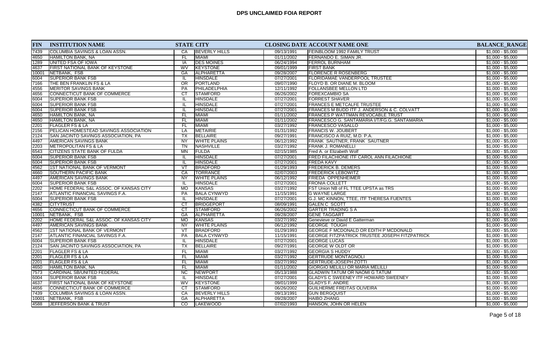| <b>FIN</b> | <b>INSTITUTION NAME</b>                                     |                          | <b>STATE CITY</b>                    |                          | <b>CLOSING DATE ACCOUNT NAME ONE</b>                  | <b>BALANCE_RANGE</b>                   |
|------------|-------------------------------------------------------------|--------------------------|--------------------------------------|--------------------------|-------------------------------------------------------|----------------------------------------|
| 7439       | <b>COLUMBIA SAVINGS &amp; LOAN ASSN.</b>                    | CA                       | <b>BEVERLY HILLS</b>                 | 09/13/1991               | <b>IFEINBLOOM 1992 FAMILY TRUST</b>                   | $$1,000 - $5,000$                      |
| 4650       | <b>HAMILTON BANK, NA</b>                                    | <b>FL</b>                | <b>MIAMI</b>                         | 01/11/2002               | FERNANDO E. SIMAN JR.                                 | $$1,000 - $5,000$                      |
| 1289       | UNITED FSA OF IOWA                                          | IA                       | <b>DES MOINES</b>                    | 06/24/1994               | <b>FERROL BURNHAM</b>                                 | $$1,000 - $5,000$                      |
| 4637       | <b>FIRST NATIONAL BANK OF KEYSTONE</b>                      | WV                       | <b>KEYSTONE</b>                      | 09/01/1999               | <b>FIRST BANK</b>                                     | $$1,000 - $5,000$                      |
| 10001      | NETBANK, FSB                                                | <b>GA</b>                | <b>ALPHARETTA</b>                    | 09/28/2007               | <b>FLORENCE R ROSENBERG</b>                           | $$1,000 - $5,000$                      |
| 6004       | <b>SUPERIOR BANK FSB</b>                                    | IL                       | <b>HINSDALE</b>                      | 07/27/2001               | <b>FLORIDAMAE VANDERPOOL TRUSTEE</b>                  | $$1,000 - $5,000$                      |
| 7166       | THE BEN FRANKLIN FS & LA                                    | OR                       | PORTLAND                             | 09/07/1990               | FLOYD B. OR DIANE M. BLOOM                            | $$1,000 - $5,000$                      |
| 4556       | <b>MERITOR SAVINGS BANK</b>                                 | <b>PA</b>                | PHILADELPHIA                         | 12/11/1992               | <b>FOLLANSBEE MELLON LTD</b>                          | $$1,000 - $5,000$                      |
| 4656       | CONNECTICUT BANK OF COMMERCE                                | CT                       | <b>STAMFORD</b>                      | 06/26/2002               | <b>FOREXCAMBIO SA</b>                                 | $$1,000 - $5,000$                      |
| 6004       | <b>SUPERIOR BANK FSB</b>                                    | IL.                      | <b>HINSDALE</b>                      | 07/27/2001               | <b>FORREST SHAVER</b>                                 | $$1,000 - $5,000$                      |
| 6004       | <b>SUPERIOR BANK FSB</b>                                    | IL.                      | <b>HINSDALE</b>                      | 07/27/2001               | <b>FRANCES E METCALFE TRUSTEE</b>                     | $$1,000 - $5,000$                      |
| 6004       | <b>SUPERIOR BANK FSB</b>                                    | IL                       | <b>HINSDALE</b>                      | 07/27/2001               | FRANCES M BUDD ITF J. ANDERSON & C. COLVATT           | $$1,000 - $5,000$                      |
| 4650       | <b>HAMILTON BANK, NA</b>                                    | <b>FL</b>                | <b>MIAMI</b>                         | 01/11/2002               | <b>FRANCES P WATTMAN REVOCABLE TRUST</b>              | $$1,000 - $5,000$                      |
| 4650       | HAMILTON BANK, NA                                           | <b>FL</b>                | MIAMI                                | 01/11/2002               | FRANCESCO G. SANTAMARIA I/T/FG.G. SANTAMARIA          | $$1,000 - $5,000$                      |
| 2201       | FLAGLER FS & LA                                             | FL                       | <b>MIAMI</b>                         | 03/27/1992               | <b>FRANCESCO VASALLO</b>                              | $$1,000 - $5,000$                      |
| 2156       | PELICAN HOMESTEAD SAVINGS ASSOCIATION                       | LA                       | <b>METAIRIE</b>                      | 01/31/1992               | <b>FRANCIS W. JOUBERT</b>                             | $$1,000 - $5,000$                      |
| 2124       | SAN JACINTO SAVINGS ASSOCIATION, PA                         | <b>TX</b>                | BELLAIRE                             | 09/27/1991               | FRANCISCO A RUIZ, M.D. P.A.                           | $$1,000 - $5,000$                      |
| 4497       | AMERICAN SAVINGS BANK                                       | <b>NY</b>                | <b>WHITE PLAINS</b>                  | 06/12/1992               | <b>FRANK SAUTNER, FRANK SAUTNER</b>                   | $$1,000 - $5,000$                      |
| 2203       | <b>IMETROPOLITAN FS &amp; LA</b>                            | <b>TN</b>                | NASHVILLE                            | 03/27/1992               | FRANK J. ROMANELLI                                    | $$1,000 - $5,000$                      |
| 6543       | <b>CITIZENS STATE BANK OF FULDA</b>                         | M <sub>N</sub>           | FULDA                                | 02/15/1985               | Fred A. or Elizabeth Wolf                             | $$1,000 - $5,000$                      |
| 6004       | <b>SUPERIOR BANK FSB</b>                                    | IL                       | <b>HINSDALE</b>                      | 07/27/2001               | <b>FRED FILACHIONE ITF CAROL ANN FILACHIONE</b>       | $$1,000 - $5,000$                      |
| 6004       | <b>SUPERIOR BANK FSB</b>                                    | IL                       | <b>HINSDALE</b>                      | 07/27/2001               | <b>FREDA KAVY</b>                                     | $$1,000 - $5,000$                      |
| 4562       | 1ST NATIONAL BANK OF VERMONT                                | $\overline{\mathsf{VT}}$ | <b>BRADFORD</b>                      | 01/29/1993               | <b>FREDERICK B. DEMERS</b>                            | $$1,000 - $5,000$                      |
| 4660       | <b>SOUTHERN PACIFIC BANK</b>                                | CA                       | <b>TORRANCE</b>                      | 02/07/2003               | <b>FREDERICK LEBOWITZ</b>                             | $$1,000 - $5,000$                      |
| 4497       | AMERICAN SAVINGS BANK                                       | <b>NY</b>                | <b>WHITE PLAINS</b>                  | 06/12/1992               | <b>FRIEDA OPPENHEIMER</b>                             | $$1,000 - $5,000$                      |
| 6004       | <b>SUPERIOR BANK FSB</b>                                    | IL                       | <b>HINSDALE</b>                      | 07/27/2001               | <b>FRONIA COLLETT</b>                                 | $$1,000 - $5,000$                      |
| 2202       | HOME FEDERAL S&L ASSOC. OF KANSAS CITY                      | <b>MO</b>                | <b>KANSAS</b>                        | 03/27/1992               | FST Union NB of FL TTEE UPSTA as TRS                  | $$1,000 - $5,000$                      |
| 2147       |                                                             | <b>PA</b>                | <b>BALA CYNWYD</b>                   | 11/15/1991               | <b>G WAYNE LARGE</b>                                  | $$1,000 - $5,000$                      |
| 6004       | ATLANTIC FINANCIAL SAVINGS F.A.<br><b>SUPERIOR BANK FSB</b> | IL                       | <b>HINSDALE</b>                      | 07/27/2001               | G.J. MC KINNON, TTEE, ITF THERESA FUENTES             | $$1,000 - $5,000$                      |
| 4382       |                                                             | $\overline{CT}$          | <b>BRIDGEPORT</b>                    |                          |                                                       |                                        |
| 4656       | <b>CITYTRUST</b><br>CONNECTICUT BANK OF COMMERCE            | CT                       | <b>STAMFORD</b>                      | 08/09/1991<br>06/26/2002 | <b>GALEN C SCOTT</b><br><b>GARTER TRADING S A</b>     | $$1,000 - $5,000$<br>$$1,000 - $5,000$ |
|            |                                                             | <b>GA</b>                |                                      |                          |                                                       |                                        |
| 10001      | NETBANK, FSB<br>HOME FEDERAL S&L ASSOC. OF KANSAS CITY      | <b>MO</b>                | <b>ALPHARETTA</b>                    | 09/28/2007               | <b>GENE TAGGART</b>                                   | $$1,000 - $5,000$<br>$$1,000 - $5,000$ |
| 2202       | <b>AMERICAN SAVINGS BANK</b>                                | <b>NY</b>                | <b>KANSAS</b><br><b>WHITE PLAINS</b> | 03/27/1992<br>06/12/1992 | Genevieve or David E Gatterman<br><b>GEORGE TOUGH</b> | $$1,000 - $5,000$                      |
| 4497       |                                                             | VT                       | <b>BRADFORD</b>                      | 01/29/1993               | <b>GEORGE F MCDONALD OR EDITH P MCDONALD</b>          | $$1,000 - $5,000$                      |
| 4562       | 1ST NATIONAL BANK OF VERMONT                                |                          |                                      |                          |                                                       |                                        |
| 2147       | ATLANTIC FINANCIAL SAVINGS F.A.                             | PA                       | <b>BALA CYNWYD</b>                   | 11/15/1991               | <b>IGEORGE FITZPATRICK TRUSTEE JOSEPH FITZPATRICK</b> | $$1,000 - $5,000$                      |
| 6004       | <b>SUPERIOR BANK FSB</b>                                    | IL.                      | <b>HINSDALE</b>                      | 07/27/2001               | <b>GEORGE LUCAS</b>                                   | $$1,000 - $5,000$                      |
| 2124       | <b>SAN JACINTO SAVINGS ASSOCIATION, PA</b>                  | $\overline{TX}$          | <b>BELLAIRE</b>                      | 09/27/1991               | <b>GEORGE W OLDT OR</b>                               | $$1,000 - $5,000$                      |
| 2201       | <b>FLAGLER FS &amp; LA</b>                                  | FL.                      | MIAMI                                | 03/27/1992               | <b>GEORGIA S HUDDY</b>                                | $$1,000 - $5,000$                      |
| 2201       | <b>FLAGLER FS &amp; LA</b>                                  | <b>FL</b>                | MIAMI                                | 03/27/1992               | <b>GERTRUDE MONTAGNOLI</b>                            | $$1,000 - $5,000$                      |
| 2201       | FLAGLER FS & LA                                             | FL.                      | MIAMI                                | 03/27/1992               | <b>GERTRUDE-JOSEPH ZOTTI</b>                          | $$1,000 - $5,000$                      |
| 4650       | HAMILTON BANK, NA                                           | FL                       | <b>MIAMI</b>                         | 01/11/2002               | <b>GIORGIO MELILLI OR MARIA MELILLI</b>               | $$1,000 - $5,000$                      |
| 7573       | CARDINAL SB/UNITED FEDERAL                                  | $\overline{NC}$          | NEWPORT                              | 05/13/1988               | <b>GLADWIN TATUM OR NAOMI G TATUM</b>                 | $$1,000 - $5,000$                      |
| 6004       | <b>SUPERIOR BANK FSB</b>                                    | IL                       | <b>HINSDALE</b>                      | 07/27/2001               | <b>GLADYS C SWEENEY ITF HOWARD SWEENEY</b>            | $$1,000 - $5,000$                      |
| 4637       | <b>FIRST NATIONAL BANK OF KEYSTONE</b>                      | <b>WV</b>                | <b>KEYSTONE</b>                      | 09/01/1999               | <b>GLADYS F. ANDRE</b>                                | $$1,000 - $5,000$                      |
| 4656       | ICONNECTICUT BANK OF COMMERCE                               | CT.                      | <b>STAMFORD</b>                      | 06/26/2002               | <b>GUILHERME FREITAS OLIVEIRA</b>                     | $$1,000 - $5,000$                      |
| 7439       | COLUMBIA SAVINGS & LOAN ASSN.                               | CA                       | <b>BEVERLY HILLS</b>                 | 09/13/1991               | <b>GUN BERGQUIST</b>                                  | $$1,000 - $5,000$                      |
| 10001      | NETBANK, FSB                                                | GA                       | <b>ALPHARETTA</b>                    | 09/28/2007               | <b>HAIBO ZHANG</b>                                    | $$1,000 - $5,000$                      |
| 4588       | <b>JEFFERSON BANK &amp; TRUST</b>                           | CO.                      | <b>LAKEWOOD</b>                      | 07/02/1993               | HANSON, JOHN OR HELEN                                 | $$1,000 - $5,000$                      |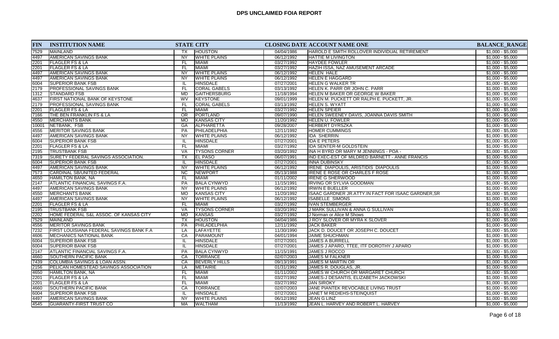| <b>FIN</b> | <b>INSTITUTION NAME</b>                  | <b>STATE CITY</b>                 |                      |            | CLOSING DATE ACCOUNT NAME ONE                       | <b>BALANCE_RANGE</b> |
|------------|------------------------------------------|-----------------------------------|----------------------|------------|-----------------------------------------------------|----------------------|
| 7529       | <b>MAINLAND</b>                          | <b>HOUSTON</b><br>TX              |                      | 04/04/1986 | HAROLD E SMITH ROLLOVER INDIVIDUAL RETIREMENT       | $$1,000 - $5,000$    |
| 4497       | <b>AMERICAN SAVINGS BANK</b>             | <b>NY</b>                         | <b>WHITE PLAINS</b>  | 06/12/1992 | <b>HATTIE M LIVINGTON</b>                           | $$1,000 - $5,000$    |
| 2201       | FLAGLER FS & LA                          | FL.<br><b>MIAMI</b>               |                      | 03/27/1992 | <b>HAYDEE FOWLER</b>                                | $$1,000 - $5,000$    |
| 2201       | <b>FLAGLER FS &amp; LA</b>               | <b>MIAMI</b><br>FL.               |                      | 03/27/1992 | HAZIH ISSA, NAZ AMUSEMENT ARCADE                    | $$1,000 - $5,000$    |
| 4497       | <b>AMERICAN SAVINGS BANK</b>             | NY                                | <b>WHITE PLAINS</b>  | 06/12/1992 | <b>HELEN HALE</b>                                   | $$1,000 - $5,000$    |
| 4497       | AMERICAN SAVINGS BANK                    | <b>NY</b>                         | <b>WHITE PLAINS</b>  | 06/12/1992 | <b>HELEN E HAGGARD</b>                              | $$1,000 - $5,000$    |
| 6004       | <b>SUPERIOR BANK FSB</b>                 | IL.<br>HINSDALE                   |                      | 07/27/2001 | <b>HELEN G WALKER TR</b>                            | $$1,000 - $5,000$    |
| 2179       | <b>PROFESSIONAL SAVINGS BANK</b>         | FL                                | <b>CORAL GABELS</b>  | 03/13/1992 | <b>HELEN K. PARR OR JOHN C. PARR</b>                | $$1,000 - $5,000$    |
| 1312       | <b>STANDARD FSB</b>                      | MD                                | <b>GAITHERSBURG</b>  | 11/18/1994 | <b>HELEN M BAKER OR GEORGE W BAKER</b>              | $$1,000 - $5,000$    |
| 4637       | <b>FIRST NATIONAL BANK OF KEYSTONE</b>   | WV<br><b>KEYSTONE</b>             |                      | 09/01/1999 | HELEN M. PUCKETT OR RALPH E. PUCKETT, JR.           | $$1,000 - $5,000$    |
| 2179       | <b>PROFESSIONAL SAVINGS BANK</b>         | FL                                | <b>CORAL GABELS</b>  | 03/13/1992 | <b>HELEN S. WYATT</b>                               | $$1,000 - $5,000$    |
| 2201       | <b>FLAGLER FS &amp; LA</b>               | FL.<br><b>MIAMI</b>               |                      | 03/27/1992 | <b>HELEN SPEIER</b>                                 | $$1,000 - $5,000$    |
| 7166       | THE BEN FRANKLIN FS & LA                 | $\overline{OR}$<br>PORTLAND       |                      | 09/07/1990 | HELEN SWEENEY DAVIS, JOANNA DAVIS SMITH             | $$1,000 - $5,000$    |
| 4550       | <b>MERCHANTS BANK</b>                    | <b>MO</b><br>KANSAS CITY          |                      | 11/20/1992 | <b>HELEN U. FOWLER</b>                              | $$1,000 - $5,000$    |
| 10001      | NETBANK, FSB                             | GA<br><b>ALPHARETTA</b>           |                      | 09/28/2007 | <b>HERBERT DYRSZKA</b>                              | $$1,000 - $5,000$    |
| 4556       | <b>MERITOR SAVINGS BANK</b>              | <b>PA</b>                         | PHILADELPHIA         | 12/11/1992 | <b>HOMER CUMMINGS</b>                               | $$1,000 - $5,000$    |
| 4497       | <b>AMERICAN SAVINGS BANK</b>             | <b>NY</b>                         | <b>WHITE PLAINS</b>  | 06/12/1992 | <b>IDA SHERRIN</b>                                  | $$1,000 - $5,000$    |
| 6004       | <b>SUPERIOR BANK FSB</b>                 | <b>HINSDALE</b><br>IL.            |                      | 07/27/2001 | <b>IDA E PETERS</b>                                 | $$1,000 - $5,000$    |
| 2201       | FLAGLER FS & LA                          | FL<br><b>MIAMI</b>                |                      | 03/27/1992 | <b>IDA SENTER-M GOLDSTEIN</b>                       | $$1,000 - $5,000$    |
| 2195       | <b>TRUSTBANK FSB</b>                     | VA                                | <b>TYSONS CORNER</b> | 03/20/1992 | INA H BYRD OR MARY M JENNINGS - POA -               | $$1,000 - $5,000$    |
| 7319       | SURETY FEDERAL SAVINGS ASSOCIATION.      | $\overline{TX}$<br><b>EL PASO</b> |                      | 06/07/1991 | IND EXEC-EST OF MILDRED BARNETT - ANNE FRANCIS      | $$1,000 - $5,000$    |
| 6004       | <b>SUPERIOR BANK FSB</b>                 | <b>HINSDALE</b><br>IL.            |                      | 07/27/2001 | <b>INNA DUBINSKY</b>                                | $$1,000 - $5,000$    |
| 4497       | AMERICAN SAVINGS BANK                    | <b>NY</b>                         | <b>WHITE PLAINS</b>  | 06/12/1992 | IRENE DIAPOULIS, ARISTIDIS DIAPOULIS                | $$1,000 - $5,000$    |
| 7573       | CARDINAL SB/UNITED FEDERAL               | $\overline{NC}$<br>NEWPORT        |                      | 05/13/1988 | IRENE E ROSE OR CHARLES F ROSE                      | $$1,000 - $5,000$    |
| 4650       | <b>HAMILTON BANK, NA</b>                 | <b>FL</b><br><b>MIAMI</b>         |                      | 01/11/2002 | <b>IRENE G SHERWOOD</b>                             | $$1,000 - $5,000$    |
| 2147       | ATLANTIC FINANCIAL SAVINGS F.A.          | PA                                | <b>BALA CYNWYD</b>   | 11/15/1991 | <b>IRVING OR SYLVIA GOODMAN</b>                     | $$1,000 - $5,000$    |
| 4497       | <b>AMERICAN SAVINGS BANK</b>             | <b>NY</b>                         | <b>WHITE PLAINS</b>  | 06/12/1992 | <b>IRWIN E BUELLER</b>                              | $$1,000 - $5,000$    |
| 4550       | <b>MERCHANTS BANK</b>                    | <b>MO</b><br><b>KANSAS CITY</b>   |                      | 11/20/1992 | ISAAC GARDNER JR.ATTY.IN FACT FOR ISAAC GARDNER, SR | $$1,000 - $5,000$    |
| 4497       | <b>AMERICAN SAVINGS BANK</b>             | $\overline{NY}$                   | <b>WHITE PLAINS</b>  | 06/12/1992 | <b>ISABELLE SIMONS</b>                              | $$1,000 - $5,000$    |
| 2201       | <b>FLAGLER FS &amp; LA</b>               | FL<br><b>MIAMI</b>                |                      | 03/27/1992 | <b>IVAN STEMBERGER</b>                              | $$1,000 - $5,000$    |
| 2195       | <b>TRUSTBANK FSB</b>                     | <b>VA</b>                         | <b>TYSONS CORNER</b> | 03/20/1992 | J MARK SULLIVAN & ANNA G SULLIVAN                   | $$1,000 - $5,000$    |
| 2202       | HOME FEDERAL S&L ASSOC. OF KANSAS CITY   | <b>KANSAS</b><br><b>MO</b>        |                      | 03/27/1992 | J Norman or Alice M Shows                           | $$1,000 - $5,000$    |
| 7529       | <b>MAINLAND</b>                          | <b>HOUSTON</b><br>ТX              |                      | 04/04/1986 | J ROY SLOVER OR MYRA K SLOVER                       | $$1,000 - $5,000$    |
| 4556       | <b>MERITOR SAVINGS BANK</b>              | PA                                | PHILADELPHIA         | 12/11/1992 | <b>JACK BAKER</b>                                   | $$1,000 - $5,000$    |
| 7232       | FIRST LOUISIANA FEDERAL SAVINGS BANK F.A | LA<br>LAFAYETTE                   |                      | 11/30/1990 | JACK D. DOUCET OR JOSEPH C. DOUCET                  | $$1,000 - $5,000$    |
| 4606       | <b>MECHANICS NATIONAL BANK</b>           | CA<br>PARAMOUNT                   |                      | 04/01/1994 | <b>JAIME SHUCHMAN</b>                               | $$1,000 - $5,000$    |
| 6004       | <b>SUPERIOR BANK FSB</b>                 | <b>HINSDALE</b><br>IL.            |                      | 07/27/2001 | <b>JAMES A BURRELL</b>                              | $$1,000 - $5,000$    |
| 6004       | <b>SUPERIOR BANK FSB</b>                 | <b>HINSDALE</b><br>IL.            |                      | 07/27/2001 | JAMES J APARO, TTEE, ITF DOROTHY J APARO            | $$1,000 - $5,000$    |
| 2147       | <b>ATLANTIC FINANCIAL SAVINGS F.A.</b>   | PA                                | <b>BALA CYNWYD</b>   | 11/15/1991 | JAMES J ROCCO                                       | $$1,000 - $5,000$    |
| 4660       | SOUTHERN PACIFIC BANK                    | CA<br><b>TORRANCE</b>             |                      | 02/07/2003 | <b>JAMES M FALKNER</b>                              | $$1,000 - $5,000$    |
| 7439       | COLUMBIA SAVINGS & LOAN ASSN.            | CA                                | <b>BEVERLY HILLS</b> | 09/13/1991 | <b>JAMES M MARTIN OR</b>                            | $$1,000 - $5,000$    |
| 2156       | PELICAN HOMESTEAD SAVINGS ASSOCIATION    | LA<br>METAIRIE                    |                      | 01/31/1992 | JAMES R. DOUGLAS, JR.                               | $$1,000 - $5,000$    |
| 4650       | HAMILTON BANK, NA                        | MIAMI<br>FL.                      |                      | 01/11/2002 | JAMES W CHURCH OR MARGARET CHURCH                   | $$1,000 - $5,000$    |
| 2201       | <b>FLAGLER FS &amp; LA</b>               | FL<br><b>MIAMI</b>                |                      | 03/27/1992 | JAMES-J DESANTIS, ELIZABETH JACKOWSKI               | $$1,000 - $5,000$    |
| 2201       | <b>FLAGLER FS &amp; LA</b>               | MIAMI<br>FL                       |                      | 03/27/1992 | <b>JAN SIROKY</b>                                   | $$1,000 - $5,000$    |
| 4660       | <b>SOUTHERN PACIFIC BANK</b>             | CA<br><b>TORRANCE</b>             |                      | 02/07/2003 | JANE PIANTEK REVOCABLE LIVING TRUST                 | $$1,000 - $5,000$    |
| 6004       | <b>SUPERIOR BANK FSB</b>                 | <b>HINSDALE</b><br>IL.            |                      | 07/27/2001 | JANET M REDIEHS-STEINQUIST                          | $$1,000 - $5,000$    |
| 4497       | <b>AMERICAN SAVINGS BANK</b>             | NY                                | <b>WHITE PLAINS</b>  | 06/12/1992 | JEAN G LINZ                                         | $$1,000 - $5,000$    |
|            |                                          | <b>WALTHAM</b><br>МA              |                      |            | JEAN L. HARVEY AND ROBERT L. HARVEY                 |                      |
| 4545       | <b>GUARANTY-FIRST TRUST CO</b>           |                                   |                      | 11/13/1992 |                                                     | $$1,000 - $5,000$    |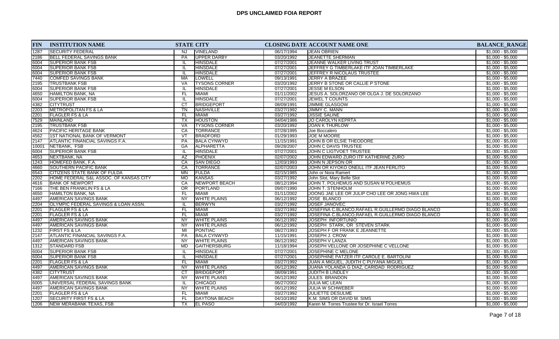| <b>FIN</b> | <b>INSTITUTION NAME</b>                |                        | <b>STATE CITY</b>    |            | CLOSING DATE ACCOUNT NAME ONE                      | <b>BALANCE_RANGE</b> |
|------------|----------------------------------------|------------------------|----------------------|------------|----------------------------------------------------|----------------------|
| 1287       | <b>SECURITY FEDERAL</b>                | NJ.                    | <b>VINELAND</b>      | 06/17/1994 | <b>IJEAN OBRIEN</b>                                | $$1,000 - $5,000$    |
| 2186       | <b>BELL FEDERAL SAVINGS BANK</b>       | PA                     | UPPER DARBY          | 03/20/1992 | <b>JEANETTE SHERMAN</b>                            | $$1,000 - $5,000$    |
| 6004       | <b>SUPERIOR BANK FSB</b>               | IL                     | <b>HINSDALE</b>      | 07/27/2001 | JEANNE WALKER LIVING TRUST                         | $$1,000 - $5,000$    |
| 6004       | <b>SUPERIOR BANK FSB</b>               | IL.                    | <b>HINSDALE</b>      | 07/27/2001 | JEFFREY G TIMBERLAKE ITF JOAN TIMBERLAKE           | $$1,000 - $5,000$    |
| 6004       | <b>SUPERIOR BANK FSB</b>               | IL.                    | <b>HINSDALE</b>      | 07/27/2001 | JEFFREY R NICOLAUS TRUSTEE                         | $$1,000 - $5,000$    |
| 7440       | <b>COMFED SAVINGS BANK</b>             | <b>MA</b>              | <b>LOWELL</b>        | 09/13/1991 | JERRY A BRAZEE                                     | $$1,000 - $5,000$    |
| 2195       | <b>TRUSTBANK FSB</b>                   | <b>VA</b>              | <b>TYSONS CORNER</b> | 03/20/1992 | JERRY B STONE OR CALLIE P STONE                    | $$1,000 - $5,000$    |
| 6004       | <b>SUPERIOR BANK FSB</b>               | IL.                    | <b>HINSDALE</b>      | 07/27/2001 | JESSE M ELSON                                      | $$1,000 - $5,000$    |
| 4650       | HAMILTON BANK, NA                      | FL                     | MIAMI                | 01/11/2002 | JESUS A. SOLORZANO OR OLGA J. DE SOLORZANO         | $$1,000 - $5,000$    |
| 6004       | <b>SUPERIOR BANK FSB</b>               | IL                     | <b>HINSDALE</b>      | 07/27/2001 | JEWEL T COUNTS                                     | $$1,000 - $5,000$    |
| 4382       | <b>CITYTRUST</b>                       | $\overline{CT}$        | <b>BRIDGEPORT</b>    | 08/09/1991 | <b>JIMMIE GLASGOW</b>                              | $$1,000 - $5,000$    |
| 2203       | <b>METROPOLITAN FS &amp; LA</b>        | <b>TN</b>              | <b>NASHVILLE</b>     | 03/27/1992 | JIMMY C. MANN                                      | $$1,000 - $5,000$    |
| 2201       | FLAGLER FS & LA                        | FL.                    | <b>MIAMI</b>         | 03/27/1992 | <b>JISSIE SALINE</b>                               | $$1,000 - $5,000$    |
| 7529       | <b>MAINLAND</b>                        | <b>TX</b>              | <b>HOUSTON</b>       | 04/04/1986 | <b>JO CAROLYN KEPRTA</b>                           | $$1,000 - $5,000$    |
| 2195       | <b>TRUSTBANK FSB</b>                   | VA                     | <b>TYSONS CORNER</b> | 03/20/1992 | <b>JOAN K THURLOW</b>                              | $$1,000 - $5,000$    |
| 4624       | <b>PACIFIC HERITAGE BANK</b>           | CA                     | <b>TORRANCE</b>      | 07/28/1995 | Joe Boccalero                                      | $$1,000 - $5,000$    |
| 4562       | 1ST NATIONAL BANK OF VERMONT           | $\overline{\text{VT}}$ | <b>BRADFORD</b>      | 01/29/1993 | <b>JOE M MOORE</b>                                 | $$1,000 - $5,000$    |
| 2147       | ATLANTIC FINANCIAL SAVINGS F.A.        | PA                     | <b>BALA CYNWYD</b>   | 11/15/1991 | JOHN B OR ELSIE THEODORE                           | $$1,000 - $5,000$    |
| 10001      | NETBANK, FSB                           | GA                     | ALPHARETTA           | 09/28/2007 | JOHN C DAVIS TRUSTEE                               | $$1,000 - $5,000$    |
| 6004       | <b>SUPERIOR BANK FSB</b>               | IL.                    | <b>HINSDALE</b>      | 07/27/2001 | JOHN C LIGTVOET TRUSTEE                            | $$1,000 - $5,000$    |
| 4653       | NEXTBANK, NA                           | AZ                     | PHOENIX              | 02/07/2002 | JOHN EDWARD ZURO ITF KATHERINE ZURO                | $$1,000 - $5,000$    |
| 1243       | HOMEFED BANK, F.A.                     | CA                     | <b>SAN DIEGO</b>     | 12/03/1993 | JOHN N JEPSON OR                                   | $$1,000 - $5,000$    |
| 4660       | <b>SOUTHERN PACIFIC BANK</b>           | CA                     | <b>TORRANCE</b>      | 02/07/2003 | JOHN OR KIYOKO ONEILL ITF JEAN FERLITO             | $$1,000 - $5,000$    |
| 6543       | <b>CITIZENS STATE BANK OF FULDA</b>    | MN                     | <b>FULDA</b>         | 02/15/1985 | John or Nora Ramert                                | $$1,000 - $5,000$    |
| 2202       | HOME FEDERAL S&L ASSOC. OF KANSAS CITY | <b>MO</b>              | KANSAS               | 03/27/1992 | John Slot, Mary Belle Slot                         | $$1,000 - $5,000$    |
| 4616       | <b>BANK OF NEWPORT</b>                 | CA                     | NEWPORT BEACH        | 08/12/1994 | JOHN T. POLHEMUS AND SUSAN M POLHEMUS              | $$1,000 - $5,000$    |
| 7166       | THE BEN FRANKLIN FS & LA               | $\overline{OR}$        | PORTLAND             | 09/07/1990 | JOHN T. STENHOLM                                   | $$1,000 - $5,000$    |
| 4650       | HAMILTON BANK, NA                      | FL                     | MIAMI                | 01/11/2002 | JOONG JAE LEE OR JULIP CHO LEE OR JONG HWA LEE     | $$1,000 - $5,000$    |
| 4497       | <b>AMERICAN SAVINGS BANK</b>           | NY                     | <b>WHITE PLAINS</b>  | 06/12/1992 | JOSE BLANCO                                        | $$1,000 - $5,000$    |
| 2204       | OLYMPIC FEDERAL SAVINGS & LOAN ASSN.   | IL                     | <b>BERWYN</b>        | 03/27/1992 | <b>JOSEF JANOVEC</b>                               | $$1,000 - $5,000$    |
| 2201       | <b>FLAGLER FS &amp; LA</b>             | FL.                    | <b>MIAMI</b>         | 03/27/1992 | JOSEFINA C.BLANCO, RAFAEL R.GUILLERMO DIAGO BLANCO | $$1,000 - $5,000$    |
| 2201       | <b>FLAGLER FS &amp; LA</b>             | FL                     | <b>MIAMI</b>         | 03/27/1992 | JOSEFINA C.BLANCO, RAFAEL R.GUILLERMO DIAGO BLANCO | $$1,000 - $5,000$    |
| 4497       | <b>AMERICAN SAVINGS BANK</b>           | <b>NY</b>              | <b>WHITE PLAINS</b>  | 06/12/1992 | <b>JOSEPH INFORTUNIO</b>                           | $$1,000 - $5,000$    |
| 4497       | AMERICAN SAVINGS BANK                  | <b>NY</b>              | <b>WHITE PLAINS</b>  | 06/12/1992 | JOSEPH STARK, OR STEVEN STARK                      | $$1,000 - $5,000$    |
| 1232       | <b>FIRST FS &amp; LA</b>               | MI                     | <b>PONTIAC</b>       | 08/27/1993 | JOSEPH F OR FRANK E JEANNETTE                      | $$1,000 - $5,000$    |
| 2147       | <b>ATLANTIC FINANCIAL SAVINGS F.A.</b> | PA                     | <b>BALA CYNWYD</b>   | 11/15/1991 | JOSEPH J. CROW                                     | $$1,000 - $5,000$    |
| 4497       | AMERICAN SAVINGS BANK                  | NY.                    | <b>WHITE PLAINS</b>  | 06/12/1992 | JOSEPH V LANZA                                     | $$1,000 - $5,000$    |
| 1312       | STANDARD FSB                           | <b>MD</b>              | GAITHERSBURG         | 11/18/1994 | JOSEPH VELLONE OR JOSEPHINE C VELLONE              | $$1,000 - $5,000$    |
| 6004       | <b>SUPERIOR BANK FSB</b>               | -lL                    | <b>HINSDALE</b>      | 07/27/2001 | JOSEPHINE C MELONE                                 | $$1,000 - $5,000$    |
| 6004       | <b>SUPERIOR BANK FSB</b>               | IL.                    | <b>HINSDALE</b>      | 07/27/2001 | JOSEPHINE PATZER ITF CAROLE E. BARTOLINI           | $$1,000 - $5,000$    |
| 2201       | FLAGLER FS & LA                        | FL                     | <b>MIAMI</b>         | 03/27/1992 | JUAN A MIGUEL, JUDITH C PUYANA MIGUEL              | $$1,000 - $5,000$    |
| 4497       | AMERICAN SAVINGS BANK                  | <b>NY</b>              | <b>WHITE PLAINS</b>  | 06/12/1992 | JUANA YOLANDA G DIAZ, CARIDAD RODRIGUEZ            | $$1,000 - $5,000$    |
| 4382       | <b>CITYTRUST</b>                       | CT                     | <b>BRIDGEPORT</b>    | 08/09/1991 | <b>JUDITH B LINDLEY</b>                            | $$1,000 - $5,000$    |
| 4497       | AMERICAN SAVINGS BANK                  | NY                     | <b>WHITE PLAINS</b>  | 06/12/1992 | <b>JULES BRANDON</b>                               | $$1,000 - $5,000$    |
| 6005       | UNIVERSAL FEDERAL SAVINGS BANK         | IL.                    | <b>CHICAGO</b>       | 06/27/2002 | JULIA MC LEAN                                      | $$1,000 - $5,000$    |
| 4497       | <b>AMERICAN SAVINGS BANK</b>           | <b>NY</b>              | <b>WHITE PLAINS</b>  | 06/12/1992 | JULIA W SCHWEBER                                   | $$1,000 - $5,000$    |
| 2201       | <b>FLAGLER FS &amp; LA</b>             | FL                     | MIAMI                | 03/27/1992 | JULIETTE DESULME                                   | $$1,000 - $5,000$    |
| 1207       | <b>SECURITY FIRST FS &amp; LA</b>      | FL                     | <b>DAYTONA BEACH</b> | 04/10/1992 | K.M. SIMS OR DAVID M. SIMS                         | $$1,000 - $5,000$    |
| 1206       | NEW MERABANK TEXAS, FSB                | TX                     | <b>EL PASO</b>       | 04/03/1992 | Karen M. Torres Trustee for Dr. Israel Torres      | $$1,000 - $5,000$    |
|            |                                        |                        |                      |            |                                                    |                      |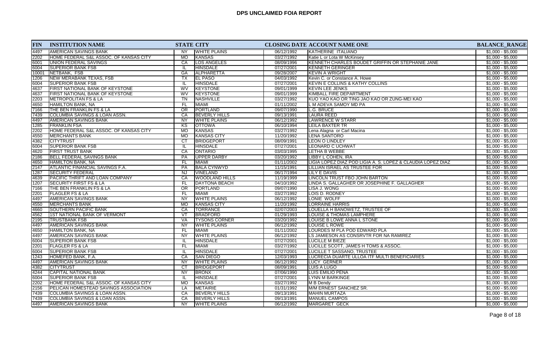| <b>FIN</b> | <b>INSTITUTION NAME</b>                | <b>STATE CITY</b> |                       |            | <b>CLOSING DATE ACCOUNT NAME ONE</b>                        | <b>BALANCE_RANGE</b> |
|------------|----------------------------------------|-------------------|-----------------------|------------|-------------------------------------------------------------|----------------------|
| 4497       | <b>AMERICAN SAVINGS BANK</b>           | <b>NY</b>         | <b>WHITE PLAINS</b>   | 06/12/1992 | KATHERINE ITALIANO                                          | $$1,000 - $5,000$    |
| 2202       | HOME FEDERAL S&L ASSOC. OF KANSAS CITY | <b>MO</b>         | <b>KANSAS</b>         | 03/27/1992 | Katie L or Lota W McKinsey                                  | $$1,000 - $5,000$    |
| 6001       | UNION FEDERAL SAVINGS                  | CA                | LOS ANGELES           | 08/09/1996 | KENNETH CHARLES BOUDET GRIFFIN OR STEPHANIE JANE            | $$1,000 - $5,000$    |
| 6004       | <b>SUPERIOR BANK FSB</b>               | IL                | <b>HINSDALE</b>       | 07/27/2001 | KENNETH GERINGER                                            | $$1,000 - $5,000$    |
| 10001      | NETBANK, FSB                           | GA                | <b>ALPHARETTA</b>     | 09/28/2007 | <b>KEVIN A WRIGHT</b>                                       | $$1,000 - $5,000$    |
| 1206       | <b>NEW MERABANK TEXAS, FSB</b>         | ТX                | <b>EL PASO</b>        | 04/03/1992 | Kevin C. or Constance A. Howe                               | $$1,000 - $5,000$    |
| 6004       | <b>SUPERIOR BANK FSB</b>               | IL.               | <b>HINSDALE</b>       | 07/27/2001 | <b>KEVIN E COLLINS &amp; KATHY COLLINS</b>                  | $$1,000 - $5,000$    |
| 4637       | FIRST NATIONAL BANK OF KEYSTONE        | <b>WV</b>         | KEYSTONE              | 09/01/1999 | <b>KEVIN LEE JENKS</b>                                      | $$1,000 - $5,000$    |
| 4637       | FIRST NATIONAL BANK OF KEYSTONE        | <b>WV</b>         | <b>KEYSTONE</b>       | 09/01/1999 | KIMBALL FIRE DEPARTMENT                                     | $$1,000 - $5,000$    |
| 2203       | <b>METROPOLITAN FS &amp; LA</b>        | TN                | NASHVILLE             | 03/27/1992 | KUO YAO KAO OR TING JAO KAO OR ZUNG-MEI KAO                 | $$1,000 - $5,000$    |
| 4650       | HAMILTON BANK, NA                      | FL.               | <b>MIAMI</b>          | 01/11/2002 | L M ADEVA SAMOY MD PA                                       | $$1,000 - $5,000$    |
| 7166       | THE BEN FRANKLIN FS & LA               | $\overline{OR}$   | PORTLAND              | 09/07/1990 | L.G. BRUCE                                                  | $$1,000 - $5,000$    |
| 7439       | COLUMBIA SAVINGS & LOAN ASSN.          | CA                | <b>BEVERLY HILLS</b>  | 09/13/1991 | <b>LAURA REED</b>                                           | $$1,000 - $5,000$    |
| 4497       | AMERICAN SAVINGS BANK                  | <b>NY</b>         | <b>WHITE PLAINS</b>   | 06/12/1992 | <b>LAWRENCE W STARR</b>                                     | $$1,000 - $5,000$    |
| 1285       | <b>FRANKLIN FSA</b>                    | $\overline{KS}$   | <b>OTTOWA</b>         | 06/10/1994 | <b>LEILA BAXTER TR</b>                                      | $$1,000 - $5,000$    |
| 2202       | HOME FEDERAL S&L ASSOC. OF KANSAS CITY | <b>MO</b>         | KANSAS                | 03/27/1992 | Lena Alagna or Carl Macina                                  | $$1,000 - $5,000$    |
| 4550       | <b>MERCHANTS BANK</b>                  | <b>MO</b>         | <b>KANSAS CITY</b>    | 11/20/1992 | <b>LENA SANTORO</b>                                         | $$1,000 - $5,000$    |
| 4382       | <b>CITYTRUST</b>                       | CT                | <b>BRIDGEPORT</b>     | 08/09/1991 | <b>LEON O LINDLEY</b>                                       | $$1,000 - $5,000$    |
| 6004       | <b>SUPERIOR BANK FSB</b>               | IL                | <b>HINSDALE</b>       | 07/27/2001 | <b>LEONARD C UCHWAT</b>                                     | $$1,000 - $5,000$    |
| 4620       | FIRST TRUST BANK                       | CA                | <b>ONTARIO</b>        | 03/03/1995 | LETHA B WEBBE                                               | $$1,000 - $5,000$    |
| 2186       | BELL FEDERAL SAVINGS BANK              | <b>PA</b>         | <b>UPPER DARBY</b>    | 03/20/1992 | LIBBY L COHEN. IRA                                          | $$1,000 - $5,000$    |
| 4650       | <b>HAMILTON BANK, NA</b>               | FL.               | <b>MIAMI</b>          | 01/11/2002 | LIGIA LOPEZ DIAZ POD LIGIA A. S. LOPEZ & CLAUDIA LOPEZ DIAZ | $$1,000 - $5,000$    |
| 2147       | <b>ATLANTIC FINANCIAL SAVINGS F.A.</b> | <b>PA</b>         | <b>BALA CYNWYD</b>    | 11/15/1991 | <b>LILLIAN ISRAEL AS TRUSTEE FOR</b>                        | $$1,000 - $5,000$    |
| 1287       | <b>SECURITY FEDERAL</b>                | <b>NJ</b>         | VINELAND              | 06/17/1994 | LILY E DAVIS                                                | $$1,000 - $5,000$    |
| 4639       | PACIFIC THRIFT AND LOAN COMPANY        | CA                | <b>WOODLAND HILLS</b> | 11/19/1999 | LINCOLN TRUST FBO JOHN BARTON                               | $$1,000 - $5,000$    |
| 1207       | SECURITY FIRST FS & LA                 | FL                | <b>DAYTONA BEACH</b>  | 04/10/1992 | LINDA S. GALLAGHER OR JOSEPHINE F. GALLAGHER                | $$1,000 - $5,000$    |
| 7166       | THE BEN FRANKLIN FS & LA               | $\overline{OR}$   | PORTLAND              | 09/07/1990 | LISA J. WONG                                                | $$1,000 - $5,000$    |
| 2201       | <b>FLAGLER FS &amp; LA</b>             | <b>FL</b>         | <b>MIAMI</b>          | 03/27/1992 | LOIS D. RODNEY                                              | $$1,000 - $5,000$    |
| 4497       | <b>AMERICAN SAVINGS BANK</b>           | NY                | <b>WHITE PLAINS</b>   | 06/12/1992 | LONIE WOLFF                                                 | $$1,000 - $5,000$    |
| 4550       | <b>MERCHANTS BANK</b>                  | <b>MO</b>         | <b>KANSAS CITY</b>    | 11/20/1992 | <b>LORRAINE HARRIS</b>                                      | $$1,000 - $5,000$    |
| 4660       | SOUTHERN PACIFIC BANK                  | CA                | <b>TORRANCE</b>       | 02/07/2003 | LOUELLA H BANOWETZ, TRUSTEE OF                              | $$1,000 - $5,000$    |
| 4562       | <b>1ST NATIONAL BANK OF VERMONT</b>    | VT                | <b>BRADFORD</b>       | 01/29/1993 | <b>LOUISE &amp; THOMAS LAMPHERE</b>                         | $$1,000 - $5,000$    |
| 2195       | TRUSTBANK FSB                          | VA                | <b>TYSONS CORNER</b>  | 03/20/1992 | LOUISE B LOWE ANNA L STONE                                  | $$1,000 - $5,000$    |
| 4497       | AMERICAN SAVINGS BANK                  | <b>NY</b>         | <b>WHITE PLAINS</b>   | 06/12/1992 | LOUISE L ROWE                                               | $$1,000 - $5,000$    |
| 4650       | <b>HAMILTON BANK, NA</b>               | FL.               | MIAMI                 | 01/11/2002 | LOURDES M PLA POD EDWARD PLA                                | $$1,000 - $5,000$    |
| 4497       | <b>AMERICAN SAVINGS BANK</b>           | <b>NY</b>         | <b>WHITE PLAINS</b>   | 06/12/1992 | LS JAMIESON AS CONSRVTR FOR NA RAMIREZ                      | $$1,000 - $5,000$    |
| 6004       | <b>SUPERIOR BANK FSB</b>               | IL                | <b>HINSDALE</b>       | 07/27/2001 | <b>LUCILLE M BIEZE</b>                                      | $$1,000 - $5,000$    |
| 2201       | <b>FLAGLER FS &amp; LA</b>             | <b>FL</b>         | <b>MIAMI</b>          | 03/27/1992 | LUCILLE SCOTT, JAMES H TOMS & ASSOC.                        | $$1,000 - $5,000$    |
| 6004       | <b>SUPERIOR BANK FSB</b>               | IL                | HINSDALE              | 07/27/2001 | LUCILLE T SASSANO, TRUSTEE                                  | $$1,000 - $5,000$    |
| 1243       | HOMEFED BANK, F.A.                     | CA                | <b>SAN DIEGO</b>      | 12/03/1993 | LUCRECIA DUARTE ULLOA ITF MULTI BENEFICIARIES               | $$1,000 - $5,000$    |
| 4497       | AMERICAN SAVINGS BANK                  | <b>NY</b>         | <b>WHITE PLAINS</b>   | 06/12/1992 | LUCY GERNER                                                 | $$1,000 - $5,000$    |
| 4382       | <b>CITYTRUST</b>                       | <b>CT</b>         | <b>BRIDGEPORT</b>     | 08/09/1991 | LUIS A LUGO                                                 | $$1,000 - $5,000$    |
| 4244       | <b>CAPITAL NATIONAL BANK</b>           | <b>NY</b>         | <b>BRONX</b>          | 07/06/1990 | LUIS EMILIO PENA                                            | $$1,000 - $5,000$    |
| 6004       | <b>SUPERIOR BANK FSB</b>               | IL                | <b>HINSDALE</b>       | 07/27/2001 | <b>LYNN M BARKINGE</b>                                      | $$1,000 - $5,000$    |
| 2202       | HOME FEDERAL S&L ASSOC. OF KANSAS CITY | <b>MO</b>         | <b>KANSAS</b>         | 03/27/1992 | M B Dendy                                                   | $$1,000 - $5,000$    |
| 2156       | PELICAN HOMESTEAD SAVINGS ASSOCIATION  | LA                | METAIRIE              | 01/31/1992 | M/M ERNEST SANCHEZ SR.                                      | $$1,000 - $5,000$    |
| 7439       | COLUMBIA SAVINGS & LOAN ASSN.          | CA                | <b>BEVERLY HILLS</b>  | 09/13/1991 | MAHIN MURTAZA                                               | $$1,000 - $5,000$    |
| 7439       | COLUMBIA SAVINGS & LOAN ASSN.          | CA                | <b>BEVERLY HILLS</b>  | 09/13/1991 | <b>MANUEL CAMPOS</b>                                        | $$1,000 - $5,000$    |
| 4497       | <b>AMERICAN SAVINGS BANK</b>           | NY.               | <b>WHITE PLAINS</b>   | 06/12/1992 | <b>MARGARET GECK</b>                                        | $$1,000 - $5,000$    |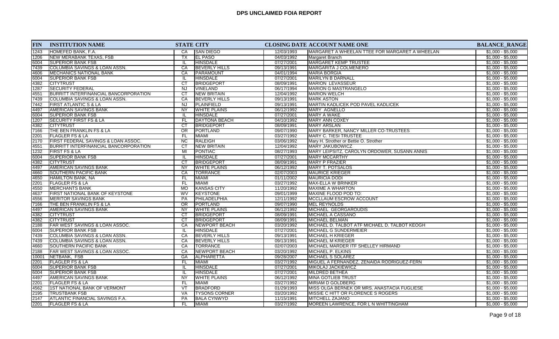| <b>FIN</b> | <b>INSTITUTION NAME</b>                      | <b>STATE CITY</b>      |                      |            | CLOSING DATE ACCOUNT NAME ONE                  | <b>BALANCE_RANGE</b> |
|------------|----------------------------------------------|------------------------|----------------------|------------|------------------------------------------------|----------------------|
| 1243       | HOMEFED BANK, F.A.                           | CA                     | <b>SAN DIEGO</b>     | 12/03/1993 | MARGARET A WHEELAN TTEE FOR MARGARET A WHEELAN | $$1,000 - $5,000$    |
| 1206       | <b>NEW MERABANK TEXAS, FSB</b>               | TX                     | <b>EL PASO</b>       | 04/03/1992 | Margaret Branch                                | $$1,000 - $5,000$    |
| 6004       | <b>SUPERIOR BANK FSB</b>                     | IL.                    | <b>HINSDALE</b>      | 07/27/2001 | MARGARET KEMP TRUSTEE                          | $$1,000 - $5,000$    |
| 7439       | COLUMBIA SAVINGS & LOAN ASSN.                | CA                     | <b>BEVERLY HILLS</b> | 09/13/1991 | <b>MARGARITA J COLMENERO</b>                   | $$1,000 - $5,000$    |
| 4606       | <b>MECHANICS NATIONAL BANK</b>               | CA                     | <b>PARAMOUNT</b>     | 04/01/1994 | <b>MARIA BORGIA</b>                            | $$1,000 - $5,000$    |
| 6004       | <b>SUPERIOR BANK FSB</b>                     | IL.                    | <b>HINSDALE</b>      | 07/27/2001 | MARILYN B DARNALL                              | $$1,000 - $5,000$    |
| 4382       | <b>CITYTRUST</b>                             | CT                     | <b>BRIDGEPORT</b>    | 08/09/1991 | <b>MARION LEVASSEUR</b>                        | $$1,000 - $5,000$    |
| 1287       | <b>SECURITY FEDERAL</b>                      | <b>NJ</b>              | <b>VINELAND</b>      | 06/17/1994 | MARION G MASTRANGELO                           | $$1,000 - $5,000$    |
| 4551       | <b>BURRITT INTERFINANCIAL BANCORPORATION</b> | CT                     | <b>NEW BRITAIN</b>   | 12/04/1992 | <b>MARION WELCH</b>                            | $$1,000 - $5,000$    |
| 7439       | COLUMBIA SAVINGS & LOAN ASSN.                | CA                     | <b>BEVERLY HILLS</b> | 09/13/1991 | <b>MARK ASTON</b>                              | $$1,000 - $5,000$    |
| 7442       | <b>FIRST ATLANTIC S &amp; LA</b>             | NJ                     | PLAINFIELD           | 09/13/1991 | MARTIN KADLICEK POD PAVEL KADLICEK             | $$1,000 - $5,000$    |
| 4497       | <b>AMERICAN SAVINGS BANK</b>                 | <b>NY</b>              | <b>WHITE PLAINS</b>  | 06/12/1992 | <b>MARY AGNELLO</b>                            | $$1,000 - $5,000$    |
| 6004       | <b>SUPERIOR BANK FSB</b>                     | IL.                    | <b>HINSDALE</b>      | 07/27/2001 | <b>MARY A WAKE</b>                             | $$1,000 - $5,000$    |
| 1207       | <b>SECURITY FIRST FS &amp; LA</b>            | <b>FL</b>              | <b>DAYTONA BEACH</b> | 04/10/1992 | MARY ANN COXEY                                 | $$1,000 - $5,000$    |
| 4382       | <b>CITYTRUST</b>                             | CT                     | <b>BRIDGEPORT</b>    | 08/09/1991 | <b>MARY ARSLAN</b>                             | $$1,000 - $5,000$    |
| 7166       | THE BEN FRANKLIN FS & LA                     | <b>OR</b>              | PORTLAND             | 09/07/1990 | MARY BARKER, NANCY MILLER CO-TRUSTEES          | $$1,000 - $5,000$    |
| 2201       | <b>FLAGLER FS &amp; LA</b>                   | FL                     | <b>MIAMI</b>         | 03/27/1992 | <b>MARY C. TIESI TRUSTEE</b>                   | $$1,000 - $5,000$    |
| 2170       | FIRST FEDERAL SAVINGS & LOAN ASSOC.          | NC                     | RALEIGH              | 03/06/1992 | Mary H. Strother or Bettie O. Strother         | $$1,000 - $5,000$    |
| 4551       | BURRITT INTERFINANCIAL BANCORPORATION        | CT                     | <b>NEW BRITAIN</b>   | 12/04/1992 | <b>MARY JAKUBOWICZ</b>                         | $$1,000 - $5,000$    |
| 1232       | FIRST FS & LA                                | MI                     | PONTIAC              | 08/27/1993 | MARY LEIPSITZ, CAROLYN ORDOWER, SUSANN ANNIS   | $$1,000 - $5,000$    |
| 6004       | <b>SUPERIOR BANK FSB</b>                     | -lL                    | <b>HINSDALE</b>      | 07/27/2001 | <b>IMARY MCCARTHY</b>                          | $$1,000 - $5,000$    |
| 4382       | <b>CITYTRUST</b>                             | CT                     | <b>BRIDGEPORT</b>    | 08/09/1991 | <b>MARY P FRAZIER</b>                          | $$1,000 - $5,000$    |
| 4497       | AMERICAN SAVINGS BANK                        | NY                     | <b>WHITE PLAINS</b>  | 06/12/1992 | <b>MARY T. POTSALOS</b>                        | $$1,000 - $5,000$    |
| 4660       | <b>SOUTHERN PACIFIC BANK</b>                 | CA                     | <b>TORRANCE</b>      | 02/07/2003 | <b>MAURICE KRIEGER</b>                         | $$1,000 - $5,000$    |
| 4650       | HAMILTON BANK, NA                            | FL.                    | <b>MIAMI</b>         | 01/11/2002 | <b>MAURICIA DODI</b>                           | $$1,000 - $5,000$    |
| 2201       | <b>FLAGLER FS &amp; LA</b>                   | FL.                    | <b>MIAMI</b>         | 03/27/1992 | <b>MAX-ELLA W BRINKER</b>                      | $$1,000 - $5,000$    |
| 4550       | <b>MERCHANTS BANK</b>                        | <b>MO</b>              | <b>KANSAS CITY</b>   | 11/20/1992 | <b>MAXIME A WHARTON</b>                        | $$1,000 - $5,000$    |
| 4637       | FIRST NATIONAL BANK OF KEYSTONE              | <b>WV</b>              | <b>KEYSTONE</b>      | 09/01/1999 | MAXINE FLOOD POD TO:                           | $$1,000 - $5,000$    |
| 4556       | <b>MERITOR SAVINGS BANK</b>                  | PA                     | PHILADELPHIA         | 12/11/1992 | <b>MCCLLAUM ESCROW ACCOUNT</b>                 | $$1,000 - $5,000$    |
| 7166       | THE BEN FRANKLIN FS & LA                     | $\overline{OR}$        | PORTLAND             | 09/07/1990 | <b>MEL REYNOLDS</b>                            | $$1,000 - $5,000$    |
| 4497       | <b>AMERICAN SAVINGS BANK</b>                 | <b>NY</b>              | <b>WHITE PLAINS</b>  | 06/12/1992 | MICHAEL GEORGAROUDIS                           | $$1,000 - $5,000$    |
| 4382       | <b>CITYTRUST</b>                             | CT                     | <b>BRIDGEPORT</b>    | 08/09/1991 | MICHAEL A CASSANO                              | $$1,000 - $5,000$    |
| 4382       | <b>CITYTRUST</b>                             | $\overline{\text{CT}}$ | <b>BRIDGEPORT</b>    | 08/09/1991 | <b>MICHAEL BELMAN</b>                          | $$1,000 - $5,000$    |
| 2188       | FAR WEST SAVINGS & LOAN ASSOC.               | CA                     | NEWPORT BEACH        | 03/20/1992 | MICHAEL D. TALBOT ATF MICHAEL D. TALBOT KEOGH  | $$1,000 - $5,000$    |
| 6004       | <b>SUPERIOR BANK FSB</b>                     | IL.                    | <b>HINSDALE</b>      | 07/27/2001 | MICHAEL G SUNDERMEIER                          | $$1,000 - $5,000$    |
| 7439       | <b>COLUMBIA SAVINGS &amp; LOAN ASSN.</b>     | CA                     | <b>BEVERLY HILLS</b> | 09/13/1991 | <b>MICHAEL H KRIEGER</b>                       | $$1,000 - $5,000$    |
| 7439       | COLUMBIA SAVINGS & LOAN ASSN.                | CA                     | <b>BEVERLY HILLS</b> | 09/13/1991 | <b>MICHAEL M KRIEGER</b>                       | $$1,000 - $5,000$    |
| 4660       | SOUTHERN PACIFIC BANK                        | CA                     | <b>TORRANCE</b>      | 02/07/2003 | MICHAEL MARDER ITF SHELLEY HIRMAND             | $$1,000 - $5,000$    |
| 2188       | <b>FAR WEST SAVINGS &amp; LOAN ASSOC.</b>    | CA                     | <b>NEWPORT BEACH</b> | 03/20/1992 | MICHAEL P. ELKINS                              | $$1,000 - $5,000$    |
| 10001      | NETBANK, FSB                                 | GA                     | ALPHARETTA           | 09/28/2007 | MICHAEL S SOLAREZ                              | $$1,000 - $5,000$    |
| 2201       | <b>FLAGLER FS &amp; LA</b>                   | FL                     | <b>MIAMI</b>         | 03/27/1992 | MIGUEL A FERNANDEZ, ZENAIDA RODRIGUEZ-FERN     | $$1,000 - $5,000$    |
| 6004       | <b>SUPERIOR BANK FSB</b>                     | -lL                    | <b>HINSDALE</b>      | 07/27/2001 | <b>MIKOLAJ JACKIEWICZ</b>                      | $$1,000 - $5,000$    |
| 6004       | <b>SUPERIOR BANK FSB</b>                     | IL.                    | <b>HINSDALE</b>      | 07/27/2001 | MILDRED BETHEA                                 | $$1,000 - $5,000$    |
| 4497       | <b>AMERICAN SAVINGS BANK</b>                 | NY.                    | <b>WHITE PLAINS</b>  | 06/12/1992 | <b>MINA GOTLIEB TRUST</b>                      | $$1,000 - $5,000$    |
| 2201       | FLAGLER FS & LA                              | FL.                    | <b>MIAMI</b>         | 03/27/1992 | <b>MIRIAM D GOLDBERG</b>                       | $$1,000 - $5,000$    |
| 4562       | 1ST NATIONAL BANK OF VERMONT                 | VT                     | <b>BRADFORD</b>      | 01/29/1993 | MISS OLGA BERNEK OR MRS. ANASTACIA FUGLIESE    | $$1,000 - $5,000$    |
| 2195       | <b>TRUSTBANK FSB</b>                         | VA                     | <b>TYSONS CORNER</b> | 03/20/1992 | MISSIE C HITT OR FLORENCE S ROGERS             | $$1,000 - $5,000$    |
| 2147       | <b>ATLANTIC FINANCIAL SAVINGS F.A.</b>       | PA                     | <b>BALA CYNWYD</b>   | 11/15/1991 | <b>MITCHELL ZAJANO</b>                         | $$1,000 - $5,000$    |
| 2201       | <b>FLAGLER FS &amp; LA</b>                   | <b>FL</b>              | MIAMI                | 03/27/1992 | MOREEN LAWRENCE, FOR L N WHITTINGHAM           | $$1,000 - $5,000$    |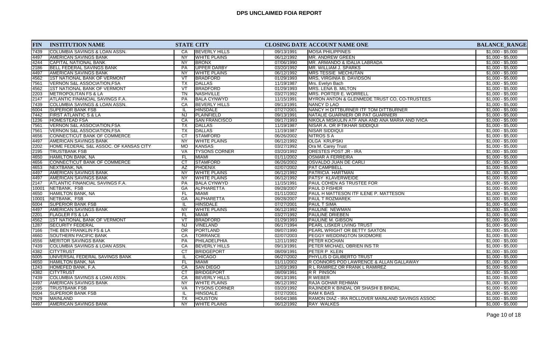| <b>FIN</b> | <b>INSTITUTION NAME</b>                  | <b>STATE CITY</b>                 |                      |            | <b>CLOSING DATE ACCOUNT NAME ONE</b>             | <b>BALANCE_RANGE</b> |
|------------|------------------------------------------|-----------------------------------|----------------------|------------|--------------------------------------------------|----------------------|
| 7439       | <b>COLUMBIA SAVINGS &amp; LOAN ASSN.</b> | CA                                | <b>BEVERLY HILLS</b> | 09/13/1991 | <b>MOSA PHILIPPINES</b>                          | $$1,000 - $5,000$    |
| 4497       | <b>AMERICAN SAVINGS BANK</b>             | $\overline{NY}$                   | <b>WHITE PLAINS</b>  | 06/12/1992 | MR. ANDREW GREEN                                 | $$1,000 - $5,000$    |
| 4244       | CAPITAL NATIONAL BANK                    | <b>NY</b>                         | <b>BRONX</b>         | 07/06/1990 | MR. ARMANDO & IDALIA LABRADA                     | $$1,000 - $5,000$    |
| 2186       | BELL FEDERAL SAVINGS BANK                | <b>PA</b>                         | <b>UPPER DARBY</b>   | 03/20/1992 | MR. WILLIAM J. SPARKS                            | $$1,000 - $5,000$    |
| 4497       | <b>AMERICAN SAVINGS BANK</b>             | <b>NY</b>                         | <b>WHITE PLAINS</b>  | 06/12/1992 | <b>MRS TESSIE MECHUTAN</b>                       | $$1,000 - $5,000$    |
| 4562       | <b>1ST NATIONAL BANK OF VERMONT</b>      | VT                                | <b>BRADFORD</b>      | 01/29/1993 | MRS, VIRGINIA B. DAVIDSON                        | $$1,000 - $5,000$    |
| 7561       | VERNON S&L ASSOCIATION,FSA               | TX                                | <b>DALLAS</b>        | 11/19/1987 | Mrs. Evelyn Bach                                 | $$1,000 - $5,000$    |
| 4562       | 1ST NATIONAL BANK OF VERMONT             | $\overline{\mathsf{V}\mathsf{T}}$ | <b>BRADFORD</b>      | 01/29/1993 | MRS. LENA B. MILTON                              | $$1,000 - $5,000$    |
| 2203       | METROPOLITAN FS & LA                     | $\overline{T}N$                   | NASHVILLE            | 03/27/1992 | MRS. PORTER E. WORRELL                           | $$1,000 - $5,000$    |
| 2147       | <b>ATLANTIC FINANCIAL SAVINGS F.A.</b>   | PA                                | <b>BALA CYNWYD</b>   | 11/15/1991 | MYRON ANTON & GLENMEDE TRUST CO, CO-TRUSTEES     | $$1,000 - $5,000$    |
| 7439       | COLUMBIA SAVINGS & LOAN ASSN.            | CA                                | <b>BEVERLY HILLS</b> | 09/13/1991 | NANCY D LAO                                      | $$1,000 - $5,000$    |
| 6004       | <b>SUPERIOR BANK FSB</b>                 | IL.                               | <b>HINSDALE</b>      | 07/27/2001 | NANCY H DITTBURNER ITF TOM DITTBURNER            | $$1,000 - $5,000$    |
| 7442       | <b>FIRST ATLANTIC S &amp; LA</b>         | <b>NJ</b>                         | <b>PLAINFIELD</b>    | 09/13/1991 | NATALIE GUARNIERI OR PAT GUARNIERI               | $$1,000 - $5,000$    |
| 1236       | <b>HOMESTEAD FSA</b>                     | CA                                | <b>SAN FRANCISCO</b> | 09/17/1993 | NIKOLA MISKULIN ATF ANA AND ANA MARIA AND IVICA  | $$1,000 - $5,000$    |
| 7561       | <b>VERNON S&amp;L ASSOCIATION, FSA</b>   | TX                                | DALLAS               | 11/19/1987 | NISAR A. OR IFTIKHAR SIDDIQUI                    | $$1,000 - $5,000$    |
| 7561       | <b>VERNON S&amp;L ASSOCIATION, FSA</b>   | <b>TX</b>                         | DALLAS               | 11/19/1987 | <b>NISAR SIDDIQUI</b>                            | $$1,000 - $5,000$    |
| 4656       | CONNECTICUT BANK OF COMMERCE             | $\overline{c}$                    | <b>STAMFORD</b>      | 06/26/2002 | <b>NITROS S A</b>                                | $$1,000 - $5,000$    |
| 4497       | AMERICAN SAVINGS BANK                    | <b>NY</b>                         | <b>WHITE PLAINS</b>  | 06/12/1992 | <b>OLGA KRUPSKI</b>                              | $$1,000 - $5,000$    |
| 2202       | HOME FEDERAL S&L ASSOC. OF KANSAS CITY   | <b>MO</b>                         | <b>KANSAS</b>        | 03/27/1992 | Ora M. Carey Trust                               | $$1,000 - $5,000$    |
| 2195       | <b>TRUSTBANK FSB</b>                     | VA                                | <b>TYSONS CORNER</b> | 03/20/1992 | <b>ORESTES POST JR - IRA</b>                     | $$1,000 - $5,000$    |
| 4650       | HAMILTON BANK, NA                        | <b>FL</b>                         | <b>MIAMI</b>         | 01/11/2002 | IOSMAR A FERREIRA                                | $$1,000 - $5,000$    |
| 4656       | <b>CONNECTICUT BANK OF COMMERCE</b>      | $\overline{\text{CT}}$            | <b>STAMFORD</b>      | 06/26/2002 | OSVALDO JUAN DE CARLI                            | $$1,000 - $5,000$    |
| 4653       | NEXTBANK, NA                             | AZ                                | <b>PHOENIX</b>       | 02/07/2002 | <b>PAT CAMPBELL</b>                              | $$1,000 - $5,000$    |
| 4497       | AMERICAN SAVINGS BANK                    | <b>NY</b>                         | <b>WHITE PLAINS</b>  | 06/12/1992 | PATRICIA HARTMAN                                 | $$1,000 - $5,000$    |
| 4497       | AMERICAN SAVINGS BANK                    | <b>NY</b>                         | <b>WHITE PLAINS</b>  | 06/12/1992 | <b>PATSY KLAVERWEIDE</b>                         | $$1,000 - $5,000$    |
| 2147       | ATLANTIC FINANCIAL SAVINGS F.A.          | PA                                | <b>BALA CYNWYD</b>   | 11/15/1991 | <b>PAUL COHEN AS TRUSTEE FOR</b>                 | $$1,000 - $5,000$    |
| 10001      | NETBANK, FSB                             | GA                                | <b>ALPHARETTA</b>    | 09/28/2007 | <b>PAUL D FISHER</b>                             | $$1,000 - $5,000$    |
| 4650       | HAMILTON BANK, NA                        | <b>FL</b>                         | <b>MIAMI</b>         | 01/11/2002 | PAUL H MATTESON ITF ILENE P. MATTESON            | $$1,000 - $5,000$    |
| 10001      | NETBANK, FSB                             | GA                                | <b>ALPHARETTA</b>    | 09/28/2007 | <b>PAUL T ROZMAREK</b>                           | $$1,000 - $5,000$    |
| 6004       | <b>SUPERIOR BANK FSB</b>                 | IL.                               | <b>HINSDALE</b>      | 07/27/2001 | <b>PAUL T SIMA</b>                               | $$1,000 - $5,000$    |
| 4497       | <b>AMERICAN SAVINGS BANK</b>             | <b>NY</b>                         | <b>WHITE PLAINS</b>  | 06/12/1992 | PAULINE NEWMAN                                   | $$1,000 - $5,000$    |
| 2201       | <b>FLAGLER FS &amp; LA</b>               | <b>FL</b>                         | MIAMI                | 03/27/1992 | <b>PAULINE DRIEBEN</b>                           | $$1,000 - $5,000$    |
| 4562       | <b>1ST NATIONAL BANK OF VERMONT</b>      | $\overline{\mathsf{V}\mathsf{T}}$ | <b>BRADFORD</b>      | 01/29/1993 | <b>PAULINE M. GIBSON</b>                         | $$1,000 - $5,000$    |
| 1287       | <b>SECURITY FEDERAL</b>                  | <b>NJ</b>                         | <b>VINELAND</b>      | 06/17/1994 | <b>PEARL LISKER LIVING TRUST</b>                 | $$1,000 - $5,000$    |
| 7166       | THE BEN FRANKLIN FS & LA                 | $\overline{OR}$                   | PORTLAND             | 09/07/1990 | PEARL WRIGHT OR BETTY SAXTON                     | $$1,000 - $5,000$    |
| 4660       | <b>SOUTHERN PACIFIC BANK</b>             | CA                                | <b>TORRANCE</b>      | 02/07/2003 | <b>PEGGY WEDDINGTON SKIDMORE</b>                 | $$1,000 - $5,000$    |
| 4556       | MERITOR SAVINGS BANK                     | <b>PA</b>                         | PHILADELPHIA         | 12/11/1992 | PETER KOCHAN                                     | $$1,000 - $5,000$    |
| 7439       | COLUMBIA SAVINGS & LOAN ASSN.            | CA                                | <b>BEVERLY HILLS</b> | 09/13/1991 | PETER MICHAEL OBRIEN INS TR                      | $$1,000 - $5,000$    |
| 4382       | <b>CITYTRUST</b>                         | <b>CT</b>                         | <b>BRIDGEPORT</b>    | 08/09/1991 | <b>PETER P KLEIN</b>                             | $$1,000 - $5,000$    |
| 6005       | UNIVERSAL FEDERAL SAVINGS BANK           | IL.                               | <b>CHICAGO</b>       | 06/27/2002 | <b>PHYLLIS D GILIBERTO TRUST</b>                 | $$1,000 - $5,000$    |
| 4650       | HAMILTON BANK, NA                        | FL                                | MIAMI                | 01/11/2002 | R CONNORS POD LAWRENCE & ALLAN GALLAWAY          | $$1,000 - $5,000$    |
| 1243       | HOMEFED BANK, F.A.                       | CA                                | <b>SAN DIEGO</b>     | 12/03/1993 | R L RAMIREZ OR FRANK L RAMIREZ                   | $$1,000 - $5,000$    |
| 4382       | <b>CITYTRUST</b>                         | <b>CT</b>                         | <b>BRIDGEPORT</b>    | 08/09/1991 | R R PINSON                                       | $$1,000 - $5,000$    |
| 7439       | COLUMBIA SAVINGS & LOAN ASSN.            | CA                                | <b>BEVERLY HILLS</b> | 09/13/1991 | <b>R WEBER</b>                                   | $$1,000 - $5,000$    |
| 4497       | AMERICAN SAVINGS BANK                    | <b>NY</b>                         | <b>WHITE PLAINS</b>  | 06/12/1992 | <b>RAJA GOHAR REHMAN</b>                         | $$1,000 - $5,000$    |
| 2195       | <b>TRUSTBANK FSB</b>                     | VA                                | <b>TYSONS CORNER</b> | 03/20/1992 | RAJINDER K BINDAL OR SHASHI B BINDAL             | $$1,000 - $5,000$    |
| 6004       | <b>SUPERIOR BANK FSB</b>                 | IL.                               | <b>HINSDALE</b>      | 07/27/2001 | IRAM K BAIS                                      | $$1,000 - $5,000$    |
| 7529       | <b>MAINLAND</b>                          | TX                                | <b>HOUSTON</b>       | 04/04/1986 | RAMON DIAZ - IRA ROLLOVER MAINLAND SAVINGS ASSOC | $$1,000 - $5,000$    |
| 4497       | AMERICAN SAVINGS BANK                    | <b>NY</b>                         | <b>WHITE PLAINS</b>  | 06/12/1992 | <b>RAY WALKES</b>                                | $$1,000 - $5,000$    |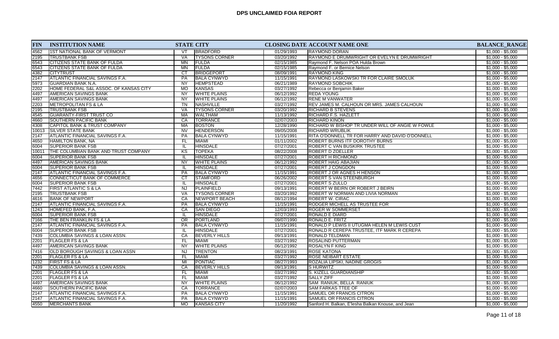| <b>FIN</b> | <b>INSTITUTION NAME</b>                    | <b>STATE CITY</b> |                      |            | <b>CLOSING DATE ACCOUNT NAME ONE</b>               | <b>BALANCE_RANGE</b> |
|------------|--------------------------------------------|-------------------|----------------------|------------|----------------------------------------------------|----------------------|
| 4562       | <b>1ST NATIONAL BANK OF VERMONT</b>        | VT                | <b>BRADFORD</b>      | 01/29/1993 | <b>RAYMOND DORAN</b>                               | $$1,000 - $5,000$    |
| 2195       | <b>TRUSTBANK FSB</b>                       | VA                | <b>TYSONS CORNER</b> | 03/20/1992 | RAYMOND E DRUMWRIGHT OR EVELYN E DRUMWRIGHT        | $$1,000 - $5,000$    |
| 6543       | <b>CITIZENS STATE BANK OF FULDA</b>        | MN                | <b>FULDA</b>         | 02/15/1985 | Raymond F. Nelson POA Hulda Brown                  | $$1,000 - $5,000$    |
| 6543       | CITIZENS STATE BANK OF FULDA               | MN                | <b>FULDA</b>         | 02/15/1985 | Raymond F. or Bernice Nelson                       | $$1,000 - $5,000$    |
| 4382       | CITYTRUST                                  | <b>CT</b>         | <b>BRIDGEPORT</b>    | 08/09/1991 | <b>RAYMOND KING</b>                                | $$1,000 - $5,000$    |
| 2147       | <b>ATLANTIC FINANCIAL SAVINGS F.A.</b>     | PA                | <b>BALA CYNWYD</b>   | 11/15/1991 | RAYMOND LASKOWSKI TR FOR CLAIRE SMOLUK             | $$1,000 - $5,000$    |
| 5973       | <b>GUARDIAN BANK N.A.</b>                  | <b>NY</b>         | <b>HEMPSTEAD</b>     | 06/21/1989 | <b>RAYMOND SOBCHIK</b>                             | $$1,000 - $5,000$    |
| 2202       | HOME FEDERAL S&L ASSOC. OF KANSAS CITY     | <b>MO</b>         | <b>KANSAS</b>        | 03/27/1992 | Rebecca or Benjamin Baker                          | $$1,000 - $5,000$    |
| 4497       | AMERICAN SAVINGS BANK                      | NY                | <b>WHITE PLAINS</b>  | 06/12/1992 | <b>REDA YOUNG</b>                                  | $$1,000 - $5,000$    |
| 4497       | <b>AMERICAN SAVINGS BANK</b>               | <b>NY</b>         | <b>WHITE PLAINS</b>  | 06/12/1992 | <b>RENE M VANWATER</b>                             | $$1,000 - $5,000$    |
| 2203       | <b>IMETROPOLITAN FS &amp; LA</b>           | TN                | <b>NASHVILLE</b>     | 03/27/1992 | <b>REV JAMES M. CALHOUN OR MRS. JAMES CALHOUN</b>  | $$1,000 - $5,000$    |
| 2195       | <b>TRUSTBANK FSB</b>                       | VA                | <b>TYSONS CORNER</b> | 03/20/1992 | <b>RICHARD B STEVENS</b>                           | $$1,000 - $5,000$    |
| 4545       | <b>GUARANTY-FIRST TRUST CO</b>             | <b>MA</b>         | <b>WALTHAM</b>       | 11/13/1992 | <b>RICHARD F.S. HAZLETT</b>                        | $$1,000 - $5,000$    |
| 4660       | SOUTHERN PACIFIC BANK                      | CA                | <b>TORRANCE</b>      | 02/07/2003 | <b>RICHARD KINON</b>                               | $$1,000 - $5,000$    |
| 4308       | CAPITOL BANK & TRUST COMPANY               | MA                | <b>BOSTON</b>        | 12/28/1990 | RICHARD W BISHOP TR UNDER WILL OF ANGIE W FOWLE    | $$1,000 - $5,000$    |
| 10013      | SILVER STATE BANK                          | <b>NV</b>         | <b>HENDERSON</b>     | 09/05/2008 | <b>RICHARD WRUBLIK</b>                             | $$1,000 - $5,000$    |
| 2147       | ATLANTIC FINANCIAL SAVINGS F.A.            | <b>PA</b>         | <b>BALA CYNWYD</b>   | 11/15/1991 | RITA O'DONNELL TR FOR HARRY AND DAVID O'DONNELL    | $$1,000 - $5,000$    |
| 4650       | HAMILTON BANK, NA                          | FL.               | <b>MIAMI</b>         | 01/11/2002 | ROBERT BURNS ITF DOROTHY BURNS                     | $$1,000 - $5,000$    |
| 6004       | <b>SUPERIOR BANK FSB</b>                   | IL                | <b>HINSDALE</b>      | 07/27/2001 | ROBERT C VAN BUSKIRK TRUSTEE                       | $$1,000 - $5,000$    |
| 10011      | THE COLUMBIAN BANK AND TRUST COMPANY       | KS                | <b>TOPEKA</b>        | 08/22/2008 | ROBERT D ZOELLER                                   | $$1,000 - $5,000$    |
| 6004       | <b>SUPERIOR BANK FSB</b>                   | IL                | <b>HINSDALE</b>      | 07/27/2001 | <b>ROBERT H RICHMOND</b>                           | $$1,000 - $5,000$    |
| 4497       | AMERICAN SAVINGS BANK                      | <b>NY</b>         | <b>WHITE PLAINS</b>  | 06/12/1992 | <b>ROBERT HAIG ABAJIAN</b>                         | $$1,000 - $5,000$    |
| 6004       | <b>SUPERIOR BANK FSB</b>                   | IL                | <b>HINSDALE</b>      | 07/27/2001 | <b>ROBERT J CONGDON</b>                            | $$1,000 - $5,000$    |
| 2147       | <b>ATLANTIC FINANCIAL SAVINGS F.A.</b>     | <b>PA</b>         | <b>BALA CYNWYD</b>   | 11/15/1991 | <b>ROBERT J OR AGNES H HENSON</b>                  | $$1,000 - $5,000$    |
| 4656       | CONNECTICUT BANK OF COMMERCE               | <b>CT</b>         | <b>STAMFORD</b>      | 06/26/2002 | <b>ROBERT S VAN STEENBURGH</b>                     | $$1,000 - $5,000$    |
| 6004       | <b>SUPERIOR BANK FSB</b>                   | IL.               | <b>HINSDALE</b>      | 07/27/2001 | <b>ROBERT S ZULLO</b>                              | $$1,000 - $5,000$    |
| 7442       | <b>FIRST ATLANTIC S &amp; LA</b>           | NJ                | <b>PLAINFIELD</b>    | 09/13/1991 | <b>ROBERT W BEIRN OR ROBERT J BEIRN</b>            | $$1,000 - $5,000$    |
| 2195       | <b>TRUSTBANK FSB</b>                       | <b>VA</b>         | <b>TYSONS CORNER</b> | 03/20/1992 | ROBERT W NORMAN AND LIVIA NORMAN                   | $$1,000 - $5,000$    |
| 4616       | <b>BANK OF NEWPORT</b>                     | CA                | NEWPORT BEACH        | 08/12/1994 | <b>ROBERT W. CIRAC</b>                             | $$1,000 - $5,000$    |
| 2147       | <b>ATLANTIC FINANCIAL SAVINGS F.A.</b>     | <b>PA</b>         | <b>BALA CYNWYD</b>   | 11/15/1991 | <b>RODGER MICHELL AS TRUSTEE FOR</b>               | $$1,000 - $5,000$    |
| 1243       | HOMEFED BANK, F.A.                         | CA                | <b>SAN DIEGO</b>     | 12/03/1993 | ROGER W SOMMERSET                                  | $$1,000 - $5,000$    |
| 6004       | <b>SUPERIOR BANK FSB</b>                   |                   | <b>HINSDALE</b>      | 07/27/2001 | RONALD E DIARD                                     | $$1,000 - $5,000$    |
| 7166       | THE BEN FRANKLIN FS & LA                   | $\overline{OR}$   | PORTLAND             | 09/07/1990 | RONALD E. FRITZ                                    | $$1,000 - $5,000$    |
| 2147       | ATLANTIC FINANCIAL SAVINGS F.A.            | <b>PA</b>         | <b>BALA CYNWYD</b>   | 11/15/1991 | RONALD P LEWIS II UTUGMA HELEN M LEWIS CUST        | $$1,000 - $5,000$    |
| 6004       | <b>SUPERIOR BANK FSB</b>                   | IL                | <b>HINSDALE</b>      | 07/27/2001 | RONALD R CEREPA TRUSTEE, ITF MARK R CEREPA         | $$1,000 - $5,000$    |
| 7439       | COLUMBIA SAVINGS & LOAN ASSN.              | CA                | <b>BEVERLY HILLS</b> | 09/13/1991 | <b>RONALD TELDMAN</b>                              | $$1,000 - $5,000$    |
| 2201       | <b>FLAGLER FS &amp; LA</b>                 | FL.               | <b>MIAMI</b>         | 03/27/1992 | ROSALIND PUTTERMAN                                 | $$1,000 - $5,000$    |
| 4497       | AMERICAN SAVINGS BANK                      | <b>NY</b>         | <b>WHITE PLAINS</b>  | 06/12/1992 | <b>ROSALYN F KING</b>                              | $$1,000 - $5,000$    |
| 7416       | <b>OLD BOROUGH SAVINGS &amp; LOAN ASSN</b> | <b>NJ</b>         | <b>TRENTON</b>       | 08/23/1991 | <b>ROSE KATONA</b>                                 | $$1,000 - $5,000$    |
| 2201       | <b>FLAGLER FS &amp; LA</b>                 | FL                | <b>MIAMI</b>         | 03/27/1992 | <b>ROSE NEIBART ESTATE</b>                         | $$1,000 - $5,000$    |
| 1232       | <b>FIRST FS &amp; LA</b>                   | MI                | PONTIAC              | 08/27/1993 | ROZALIA LIPSKI, NADINE GROGIS                      | $$1,000 - $5,000$    |
| 7439       | COLUMBIA SAVINGS & LOAN ASSN.              | CA                | <b>BEVERLY HILLS</b> | 09/13/1991 | <b>SHURWITZ</b>                                    | $$1,000 - $5,000$    |
| 2201       | <b>FLAGLER FS &amp; LA</b>                 | FL.               | <b>MIAMI</b>         | 03/27/1992 | S. KIZELL GUARDIANSHIP                             | $$1,000 - $5,000$    |
| 2201       | <b>FLAGLER FS &amp; LA</b>                 | FL.               | <b>MIAMI</b>         | 03/27/1992 | <b>SALLY ZIFF</b>                                  | $$1,000 - $5,000$    |
| 4497       | <b>AMERICAN SAVINGS BANK</b>               | <b>NY</b>         | <b>WHITE PLAINS</b>  | 06/12/1992 | SAM RANIUK, BELLA RANIUK                           | $$1,000 - $5,000$    |
| 4660       | <b>SOUTHERN PACIFIC BANK</b>               | CA                | <b>TORRANCE</b>      | 02/07/2003 | <b>SAM FARKAS TTEE OF</b>                          | $$1,000 - $5,000$    |
| 2147       | ATLANTIC FINANCIAL SAVINGS F.A.            | PA                | <b>BALA CYNWYD</b>   | 11/15/1991 | <b>SAMUEL OR FRANCIS CITRON</b>                    | $$1,000 - $5,000$    |
| 2147       | ATLANTIC FINANCIAL SAVINGS F.A.            | <b>PA</b>         | <b>BALA CYNWYD</b>   | 11/15/1991 | <b>SAMUEL OR FRANCIS CITRON</b>                    | $$1,000 - $5,000$    |
| 4550       | MERCHANTS BANK                             | <b>MO</b>         | <b>KANSAS CITY</b>   | 11/20/1992 | Sanford H. Balkan, E'lesha Balkan Knouse, and Jean | $$1,000 - $5,000$    |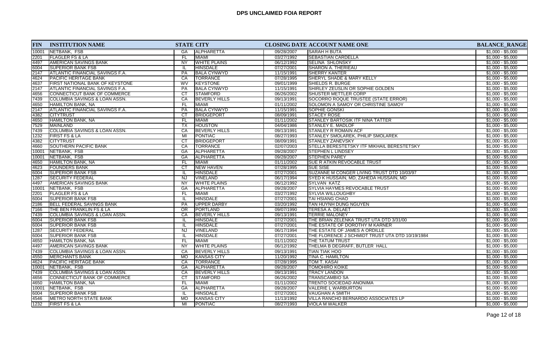| <b>FIN</b> | <b>INSTITUTION NAME</b>                |                 | <b>STATE CITY</b>    |            | CLOSING DATE ACCOUNT NAME ONE                   | <b>BALANCE_RANGE</b> |
|------------|----------------------------------------|-----------------|----------------------|------------|-------------------------------------------------|----------------------|
| 10001      | NETBANK, FSB                           | GA              | <b>ALPHARETTA</b>    | 09/28/2007 | <b>SARAH H BUTA</b>                             | $$1,000 - $5,000$    |
| 2201       | <b>FLAGLER FS &amp; LA</b>             | FL.             | <b>MIAMI</b>         | 03/27/1992 | <b>SEBASTIAN CARDELLA</b>                       | $$1,000 - $5,000$    |
| 4497       | <b>AMERICAN SAVINGS BANK</b>           | <b>NY</b>       | <b>WHITE PLAINS</b>  | 06/12/1992 | <b>SELINA SHLONSKY</b>                          | $$1,000 - $5,000$    |
| 6004       | <b>SUPERIOR BANK FSB</b>               | -lL             | <b>HINSDALE</b>      | 07/27/2001 | <b>SHARON A. THERIEAU</b>                       | $$1,000 - $5,000$    |
| 2147       | <b>ATLANTIC FINANCIAL SAVINGS F.A.</b> | PA              | <b>BALA CYNWYD</b>   | 11/15/1991 | <b>SHERRY KANTER</b>                            | $$1,000 - $5,000$    |
| 4624       | <b>PACIFIC HERITAGE BANK</b>           | CA              | TORRANCE             | 07/28/1995 | <b>SHERYL SHADE &amp; MARY KELLY</b>            | $$1,000 - $5,000$    |
| 4637       | FIRST NATIONAL BANK OF KEYSTONE        | <b>WV</b>       | <b>KEYSTONE</b>      | 09/01/1999 | SHIELDS R. BURGE                                | $$1,000 - $5,000$    |
| 2147       | <b>ATLANTIC FINANCIAL SAVINGS F.A.</b> | PA              | <b>BALA CYNWYD</b>   | 11/15/1991 | SHIRLEY ZEUSLIN OR SOPHIE GOLDEN                | $$1,000 - $5,000$    |
| 4656       | CONNECTICUT BANK OF COMMERCE           | $\overline{CT}$ | <b>STAMFORD</b>      | 06/26/2002 | <b>SHUSTER METTLER CORP</b>                     | $$1,000 - $5,000$    |
| 7439       | COLUMBIA SAVINGS & LOAN ASSN.          | CA              | <b>BEVERLY HILLS</b> | 09/13/1991 | SOCORRO ROQUE TRUSTEE (STATE ERROR)             | $$1,000 - $5,000$    |
| 4650       | <b>HAMILTON BANK, NA</b>               | FL              | <b>MIAMI</b>         | 01/11/2002 | SOLOMON A SAMOY OR CHRISTINE SAMOY              | $$1,000 - $5,000$    |
| 2147       | <b>ATLANTIC FINANCIAL SAVINGS F.A.</b> | PA              | <b>BALA CYNWYD</b>   | 11/15/1991 | <b>SOPHIE GONSKI</b>                            | $$1,000 - $5,000$    |
| 4382       | <b>CITYTRUST</b>                       | <b>CT</b>       | <b>BRIDGEPORT</b>    | 08/09/1991 | <b>STACEY ROSE</b>                              | $$1,000 - $5,000$    |
| 4650       | <b>HAMILTON BANK, NA</b>               | FL.             | <b>MIAMI</b>         | 01/11/2002 | <b>STANLEY BARTOSIK ITF NINA TATTER</b>         | $$1,000 - $5,000$    |
| 7529       | <b>MAINLAND</b>                        | $\overline{TX}$ | <b>HOUSTON</b>       | 04/04/1986 | <b>STANLEY E. MADLOF</b>                        | $$1,000 - $5,000$    |
| 7439       | COLUMBIA SAVINGS & LOAN ASSN.          | CA              | <b>BEVERLY HILLS</b> | 09/13/1991 | <b>STANLEY R ROMAIN ACF</b>                     | $$1,000 - $5,000$    |
| 1232       | <b>FIRST FS &amp; LA</b>               | MI              | <b>PONTIAC</b>       | 08/27/1993 | <b>STANLEY SMOLAREK, PHILIP SMOLAREK</b>        | $$1,000 - $5,000$    |
| 4382       | <b>CITYTRUST</b>                       | CT              | <b>BRIDGEPORT</b>    | 08/09/1991 | <b>STANLEY ZANEVSKY</b>                         | $$1,000 - $5,000$    |
| 4660       | SOUTHERN PACIFIC BANK                  | CA              | <b>TORRANCE</b>      | 02/07/2003 | STELLA BERESTETSKY ITF MIKHAIL BERESTETSKY      | $$1,000 - $5,000$    |
| 10001      | NETBANK, FSB                           | GA              | <b>ALPHARETTA</b>    | 09/28/2007 | <b>STEPHEN L LINDSEY</b>                        | $$1,000 - $5,000$    |
| 10001      | NETBANK, FSB                           | GA              | ALPHARETTA           | 09/28/2007 | <b>STEPHEN PAREY</b>                            | $$1,000 - $5,000$    |
| 4650       | <b>HAMILTON BANK, NA</b>               | FL.             | <b>MIAMI</b>         | 01/11/2002 | <b>SUE RATKIN REVOCABLE TRUST</b>               | $$1,000 - $5,000$    |
| 4623       | <b>FOUNDERS BANK</b>                   | $\overline{c}$  | <b>NEW HAVEN</b>     | 07/28/1995 | <b>SUE SISE</b>                                 | $$1,000 - $5,000$    |
| 6004       | <b>SUPERIOR BANK FSB</b>               | IL.             | <b>HINSDALE</b>      | 07/27/2001 | SUZANNE M CONGER LIVING TRUST DTD 10/03/97      | $$1,000 - $5,000$    |
| 1287       | <b>SECURITY FEDERAL</b>                | NJ              | VINELAND             | 06/17/1994 | SYED K HUSSAIN, MD, ZAHEDA HUSSAIN, MD          | $$1,000 - $5,000$    |
| 4497       | AMERICAN SAVINGS BANK                  | NY              | <b>WHITE PLAINS</b>  | 06/12/1992 | SYLVAN KATZ                                     | $$1,000 - $5,000$    |
| 10001      | NETBANK, FSB                           | GA              | ALPHARETTA           | 09/28/2007 | <b>SYLVIA HAYMES REVOCABLE TRUST</b>            | $$1,000 - $5,000$    |
| 2201       | <b>FLAGLER FS &amp; LA</b>             | <b>FL</b>       | <b>MIAMI</b>         | 03/27/1992 | <b>SYLVIA WILLOUGHBY</b>                        | $$1,000 - $5,000$    |
| 6004       | <b>SUPERIOR BANK FSB</b>               | IL.             | <b>HINSDALE</b>      | 07/27/2001 | <b>TAI HSIANG CHAO</b>                          | $$1,000 - $5,000$    |
| 2186       | <b>BELL FEDERAL SAVINGS BANK</b>       | <b>PA</b>       | <b>UPPER DARBY</b>   | 03/20/1992 | TAN HUYNH DUNG NGUYEN                           | $$1,000 - $5,000$    |
| 7166       | THE BEN FRANKLIN FS & LA               | $\overline{OR}$ | <b>PORTLAND</b>      | 09/07/1990 | <b>TERESA A. DELAET</b>                         | $$1,000 - $5,000$    |
| 7439       | COLUMBIA SAVINGS & LOAN ASSN.          | CA              | <b>BEVERLY HILLS</b> | 09/13/1991 | <b>TERRIE MALONEY</b>                           | $$1,000 - $5,000$    |
| 6004       | <b>SUPERIOR BANK FSB</b>               | IL.             | <b>HINSDALE</b>      | 07/27/2001 | THE BRIAN ZELENKA TRUST UTA DTD 3/31/00         | $$1,000 - $5,000$    |
| 6004       | <b>SUPERIOR BANK FSB</b>               | IL              | <b>HINSDALE</b>      | 07/27/2001 | THE ESTATE OF DOROTHY M KARNER                  | $$1,000 - $5,000$    |
| 1287       | <b>SECURITY FEDERAL</b>                | NJ              | <b>VINELAND</b>      | 06/17/1994 | THE ESTATE OF JAMES A ORDILLE                   | $$1,000 - $5,000$    |
| 6004       | <b>SUPERIOR BANK FSB</b>               | -lL             | <b>HINSDALE</b>      | 07/27/2001 | THE FLORENCE J SCHMIDT TRUST UTA DTD 10/19/1984 | $$1,000 - $5,000$    |
| 4650       | HAMILTON BANK, NA                      | FL              | <b>MIAMI</b>         | 01/11/2002 | <b>THE TATUM TRUST</b>                          | $$1,000 - $5,000$    |
| 4497       | AMERICAN SAVINGS BANK                  | $\overline{NY}$ | <b>WHITE PLAINS</b>  | 06/12/1992 | THELMA B DEGRAFF, BUTLER HALL                   | $$1,000 - $5,000$    |
| 7439       | COLUMBIA SAVINGS & LOAN ASSN.          | CA              | <b>BEVERLY HILLS</b> | 09/13/1991 | <b>TIAN TIAK HOO</b>                            | $$1,000 - $5,000$    |
| 4550       | <b>MERCHANTS BANK</b>                  | <b>MO</b>       | <b>KANSAS CITY</b>   | 11/20/1992 | <b>TINA C. HAMILTON</b>                         | $$1,000 - $5,000$    |
| 4624       | PACIFIC HERITAGE BANK                  | CA              | <b>TORRANCE</b>      | 07/28/1995 | TOM T. KASAI                                    | $$1,000 - $5,000$    |
| 10001      | NETBANK, FSB                           | GA              | <b>ALPHARETTA</b>    | 09/28/2007 | <b>TOMOHIRO KOIKE</b>                           | $$1,000 - $5,000$    |
| 7439       | COLUMBIA SAVINGS & LOAN ASSN.          | CA              | <b>BEVERLY HILLS</b> | 09/13/1991 | <b>TRACY LANDON</b>                             | $$1,000 - $5,000$    |
| 4656       | CONNECTICUT BANK OF COMMERCE           | CT              | <b>STAMFORD</b>      | 06/26/2002 | <b>TRANSCAMBIO SA</b>                           | $$1,000 - $5,000$    |
| 4650       | HAMILTON BANK, NA                      | FL.             | <b>MIAMI</b>         | 01/11/2002 | TRENTO SOCIEDAD ANONIMA                         | $$1,000 - $5,000$    |
| 10001      | NETBANK, FSB                           | GA              | <b>ALPHARETTA</b>    | 09/28/2007 | <b>VALERIE L WARBURTON</b>                      | $$1,000 - $5,000$    |
| 6004       | <b>SUPERIOR BANK FSB</b>               | IL.             | <b>HINSDALE</b>      | 07/27/2001 | <b>VAUGHAN A SMITH</b>                          | $$1,000 - $5,000$    |
| 4546       | <b>METRO NORTH STATE BANK</b>          | <b>MO</b>       | <b>KANSAS CITY</b>   | 11/13/1992 | VILLA RANCHO BERNARDO ASSOCIATES LP             | $$1,000 - $5,000$    |
| 1232       | <b>FIRST FS &amp; LA</b>               | MI              | PONTIAC              | 08/27/1993 | <b>VIOLA M WALKER</b>                           | $$1,000 - $5,000$    |
|            |                                        |                 |                      |            |                                                 |                      |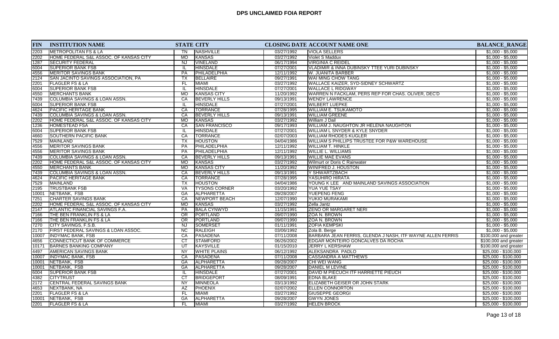| 2203<br>IMETROPOLITAN FS & LA<br>NASHVILLE<br><b>VIOLA SELLERS</b><br>03/27/1992<br>ΤN<br>HOME FEDERAL S&L ASSOC. OF KANSAS CITY<br><b>MO</b><br><b>KANSAS</b><br>03/27/1992<br>2202<br>Violet S Maddux<br>1287<br><b>NJ</b><br><b>VINELAND</b><br>06/17/1994<br> SECURITY FEDERAL<br><u>IVIRGINIA C REIDEL</u> | $$1,000 - $5,000$<br>$$1,000 - $5,000$<br>$$1,000 - $5,000$ |
|-----------------------------------------------------------------------------------------------------------------------------------------------------------------------------------------------------------------------------------------------------------------------------------------------------------------|-------------------------------------------------------------|
|                                                                                                                                                                                                                                                                                                                 |                                                             |
|                                                                                                                                                                                                                                                                                                                 |                                                             |
|                                                                                                                                                                                                                                                                                                                 |                                                             |
| <b>HINSDALE</b><br><b>SUPERIOR BANK FSB</b><br>07/27/2001<br>VLADIMIR & INNA DUBINSKY TTEE YURI DUBINSKY<br>6004<br>IL                                                                                                                                                                                          | $$1,000 - $5,000$                                           |
| 4556<br><b>MERITOR SAVINGS BANK</b><br>PA<br>PHILADELPHIA<br>12/11/1992<br>W. JUANITA BARBER                                                                                                                                                                                                                    | $$1,000 - $5,000$                                           |
| 09/27/1991<br>2124<br>SAN JACINTO SAVINGS ASSOCIATION, PA<br>ТX<br>BELLAIRE<br><b>WAI MING CHOW TANG</b>                                                                                                                                                                                                        | $$1,000 - $5,000$                                           |
| 03/27/1992<br>2201<br>FL.<br><b>MIAMI</b><br>WALLACE KAIZER, SYD-SIDNEY SCHWARTZ<br><b>FLAGLER FS &amp; LA</b>                                                                                                                                                                                                  | $$1,000 - $5,000$                                           |
| <b>SUPERIOR BANK FSB</b><br><b>HINSDALE</b><br>6004<br>07/27/2001<br><b>WALLACE L RIDGWAY</b><br>IL.                                                                                                                                                                                                            | $$1,000 - $5,000$                                           |
| 4550<br><b>KANSAS CITY</b><br>11/20/1992<br>WARREN N FACKLAM, PERS REP FOR CHAS. OLIVER, DEC'D<br><b>MERCHANTS BANK</b><br><b>MO</b>                                                                                                                                                                            | $$1,000 - $5,000$                                           |
| <b>BEVERLY HILLS</b><br>09/13/1991<br>7439<br>COLUMBIA SAVINGS & LOAN ASSN.<br>CA<br><b>WENDY LAWRENCE</b>                                                                                                                                                                                                      | $$1,000 - $5,000$                                           |
| 6004<br><b>SUPERIOR BANK FSB</b><br><b>HINSDALE</b><br>07/27/2001<br><b>WILBERT LUEPKE</b>                                                                                                                                                                                                                      | $$1,000 - $5,000$                                           |
| <b>PACIFIC HERITAGE BANK</b><br>CA<br><b>TORRANCE</b><br>07/28/1995<br><b>WILLIAM E. TSUKAMOTO</b><br>4624                                                                                                                                                                                                      | $$1,000 - $5,000$                                           |
| 7439<br> COLUMBIA SAVINGS & LOAN ASSN.<br>CA<br><b>BEVERLY HILLS</b><br>09/13/1991<br><b>WILLIAM GREENE</b>                                                                                                                                                                                                     | $$1,000 - $5,000$                                           |
| 2202<br>HOME FEDERAL S&L ASSOC. OF KANSAS CITY<br><b>MO</b><br>KANSAS<br>03/27/1992<br>William J Dail                                                                                                                                                                                                           | $$1,000 - $5,000$                                           |
| <b>SAN FRANCISCO</b><br>1236<br>CA<br>09/17/1993<br>WILLIAM J. NAUGHTON JR HELENA NAUGHTON<br>IHOMESTEAD FSA                                                                                                                                                                                                    | $$1,000 - $5,000$                                           |
| 6004<br>07/27/2001<br><b>SUPERIOR BANK FSB</b><br><b>HINSDALE</b><br><b>WILLIAM L SNYDER &amp; KYLE SNYDER</b><br>IL.                                                                                                                                                                                           | $$1,000 - $5,000$                                           |
| CA<br>4660<br><b>TORRANCE</b><br>02/07/2003<br><b>WILLIAM RHODES KUGLER</b><br> SOUTHERN PACIFIC BANK                                                                                                                                                                                                           | $$1,000 - $5,000$                                           |
| 7529<br>04/04/1986<br>MAINLAND<br>TX<br><b>HOUSTON</b><br><b>WILLIAM S PHILLIPS TRUSTEE FOR P&amp;W WAREHOUSE</b>                                                                                                                                                                                               | $$1,000 - $5,000$                                           |
| 4556<br><b>MERITOR SAVINGS BANK</b><br><b>PA</b><br>PHILADELPHIA<br>12/11/1992<br><b>WILLIAM T. HINKLE</b>                                                                                                                                                                                                      | $$1,000 - $5,000$                                           |
| 4556<br><b>IMERITOR SAVINGS BANK</b><br><b>PA</b><br>PHILADELPHIA<br>12/11/1992<br><b>WILLIE L. WILLIAMS</b>                                                                                                                                                                                                    | $$1,000 - $5,000$                                           |
| 7439<br>COLUMBIA SAVINGS & LOAN ASSN.<br>CA<br><b>BEVERLY HILLS</b><br>09/13/1991<br><b>WILLIE MAE EVANS</b>                                                                                                                                                                                                    | $$1,000 - $5,000$                                           |
| 03/27/1992<br>2202<br>HOME FEDERAL S&L ASSOC. OF KANSAS CITY<br><b>MO</b><br>KANSAS<br>Wilmurt or Doris C Rainwater                                                                                                                                                                                             | $$1,000 - $5,000$                                           |
| <b>MO</b><br><b>KANSAS CITY</b><br>4550<br><b>MERCHANTS BANK</b><br>11/20/1992<br>WINIFRED J. HOUSTON                                                                                                                                                                                                           | $$1,000 - $5,000$                                           |
| CA<br>7439<br>COLUMBIA SAVINGS & LOAN ASSN.<br>09/13/1991<br><b>BEVERLY HILLS</b><br>Y SHWARTZBACH                                                                                                                                                                                                              | $$1,000 - $5,000$                                           |
| CA<br><b>PACIFIC HERITAGE BANK</b><br><b>TORRANCE</b><br>07/28/1995<br><b>YASUHIRO HIRATA</b><br>4624                                                                                                                                                                                                           | $$1,000 - $5,000$                                           |
| 7529<br>TX<br>MAINLAND<br><b>HOUSTON</b><br>04/04/1986<br>YOUNG K LEE AND MAINLAND SAVINGS ASSOCIATION                                                                                                                                                                                                          | $$1,000 - $5,000$                                           |
| <b>TRUSTBANK FSB</b><br>VA<br><b>TYSONS CORNER</b><br>03/20/1992<br>2195<br><b>YUA YUE TSAY</b>                                                                                                                                                                                                                 | $$1,000 - $5,000$                                           |
| 10001<br>GA<br>ALPHARETTA<br>09/28/2007<br><b>YUEPENG FENG</b><br>NETBANK, FSB                                                                                                                                                                                                                                  | $$1,000 - $5,000$                                           |
| 7251<br><b>CHARTER SAVINGS BANK</b><br>CA<br><b>NEWPORT BEACH</b><br>12/07/1990<br>YUKIO MURAKAMI                                                                                                                                                                                                               | $$1,000 - $5,000$                                           |
| 2202<br>HOME FEDERAL S&L ASSOC. OF KANSAS CITY<br><b>MO</b><br><b>KANSAS</b><br>03/27/1992<br>Zella Jantz                                                                                                                                                                                                       | $$1,000 - $5,000$                                           |
| PA<br><b>BALA CYNWYD</b><br>11/15/1991<br><b>ZENO OR MARGARET NERI</b><br>2147<br>ATLANTIC FINANCIAL SAVINGS F.A.                                                                                                                                                                                               | $$1,000 - $5,000$                                           |
| OR<br><b>PORTLAND</b><br>09/07/1990<br><b>ZOA N. BROWN</b><br>7166<br>ITHE BEN FRANKLIN FS & LA                                                                                                                                                                                                                 | $$1,000 - $5,000$                                           |
| $\overline{OR}$<br>THE BEN FRANKLIN FS & LA<br>PORTLAND<br>09/07/1990<br><b>ZOA N. BROWN</b><br>7166                                                                                                                                                                                                            | $$1,000 - $5,000$                                           |
| 7270<br>$N_J$<br><b>SOMERSET</b><br>01/11/1991<br><b>ZOFIA KEMPSKI</b><br><b>CITY SAVINGS, F.S.B.</b>                                                                                                                                                                                                           | $$1,000 - $5,000$                                           |
| FIRST FEDERAL SAVINGS & LOAN ASSOC.<br>$\overline{NC}$<br>RALEIGH<br>2170<br>03/06/1992<br>Zola B. Berge                                                                                                                                                                                                        | $$1,000 - $5,000$                                           |
| CA<br><b>PASADENA</b><br>07/11/2008<br>BARBARA JEAN FERRIS, GLENDA J NASH, ITF WAYNE ALLEN FERRIS<br>10007<br>INDYMAC BANK, FSB                                                                                                                                                                                 | \$100,000 and greater                                       |
| 4656<br>CONNECTICUT BANK OF COMMERCE<br>CT<br><b>STAMFORD</b><br>06/26/2002<br>EDGAR MONTEIRO GONCALVES DA ROCHA                                                                                                                                                                                                | \$100,000 and greater                                       |
| $\overline{\mathsf{u}\mathsf{r}}$<br>KAYSVILLE<br>10171<br><b>BARNES BANKING COMPANY</b><br>01/15/2010<br><b>JERRY L KERSHAW</b>                                                                                                                                                                                | \$100,000 and greater                                       |
| <b>NY</b><br><b>WHITE PLAINS</b><br>06/12/1992<br><b>ALEKSANDRA PADLO</b><br>4497<br><b>AMERICAN SAVINGS BANK</b>                                                                                                                                                                                               | \$25,000 - \$100,000                                        |
| 10007<br><b>INDYMAC BANK, FSB</b><br>CA<br><b>PASADENA</b><br>07/11/2008<br><b>CASSANDRA A MATTHEWS</b>                                                                                                                                                                                                         | $$25,000 - $100,000$                                        |
| NETBANK, FSB<br><b>ALPHARETTA</b><br>10001<br>GA<br>09/28/2007<br>CHI WEI WANG                                                                                                                                                                                                                                  | \$25,000 - \$100,000                                        |
| NETBANK, FSB<br>GA<br>ALPHARETTA<br>09/28/2007<br>DANIEL M LEVINE<br>10001                                                                                                                                                                                                                                      | $$25,000 - $100,000$                                        |
| 07/27/2001<br>6004<br><b>SUPERIOR BANK FSB</b><br>HINSDALE<br>DAVID M PIECUCH ITF HARRIETTE PIEUCH<br>IL                                                                                                                                                                                                        | \$25,000 - \$100,000                                        |
| 4382<br><b>CITYTRUST</b><br>CT<br><b>BRIDGEPORT</b><br>08/09/1991<br><b>EDNA BLAKE</b>                                                                                                                                                                                                                          | $$25,000 - $100,000$                                        |
| 2172<br>NY<br>03/13/1992<br>CENTRAL FEDERAL SAVINGS BANK<br>MINNEOLA<br>ELIZABETH GEISER OR JOHN STARK                                                                                                                                                                                                          | $$25,000 - $100,000$                                        |
| 02/07/2002<br>AZ<br><b>PHOENIX</b><br><b>ELLEN CONNORTON</b><br>4653<br>NEXTBANK, NA                                                                                                                                                                                                                            | \$25,000 - \$100,000                                        |
| 2201<br>FL<br>03/27/1992<br><b>GIUSEPPE GEORGI</b><br><b>FLAGLER FS &amp; LA</b><br><b>MIAMI</b>                                                                                                                                                                                                                | $$25,000 - $100,000$                                        |
| 09/28/2007<br>10001<br><b>NETBANK, FSB</b><br>GA<br>ALPHARETTA<br><b>GWYN JONES</b>                                                                                                                                                                                                                             | $$25,000 - $100,000$                                        |
| 2201<br><b>FLAGLER FS &amp; LA</b><br><b>MIAMI</b><br>03/27/1992<br><b>HELEN BROCK</b><br>FL.                                                                                                                                                                                                                   | $$25,000 - $100,000$                                        |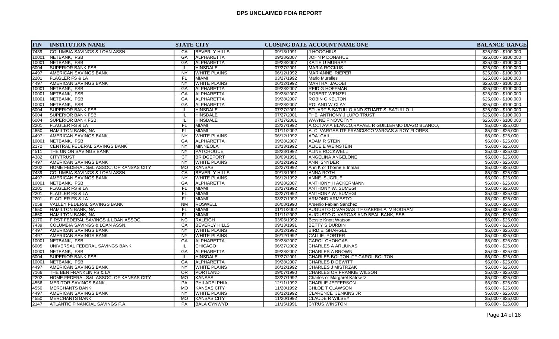| <b>FIN</b> | <b>INSTITUTION NAME</b>                | <b>STATE CITY</b> |                      |            | <b>CLOSING DATE ACCOUNT NAME ONE</b>              | <b>BALANCE_RANGE</b> |
|------------|----------------------------------------|-------------------|----------------------|------------|---------------------------------------------------|----------------------|
| 7439       | COLUMBIA SAVINGS & LOAN ASSN.          | CA                | <b>BEVERLY HILLS</b> | 09/13/1991 | <b>IJ HOOGHIUS</b>                                | $$25,000 - $100,000$ |
| 10001      | NETBANK, FSB                           | <b>GA</b>         | <b>ALPHARETTA</b>    | 09/28/2007 | JOHN P DONAHUE                                    | $$25,000 - $100,000$ |
| 10001      | NETBANK, FSB                           | <b>GA</b>         | <b>ALPHARETTA</b>    | 09/28/2007 | <b>KATIE U MURRAY</b>                             | $$25,000 - $100,000$ |
| 6004       | <b>SUPERIOR BANK FSB</b>               |                   | <b>HINSDALE</b>      | 07/27/2001 | <b>MARIA ROCKUS</b>                               | \$25,000 - \$100,000 |
| 4497       | <b>AMERICAN SAVINGS BANK</b>           | <b>NY</b>         | <b>WHITE PLAINS</b>  | 06/12/1992 | <b>MARIANNE RIEPER</b>                            | $$25,000 - $100,000$ |
| 2201       | <b>FLAGLER FS &amp; LA</b>             | FL.               | MIAMI                | 03/27/1992 | <b>Mario Muralles</b>                             | $$25,000 - $100,000$ |
| 4497       | AMERICAN SAVINGS BANK                  | <b>NY</b>         | <b>WHITE PLAINS</b>  | 06/12/1992 | MARTHA JACOBI                                     | \$25,000 - \$100,000 |
| 10001      | NETBANK, FSB                           | GA                | ALPHARETTA           | 09/28/2007 | <b>REID G HOFFMAN</b>                             | $$25,000 - $100,000$ |
| 10001      | NETBANK, FSB                           | GA                | <b>ALPHARETTA</b>    | 09/28/2007 | <b>ROBERT WENZEL</b>                              | \$25,000 - \$100,000 |
| 10001      | NETBANK, FSB                           | GA                | <b>ALPHARETTA</b>    | 09/28/2007 | <b>ROBIN C KELTON</b>                             | $$25,000 - $100,000$ |
| 10001      | NETBANK, FSB                           | GА                | ALPHARETTA           | 09/28/2007 | <b>ROLAND W CLAY</b>                              | $$25,000 - $100,000$ |
| 6004       | <b>SUPERIOR BANK FSB</b>               | Ш.                | <b>HINSDALE</b>      | 07/27/2001 | STUART S SATULLO AND STUART S. SATULLO II         | $$25,000 - $100,000$ |
| 6004       | <b>SUPERIOR BANK FSB</b>               | IL                | <b>HINSDALE</b>      | 07/27/2001 | THE ANTHONY J LUPO TRUST                          | \$25,000 - \$100,000 |
| 6004       | <b>SUPERIOR BANK FSB</b>               | IL                | <b>HINSDALE</b>      | 07/27/2001 | <b>WAYNE F NOVOTNY</b>                            | \$25,000 - \$100,000 |
| 2201       | <b>FLAGLER FS &amp; LA</b>             | FL                | <b>MIAMI</b>         | 03/27/1992 | A OCTAVIA BLANCO.RAFAEL R GUILLERMO DIAGO BLANCO. | $$5,000 - $25,000$   |
| 4650       | HAMILTON BANK, NA                      | <b>FL</b>         | MIAMI                | 01/11/2002 | A. C. VARGAS ITF FRANCISCO VARGAS & ROY FLORES    | $$5,000 - $25,000$   |
| 4497       | <b>AMERICAN SAVINGS BANK</b>           | NY                | <b>WHITE PLAINS</b>  | 06/12/1992 | <b>ADA CAIL</b>                                   | $$5,000 - $25,000$   |
| 10001      | NETBANK, FSB                           | <b>GA</b>         | ALPHARETTA           | 09/28/2007 | <b>ADAM R STEIN</b>                               | $$5,000 - $25,000$   |
| 2172       | CENTRAL FEDERAL SAVINGS BANK           | <b>NY</b>         | MINNEOLA             | 03/13/1992 | ALICE E WEINSTEIN                                 | $$5,000 - $25,000$   |
| 4511       | THE UNION SAVINGS BANK                 | <b>NY</b>         | <b>PATCHOGUE</b>     | 08/28/1992 | <b>ALINE ROCKWELL</b>                             | $$5,000 - $25,000$   |
| 4382       | <b>CITYTRUST</b>                       | $\overline{CT}$   | <b>BRIDGEPORT</b>    | 08/09/1991 | <b>ANGELINA ANGELONE</b>                          | $$5,000 - $25,000$   |
| 4497       | <b>AMERICAN SAVINGS BANK</b>           | <b>NY</b>         | <b>WHITE PLAINS</b>  | 06/12/1992 | ANN SNYDER                                        | $$5,000 - $25,000$   |
| 2202       | HOME FEDERAL S&L ASSOC. OF KANSAS CITY | <b>MO</b>         | KANSAS               | 03/27/1992 | Ann K or Thorne E Inman                           | $$5,000 - $25,000$   |
| 7439       | COLUMBIA SAVINGS & LOAN ASSN.          | CA                | <b>BEVERLY HILLS</b> | 09/13/1991 | <b>ANNA ROTH</b>                                  | $$5,000 - $25,000$   |
| 4497       | AMERICAN SAVINGS BANK                  | <b>NY</b>         | <b>WHITE PLAINS</b>  | 06/12/1992 | <b>ANNE SUGRUE</b>                                | $$5,000 - $25,000$   |
| 10001      | NETBANK, FSB                           | GA                | ALPHARETTA           | 09/28/2007 | <b>ANTHONY H ACKERMANN</b>                        | $$5,000 - $25,000$   |
| 2201       | <b>FLAGLER FS &amp; LA</b>             | FL                | MIAMI                | 03/27/1992 | ANTHONY W. SUMEGI                                 | $$5,000 - $25,000$   |
| 2201       | <b>FLAGLER FS &amp; LA</b>             | <b>FL</b>         | MIAMI                | 03/27/1992 | <b>ANTHONY W. SUMEGI</b>                          | $$5,000 - $25,000$   |
| 2201       | <b>FLAGLER FS &amp; LA</b>             | <b>FL</b>         | MIAMI                | 03/27/1992 | <b>ARMOND ARMESTO</b>                             | $$5,000 - $25,000$   |
| 7058       | VALLEY FEDERAL SAVINGS BANK            | <b>NM</b>         | <b>ROSWELL</b>       | 06/08/1990 | Arsenio Fabian Sanchez                            | $$5,000 - $25,000$   |
| 4650       | HAMILTON BANK, NA                      | <b>FL</b>         | <b>MIAMI</b>         | 01/11/2002 | AUGUSTO C VARGAS ITF GABRIELA V BOGRAN            | $$5,000 - $25,000$   |
| 4650       | <b>HAMILTON BANK, NA</b>               | <b>FL</b>         | <b>MIAMI</b>         | 01/11/2002 | AUGUSTO C. VARGAS AND BEAL BANK, SSB              | $$5,000 - $25,000$   |
| 2170       | FIRST FEDERAL SAVINGS & LOAN ASSOC.    | <b>NC</b>         | <b>RALEIGH</b>       | 03/06/1992 | Bessie Knott Watson                               | $$5,000 - $25,000$   |
| 7439       | COLUMBIA SAVINGS & LOAN ASSN.          | CA                | <b>BEVERLY HILLS</b> | 09/13/1991 | <b>BETTY S DURBIN</b>                             | $$5,000 - $25,000$   |
| 4497       | <b>AMERICAN SAVINGS BANK</b>           | <b>NY</b>         | <b>WHITE PLAINS</b>  | 06/12/1992 | <b>BIRDIE SHARGEL</b>                             | $$5,000 - $25,000$   |
| 4497       | AMERICAN SAVINGS BANK                  | NY                | <b>WHITE PLAINS</b>  | 06/12/1992 | <b>CALLIE PORTER</b>                              | $$5,000 - $25,000$   |
| 10001      | NETBANK, FSB                           | GA                | <b>ALPHARETTA</b>    | 09/28/2007 | <b>CAROL CHONGAS</b>                              | $$5,000 - $25,000$   |
| 6005       | UNIVERSAL FEDERAL SAVINGS BANK         |                   | <b>CHICAGO</b>       | 06/27/2002 | <b>CHARLES A ARLIUNAS</b>                         | $$5,000 - $25,000$   |
| 10001      | NETBANK, FSB                           | <b>GA</b>         | ALPHARETTA           | 09/28/2007 | <b>CHARLES A BROWN</b>                            | $$5,000 - $25,000$   |
| 6004       | <b>SUPERIOR BANK FSB</b>               |                   | <b>HINSDALE</b>      | 07/27/2001 | CHARLES BOLTON ITF CAROL BOLTON                   | $$5,000 - $25,000$   |
| 10001      | NETBANK, FSB                           | GA                | ALPHARETTA           | 09/28/2007 | <b>CHARLES D DEWITT</b>                           | $$5,000 - $25,000$   |
| 4497       | AMERICAN SAVINGS BANK                  | <b>NY</b>         | <b>WHITE PLAINS</b>  | 06/12/1992 | <b>CHARLES J MISTRZAK</b>                         | $$5,000 - $25,000$   |
| 7166       | THE BEN FRANKLIN FS & LA               | <b>OR</b>         | PORTLAND             | 09/07/1990 | CHARLES OR FRANKIE WILSON                         | $$5,000 - $25,000$   |
| 2202       | HOME FEDERAL S&L ASSOC. OF KANSAS CITY | <b>MO</b>         | <b>KANSAS</b>        | 03/27/1992 | Charles or Margaret Katowitz                      | $$5,000 - $25,000$   |
| 4556       | <b>MERITOR SAVINGS BANK</b>            | PA                | PHILADELPHIA         | 12/11/1992 | <b>CHARLIE JEFFERSON</b>                          | $$5,000 - $25,000$   |
| 4550       | <b>MERCHANTS BANK</b>                  | МO                | <b>KANSAS CITY</b>   | 11/20/1992 | <b>CHLOE T CLAWSON</b>                            | $$5,000 - $25,000$   |
| 4497       | <b>AMERICAN SAVINGS BANK</b>           | <b>NY</b>         | <b>WHITE PLAINS</b>  | 06/12/1992 | <b>CLARENCE JENKINS JR</b>                        | $$5,000 - $25,000$   |
| 4550       | <b>MERCHANTS BANK</b>                  | <b>MO</b>         | KANSAS CITY          | 11/20/1992 | <b>CLAUDE R WILSEY</b>                            | $$5,000 - $25,000$   |
| 2147       | <b>ATLANTIC FINANCIAL SAVINGS F.A.</b> | <b>PA</b>         | <b>BALA CYNWYD</b>   | 11/15/1991 | <b>CYRUS WINSTON</b>                              | $$5,000 - $25,000$   |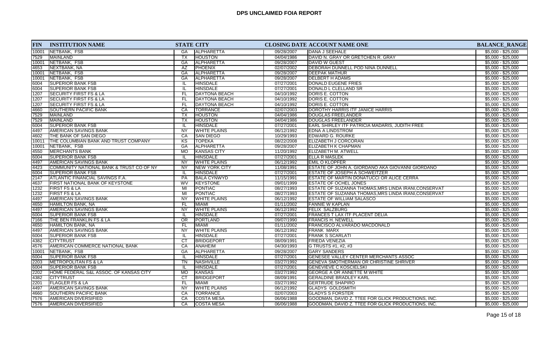| <b>FIN</b> | <b>INSTITUTION NAME</b>                  |                        | <b>STATE CITY</b>    |            | CLOSING DATE ACCOUNT NAME ONE                         | <b>BALANCE_RANGE</b> |
|------------|------------------------------------------|------------------------|----------------------|------------|-------------------------------------------------------|----------------------|
| 10001      | NETBANK, FSB                             | GA                     | <b>ALPHARETTA</b>    | 09/28/2007 | <b>DANA J SEEHALE</b>                                 | $$5,000 - $25,000$   |
| 7529       | MAINLAND                                 | <b>TX</b>              | <b>HOUSTON</b>       | 04/04/1986 | DAVID N. GRAY OR GRETCHEN R. GRAY                     | $$5,000 - $25,000$   |
| 10001      | NETBANK, FSB                             | GA                     | <b>ALPHARETTA</b>    | 09/28/2007 | <b>DAVID W GUEST</b>                                  | $$5,000 - $25,000$   |
| 4653       | NEXTBANK, NA                             | AZ                     | <b>PHOENIX</b>       | 02/07/2002 | DEBORAH DUNNELL POD NINA DUNNELL                      | $$5,000 - $25,000$   |
| 10001      | NETBANK, FSB                             | GA                     | <b>ALPHARETTA</b>    | 09/28/2007 | <b>DEEPAK MATHUR</b>                                  | $$5,000 - $25,000$   |
| 10001      | NETBANK, FSB                             | GA                     | <b>ALPHARETTA</b>    | 09/28/2007 | <b>DELBERT H ADAMS</b>                                | $$5,000 - $25,000$   |
| 6004       | <b>SUPERIOR BANK FSB</b>                 | IL.                    | HINSDALE             | 07/27/2001 | DONALD EUGENE FRIES                                   | $$5,000 - $25,000$   |
| 6004       | <b>SUPERIOR BANK FSB</b>                 | π                      | <b>HINSDALE</b>      | 07/27/2001 | DONALD L CLELLAND SR                                  | $$5,000 - $25,000$   |
| 1207       | <b>SECURITY FIRST FS &amp; LA</b>        | FL                     | DAYTONA BEACH        | 04/10/1992 | DORIS E. COTTON                                       | $$5,000 - $25,000$   |
| 1207       | <b>SECURITY FIRST FS &amp; LA</b>        | FL.                    | <b>DAYTONA BEACH</b> | 04/10/1992 | DORIS E. COTTON                                       | $$5,000 - $25,000$   |
| 1207       | <b>SECURITY FIRST FS &amp; LA</b>        | FL                     | <b>DAYTONA BEACH</b> | 04/10/1992 | DORIS E. COTTON                                       | $$5,000 - $25,000$   |
| 4660       | <b>SOUTHERN PACIFIC BANK</b>             | CA                     | <b>TORRANCE</b>      | 02/07/2003 | DOROTHY HARRIS ITF JANICE HARRIS                      | $$5,000 - $25,000$   |
| 7529       | <b>MAINLAND</b>                          | <b>TX</b>              | <b>HOUSTON</b>       | 04/04/1986 | DOUGLAS FREELANDER                                    | $$5,000 - $25,000$   |
| 7529       | <b>MAINLAND</b>                          | <b>TX</b>              | <b>HOUSTON</b>       | 04/04/1986 | <b>DOUGLAS FREELANDER</b>                             | $$5,000 - $25,000$   |
| 6004       | <b>SUPERIOR BANK FSB</b>                 | IL.                    | <b>HINSDALE</b>      | 07/27/2001 | <b>EARL SHIRLEY ITF PATRICIA MADARIS, JUDITH FREE</b> | $$5,000 - $25,000$   |
| 4497       | AMERICAN SAVINGS BANK                    | <b>NY</b>              | <b>WHITE PLAINS</b>  | 06/12/1992 | <b>EDNA A LINDSTROM</b>                               | $$5,000 - $25,000$   |
| 4602       | THE BANK OF SAN DIEGO                    | CA                     | <b>ISAN DIEGO</b>    | 10/29/1993 | <b>EDWARD G. ROURKE</b>                               | $$5,000 - $25,000$   |
| 10011      | THE COLUMBIAN BANK AND TRUST COMPANY     | KS                     | <b>TOPEKA</b>        | 08/22/2008 | <b>ELIZABETH J CORCORAN</b>                           | $$5,000 - $25,000$   |
| 10001      | NETBANK, FSB                             | GA                     | ALPHARETTA           | 09/28/2007 | <b>ELIZABETH K CHAPMAN</b>                            | $$5,000 - $25,000$   |
| 4550       | <b>MERCHANTS BANK</b>                    | <b>MO</b>              | <b>KANSAS CITY</b>   | 11/20/1992 | ELIZABETH M. ATWELL                                   | $$5,000 - $25,000$   |
| 6004       | <b>SUPERIOR BANK FSB</b>                 | IL                     | <b>HINSDALE</b>      | 07/27/2001 | <b>ELLA R MASLEK</b>                                  | $$5,000 - $25,000$   |
| 4497       | AMERICAN SAVINGS BANK                    | <b>NY</b>              | <b>WHITE PLAINS</b>  | 06/12/1992 | <b>EMIL O KLOPFER</b>                                 | $$5,000 - $25,000$   |
| 4423       | COMMUNITY NATIONAL BANK & TRUST CO OF NY | <b>NY</b>              | NEW YORK CITY        | 11/08/1991 | ESTATE OF JOHN A. GIORDANO AKA GIOVANNI GIORDANO      | $$5,000 - $25,000$   |
| 6004       | <b>SUPERIOR BANK FSB</b>                 | IL.                    | HINSDALE             | 07/27/2001 | <b>ESTATE OF JOSEPH A SCHWEITZER</b>                  | $$5,000 - $25,000$   |
| 2147       | ATLANTIC FINANCIAL SAVINGS F.A.          | PA                     | <b>BALA CYNWYD</b>   | 11/15/1991 | <b>ESTATE OF MARTIN DONATUCCI OR ALICE CERRA</b>      | $$5,000 - $25,000$   |
| 4637       | <b>FIRST NATIONAL BANK OF KEYSTONE</b>   | WV                     | <b>KEYSTONE</b>      | 09/01/1999 | <b>ESTATE OF OCHEL JONES</b>                          | $$5,000 - $25,000$   |
| 1232       | <b>FIRST FS &amp; LA</b>                 | MI                     | PONTIAC              | 08/27/1993 | ESTATE OF SUZANNA THOMAS, MRS LINDA IRANI, CONSERVAT  | $$5,000 - $25,000$   |
| 1232       | <b>FIRST FS &amp; LA</b>                 | MI                     | PONTIAC              | 08/27/1993 | ESTATE OF SUZANNA THOMAS, MRS LINDA IRANI, CONSERVAT  | $$5,000 - $25,000$   |
| 4497       | <b>AMERICAN SAVINGS BANK</b>             | NY                     | <b>WHITE PLAINS</b>  | 06/12/1992 | <b>ESTATE OF WILLIAM SALASCO</b>                      | $$5,000 - $25,000$   |
| 4650       | HAMILTON BANK, NA                        | FL.                    | <b>MIAMI</b>         | 01/11/2002 | <b>FANNIE W KAPLAN</b>                                | $$5,000 - $25,000$   |
| 4497       | <b>AMERICAN SAVINGS BANK</b>             | <b>NY</b>              | <b>WHITE PLAINS</b>  | 06/12/1992 | <b>FELIX SALZBURG</b>                                 | $$5,000 - $25,000$   |
| 6004       | <b>SUPERIOR BANK FSB</b>                 | IL                     | <b>HINSDALE</b>      | 07/27/2001 | <b>FRANCES T LAX ITF PLACENT DELIA</b>                | $$5,000 - $25,000$   |
| 7166       | THE BEN FRANKLIN FS & LA                 | $\overline{OR}$        | <b>PORTLAND</b>      | 09/07/1990 | <b>FRANCIS H. NEWELL</b>                              | $$5,000 - $25,000$   |
| 4650       | HAMILTON BANK, NA                        | FL.                    | <b>MIAMI</b>         | 01/11/2002 | <b>FRANCISCO ALVARADO MACDONALD</b>                   | $$5,000 - $25,000$   |
| 4497       | <b>AMERICAN SAVINGS BANK</b>             | NY                     | <b>WHITE PLAINS</b>  | 06/12/1992 | <b>FRANK MARX</b>                                     | $$5,000 - $25,000$   |
| 6004       | <b>ISUPERIOR BANK FSB</b>                | IL                     | <b>HINSDALE</b>      | 07/27/2001 | <b>FRANK S SCARLATI</b>                               | $$5,000 - $25,000$   |
| 4382       | <b>CITYTRUST</b>                         | $\overline{\text{CT}}$ | <b>BRIDGEPORT</b>    | 08/09/1991 | <b>FRIEDA VENEZIA</b>                                 | $$5,000 - $25,000$   |
| 4576       | AMERICAN COMMERCE NATIONAL BANK          | CA                     | ANAHEIM              | 04/30/1993 | G TRUSTS #1, #2, #3                                   | $$5,000 - $25,000$   |
| 10001      | NETBANK, FSB                             | <b>GA</b>              | <b>ALPHARETTA</b>    | 09/28/2007 | <b>GARY SANDERS</b>                                   | $$5,000 - $25,000$   |
| 6004       | <b>SUPERIOR BANK FSB</b>                 | IL.                    | <b>HINSDALE</b>      | 07/27/2001 | <b>GENESEE VALLEY CENTER MERCHANTS ASSOC</b>          | $$5,000 - $25,000$   |
| 2203       | <b>METROPOLITAN FS &amp; LA</b>          | $\overline{\text{TN}}$ | <b>NASHVILLE</b>     | 03/27/1992 | <b>GENEVA SMOTHERMAN OR CHRISTINE SHRIVER</b>         | $$5,000 - $25,000$   |
| 6004       | <b>SUPERIOR BANK FSB</b>                 | IL                     | <b>HINSDALE</b>      | 07/27/2001 | <b>GENEVIEVE C KOSCIELSKI</b>                         | $$5,000 - $25,000$   |
| 2202       | HOME FEDERAL S&L ASSOC. OF KANSAS CITY   | <b>MO</b>              | KANSAS               | 03/27/1992 | <b>GEORGE A OR ANNETTE M WHITE</b>                    | $$5,000 - $25,000$   |
| 4382       | <b>CITYTRUST</b>                         | $\overline{c}$         | <b>BRIDGEPORT</b>    | 08/09/1991 | <b>GERALDINE BRADLEY KARL</b>                         | $$5,000 - $25,000$   |
| 2201       | <b>FLAGLER FS &amp; LA</b>               | FL.                    | <b>MIAMI</b>         | 03/27/1992 | <b>GERTRUDE SHAPIRO</b>                               | $$5,000 - $25,000$   |
| 4497       | <b>AMERICAN SAVINGS BANK</b>             | <b>NY</b>              | <b>WHITE PLAINS</b>  | 06/12/1992 | <b>GLADYS GOLDSMITH</b>                               | $$5,000 - $25,000$   |
| 4660       | <b>SOUTHERN PACIFIC BANK</b>             | CA                     | TORRANCE             | 02/07/2003 | <b>GLADYS S FORSTER</b>                               | $$5,000 - $25,000$   |
| 7576       | <b>AMERICAN DIVERSIFIED</b>              | CA                     | <b>COSTA MESA</b>    | 06/06/1988 | GOODMAN, DAVID Z. TTEE FOR GLICK PRODUCTIONS, INC.    | $$5,000 - $25,000$   |
| 7576       | <b>AMERICAN DIVERSIFIED</b>              | СA                     | <b>COSTA MESA</b>    | 06/06/1988 | GOODMAN, DAVID Z. TTEE FOR GLICK PRODUCTIONS, INC.    | $$5,000 - $25,000$   |
|            |                                          |                        |                      |            |                                                       |                      |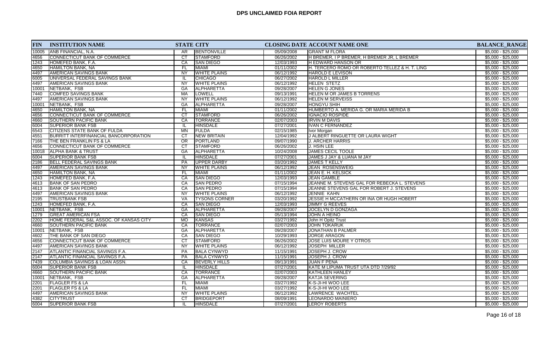| <b>FIN</b> | <b>INSTITUTION NAME</b>                      | <b>STATE CITY</b>                      |            | <b>CLOSING DATE ACCOUNT NAME ONE</b>           | <b>BALANCE_RANGE</b> |
|------------|----------------------------------------------|----------------------------------------|------------|------------------------------------------------|----------------------|
| 10005      | IANB FINANCIAL, N.A.                         | <b>BENTONVILLE</b><br>AR.              | 05/09/2008 | <b>GRANT M FLORA</b>                           | $$5,000 - $25,000$   |
| 4656       | CONNECTICUT BANK OF COMMERCE                 | <b>STAMFORD</b><br><b>CT</b>           | 06/26/2002 | H BREMER, I P BREMER, H BREMER JR, L BREMER    | $$5,000 - $25,000$   |
| 1243       | HOMEFED BANK, F.A.                           | <b>SAN DIEGO</b><br>CA                 | 12/03/1993 | <b>H EDWARD HANSON OR</b>                      | $$5,000 - $25,000$   |
| 4650       | <b>HAMILTON BANK, NA</b>                     | <b>MIAMI</b><br>FL.                    | 01/11/2002 | H. TERCERO ROMO OR ROBERTO TELLEZ & H. T. LING | $$5,000 - $25,000$   |
| 4497       | <b>AMERICAN SAVINGS BANK</b>                 | $\overline{NY}$<br><b>WHITE PLAINS</b> | 06/12/1992 | HAROLD E LEVISON                               | $$5,000 - $25,000$   |
| 6005       | UNIVERSAL FEDERAL SAVINGS BANK               | <b>CHICAGO</b><br>IL.                  | 06/27/2002 | <b>HAROLD L MILLER</b>                         | $$5,000 - $25,000$   |
| 4497       | <b>AMERICAN SAVINGS BANK</b>                 | <b>NY</b><br><b>WHITE PLAINS</b>       | 06/12/1992 | <b>HELEN STETZ</b>                             | $$5,000 - $25,000$   |
| 10001      | NETBANK, FSB                                 | GA<br> ALPHARETTA                      | 09/28/2007 | <b>HELEN G JONES</b>                           | $$5,000 - $25,000$   |
| 7440       | <b>COMFED SAVINGS BANK</b>                   | LOWELL<br>MA                           | 09/13/1991 | <b>HELEN M OR JAMES B TORRENS</b>              | $$5,000 - $25,000$   |
| 4497       | <b>AMERICAN SAVINGS BANK</b>                 | <b>WHITE PLAINS</b><br><b>NY</b>       | 06/12/1992 | <b>HELEN M SERVEISS</b>                        | $$5,000 - $25,000$   |
| 10001      | <b>NETBANK, FSB</b>                          | GA<br>ALPHARETTA                       | 09/28/2007 | <b>HONGYU SHIH</b>                             | $$5,000 - $25,000$   |
| 4650       | <b>HAMILTON BANK, NA</b>                     | <b>MIAMI</b><br>FL.                    | 01/11/2002 | HUMBERTO A. MERIDA G. OR MARIA MERIDA B        | $$5,000 - $25,000$   |
| 4656       | CONNECTICUT BANK OF COMMERCE                 | CT<br><b>STAMFORD</b>                  | 06/26/2002 | IGNACIO ROSPIDE                                | $$5,000 - $25,000$   |
| 4660       | <b>SOUTHERN PACIFIC BANK</b>                 | <b>TORRANCE</b><br>CA                  | 02/07/2003 | <b>IRVIN M DAVIS</b>                           | $$5,000 - $25,000$   |
| 6004       | <b>SUPERIOR BANK FSB</b>                     | <b>HINSDALE</b><br>-lL                 | 07/27/2001 | <b>IVAN C FERNANDEZ</b>                        | $$5,000 - $25,000$   |
| 6543       | <b>CITIZENS STATE BANK OF FULDA</b>          | FULDA<br>MN                            | 02/15/1985 | Ivor Morgan                                    | $$5,000 - $25,000$   |
| 4551       | <b>BURRITT INTERFINANCIAL BANCORPORATION</b> | $\overline{CT}$<br><b>NEW BRITAIN</b>  | 12/04/1992 | J ALBERT RINGUETTE OR LAURA WIGHT              | $$5,000 - $25,000$   |
| 7166       | THE BEN FRANKLIN FS & LA                     | OR<br><b>PORTLAND</b>                  | 09/07/1990 | <b>J. ARCHER HARRIS</b>                        | $$5,000 - $25,000$   |
| 4656       | CONNECTICUT BANK OF COMMERCE                 | CT<br><b>STAMFORD</b>                  | 06/26/2002 | J. HSIN LEE                                    | $$5,000 - $25,000$   |
| 10018      | <b>ALPHA BANK &amp; TRUST</b>                | GA<br>ALPHARETTA                       | 10/24/2008 | JAMES CECIL TOOLE                              | $$5,000 - $25,000$   |
| 6004       | <b>SUPERIOR BANK FSB</b>                     | <b>HINSDALE</b><br>IL                  | 07/27/2001 | JAMES J JAY & LUANA M JAY                      | $$5,000 - $25,000$   |
| 2186       | BELL FEDERAL SAVINGS BANK                    | <b>PA</b><br>UPPER DARBY               | 03/20/1992 | <b>JAMES T KELLY</b>                           | $$5,000 - $25,000$   |
| 4497       | <b>AMERICAN SAVINGS BANK</b>                 | <b>NY</b><br><b>WHITE PLAINS</b>       | 06/12/1992 | JEAN ROSENSWEIG                                | $$5,000 - $25,000$   |
| 4650       | HAMILTON BANK, NA                            | FL<br><b>MIAMI</b>                     | 01/11/2002 | JEAN E. H. KELSICK                             | $$5,000 - $25,000$   |
| 1243       | HOMEFED BANK, F.A.                           | CA<br><b>SAN DIEGO</b>                 | 12/03/1993 | <b>JEAN GAMBLE</b>                             | $$5,000 - $25,000$   |
| 4613       | <b>BANK OF SAN PEDRO</b>                     | <b>SAN PEDRO</b><br>CA                 | 07/15/1994 | JEANNE M. STEVENS GAL FOR REBECKA L. STEVENS   | $$5,000 - $25,000$   |
| 4613       | <b>BANK OF SAN PEDRO</b>                     | <b>SAN PEDRO</b><br>CA                 | 07/15/1994 | JEANNE STEVENS GAL FOR ROBERT J. STEVENS       | $$5,000 - $25,000$   |
| 4497       | <b>AMERICAN SAVINGS BANK</b>                 | <b>WHITE PLAINS</b><br><b>NY</b>       | 06/12/1992 | JENNIE KAHN                                    | $$5,000 - $25,000$   |
| 2195       | <b>TRUSTBANK FSB</b>                         | <b>VA</b><br><b>TYSONS CORNER</b>      | 03/20/1992 | JESSIE H MCCATHERN OR INA OR HUGH HOBERT       | $$5,000 - $25,000$   |
| 1243       | HOMEFED BANK, F.A.                           | <b>SAN DIEGO</b><br>CA                 | 12/03/1993 | <b>JIMMY G REEVES</b>                          | $$5,000 - $25,000$   |
| 10001      | NETBANK, FSB                                 | GA<br>ALPHARETTA                       | 09/28/2007 | JOCELYN D GONZAGA                              | $$5,000 - $25,000$   |
| 1279       | <b>GREAT AMERICAN FSA</b>                    | CA<br><b>SAN DIEGO</b>                 | 05/13/1994 | <b>JOHN A HEINO</b>                            | $$5,000 - $25,000$   |
| 2202       | HOME FEDERAL S&L ASSOC. OF KANSAS CITY       | <b>MO</b><br>KANSAS                    | 03/27/1992 | John H Opitz Trust                             | $$5,000 - $25,000$   |
| 4660       | <b>SOUTHERN PACIFIC BANK</b>                 | CA<br><b>TORRANCE</b>                  | 02/07/2003 | <b>JOHN TOKARUK</b>                            | $$5,000 - $25,000$   |
| 10001      | NETBANK, FSB                                 | GA<br>ALPHARETTA                       | 09/28/2007 | <b>JONATHAN B PALMER</b>                       | $$5,000 - $25,000$   |
| 4602       | THE BANK OF SAN DIEGO                        | CA<br><b>SAN DIEGO</b>                 | 10/29/1993 | <b>JORGE ARAGON</b>                            | $$5,000 - $25,000$   |
| 4656       | CONNECTICUT BANK OF COMMERCE                 | CT<br><b>STAMFORD</b>                  | 06/26/2002 | JOSE LUIS MOURE Y OTROS                        | $$5,000 - $25,000$   |
| 4497       | <b>AMERICAN SAVINGS BANK</b>                 | NY.<br><b>WHITE PLAINS</b>             | 06/12/1992 | JOSEPH MILLER                                  | $$5,000 - $25,000$   |
| 2147       | ATLANTIC FINANCIAL SAVINGS F.A.              | <b>PA</b><br><b>BALA CYNWYD</b>        | 11/15/1991 | JOSEPH J. CROW                                 | $$5,000 - $25,000$   |
| 2147       | ATLANTIC FINANCIAL SAVINGS F.A.              | <b>BALA CYNWYD</b><br><b>PA</b>        | 11/15/1991 | JOSEPH J. CROW                                 | $$5,000 - $25,000$   |
| 7439       | <b>COLUMBIA SAVINGS &amp; LOAN ASSN.</b>     | CA<br><b>BEVERLY HILLS</b>             | 09/13/1991 | <b>JUAN F PENA</b>                             | $$5,000 - $25,000$   |
| 6004       | <b>SUPERIOR BANK FSB</b>                     | HINSDALE<br>IL.                        | 07/27/2001 | KATE M LIPUMA TRUST UTA DTD 7/29/92            | $$5,000 - $25,000$   |
| 4660       | <b>SOUTHERN PACIFIC BANK</b>                 | CA<br><b>TORRANCE</b>                  | 02/07/2003 | KATHLEEN HANLEY                                | $$5,000 - $25,000$   |
| 10001      | <b>NETBANK, FSB</b>                          | GA<br>ALPHARETTA                       | 09/28/2007 | <b>KATJA SEVERING</b>                          | $$5,000 - $25,000$   |
| 2201       | <b>FLAGLER FS &amp; LA</b>                   | FL.<br><b>MIAMI</b>                    | 03/27/1992 | K-S-JI-HI WOO LEE                              | $$5,000 - $25,000$   |
| 2201       | <b>FLAGLER FS &amp; LA</b>                   | FL<br><b>MIAMI</b>                     | 03/27/1992 | K-S-JI-HI WOO LEE                              | $$5,000 - $25,000$   |
| 4497       | <b>AMERICAN SAVINGS BANK</b>                 | $\overline{NY}$<br><b>WHITE PLAINS</b> | 06/12/1992 | LAWRENCE WACHTEL                               | $$5,000 - $25,000$   |
| 4382       | <b>CITYTRUST</b>                             | СT<br><b>BRIDGEPORT</b>                | 08/09/1991 | <b>LEONARDO MAINIERO</b>                       | $$5,000 - $25,000$   |
| 6004       | <b>SUPERIOR BANK FSB</b>                     | HINSDALE<br>IL.                        | 07/27/2001 | LEROY ROBERTS                                  | $$5,000 - $25,000$   |
|            |                                              |                                        |            |                                                |                      |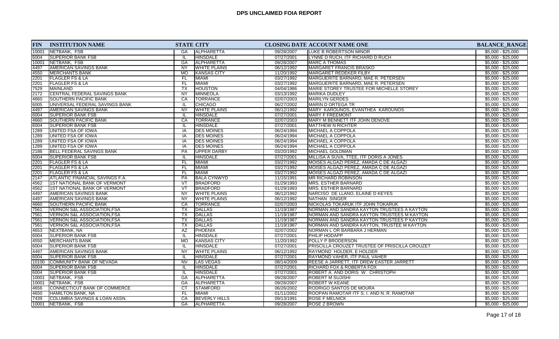| <b>FIN</b> | <b>INSTITUTION NAME</b>                  | <b>STATE CITY</b>      |                      |            | <b>CLOSING DATE ACCOUNT NAME ONE</b>           |                    |  |  |
|------------|------------------------------------------|------------------------|----------------------|------------|------------------------------------------------|--------------------|--|--|
| 10001      | NETBANK, FSB                             | GA                     | <b>ALPHARETTA</b>    | 09/28/2007 | <b>LUKE B ROBERTSON MINOR</b>                  | $$5,000 - $25,000$ |  |  |
| 6004       | <b>SUPERIOR BANK FSB</b>                 | IL                     | <b>HINSDALE</b>      | 07/27/2001 | LYNNE D RUCH, ITF RICHARD D RUCH               | $$5,000 - $25,000$ |  |  |
| 10001      | NETBANK, FSB                             | <b>GA</b>              | <b>ALPHARETTA</b>    | 09/28/2007 | <b>IMARC A THOMAS</b>                          | $$5,000 - $25,000$ |  |  |
| 4497       | AMERICAN SAVINGS BANK                    | <b>NY</b>              | <b>WHITE PLAINS</b>  | 06/12/1992 | <b>MARGARET FRANCIS BRASKO</b>                 | $$5,000 - $25,000$ |  |  |
| 4550       | <b>MERCHANTS BANK</b>                    | <b>MO</b>              | KANSAS CITY          | 11/20/1992 | MARGARET REDEKER FILBY                         | $$5,000 - $25,000$ |  |  |
| 2201       | <b>FLAGLER FS &amp; LA</b>               | <b>FL</b>              | MIAMI                | 03/27/1992 | MARGUERITE BARNARD, MAE R. PETERSEN            | $$5,000 - $25,000$ |  |  |
| 2201       | <b>FLAGLER FS &amp; LA</b>               | <b>FL</b>              | MIAMI                | 03/27/1992 | MARGUERITE BARNARD, MAE R. PETERSEN            | $$5,000 - $25,000$ |  |  |
| 7529       | <b>MAINLAND</b>                          | $\overline{TX}$        | <b>HOUSTON</b>       | 04/04/1986 | MARIE STOREY TRUSTEE FOR MICHELLE STOREY       | $$5,000 - $25,000$ |  |  |
| 2172       | CENTRAL FEDERAL SAVINGS BANK             | <b>NY</b>              | MINNEOLA             | 03/13/1992 | MARIKA DUDLEY                                  | $$5,000 - $25,000$ |  |  |
| 4660       | SOUTHERN PACIFIC BANK                    | CA                     | <b>TORRANCE</b>      | 02/07/2003 | MARILYN GERDES                                 | $$5,000 - $25,000$ |  |  |
| 6005       | UNIVERSAL FEDERAL SAVINGS BANK           |                        | <b>CHICAGO</b>       | 06/27/2002 | MARIN D ORTEGA TR                              | $$5,000 - $25,000$ |  |  |
| 4497       | AMERICAN SAVINGS BANK                    | <b>NY</b>              | <b>WHITE PLAINS</b>  | 06/12/1992 | <b>MARY KAROUNOS, EVANTHEA KAROUNOS</b>        | $$5,000 - $25,000$ |  |  |
| 6004       | <b>SUPERIOR BANK FSB</b>                 | IL                     | <b>HINSDALE</b>      | 07/27/2001 | MARY F FREEMONT                                | $$5,000 - $25,000$ |  |  |
| 4660       | <b>SOUTHERN PACIFIC BANK</b>             | CA                     | <b>TORRANCE</b>      | 02/07/2003 | MARY M BENNETT ITF JOHN DENOVE                 | $$5,000 - $25,000$ |  |  |
| 6004       | <b>SUPERIOR BANK FSB</b>                 | IL                     | <b>HINSDALE</b>      | 07/27/2001 | <b>IMATTHEW N RICHTER</b>                      | $$5,000 - $25,000$ |  |  |
| 1289       | UNITED FSA OF IOWA                       | IA                     | <b>DES MOINES</b>    | 06/24/1994 | MICHAEL A COPPOLA                              | $$5,000 - $25,000$ |  |  |
| 1289       | UNITED FSA OF IOWA                       | IA                     | <b>DES MOINES</b>    | 06/24/1994 | <b>MICHAEL A COPPOLA</b>                       | $$5,000 - $25,000$ |  |  |
| 1289       | UNITED FSA OF IOWA                       | IA                     | <b>DES MOINES</b>    | 06/24/1994 | <b>MICHAEL A COPPOLA</b>                       | $$5,000 - $25,000$ |  |  |
| 1289       | UNITED FSA OF IOWA                       | IA                     | <b>DES MOINES</b>    | 06/24/1994 | <b>MICHAEL A COPPOLA</b>                       | $$5,000 - $25,000$ |  |  |
| 2186       | <b>BELL FEDERAL SAVINGS BANK</b>         | PA                     | <b>UPPER DARBY</b>   | 03/20/1992 | MICHAEL GOLDMAN                                | $$5,000 - $25,000$ |  |  |
| 6004       | <b>SUPERIOR BANK FSB</b>                 | $\mathbf{u}$           | <b>HINSDALE</b>      | 07/27/2001 | MILLISA A SUVA, TTEE, ITF DORIS A JONES        | $$5,000 - $25,000$ |  |  |
| 2201       | <b>FLAGLER FS &amp; LA</b>               | <b>FL</b>              | <b>MIAMI</b>         | 03/27/1992 | MOISES ALGAZI PEREZ, AMADA C DE ALGAZI         | $$5,000 - $25,000$ |  |  |
| 2201       | <b>FLAGLER FS &amp; LA</b>               | <b>FL</b>              | <b>MIAMI</b>         | 03/27/1992 | MOISES ALGAZI PEREZ, AMADA C DE ALGAZI         | $$5,000 - $25,000$ |  |  |
| 2201       | <b>FLAGLER FS &amp; LA</b>               | <b>FL</b>              | <b>MIAMI</b>         | 03/27/1992 | MOISES ALGAZI PEREZ, AMADA C DE ALGAZI         | $$5,000 - $25,000$ |  |  |
| 2147       | <b>ATLANTIC FINANCIAL SAVINGS F.A.</b>   | <b>PA</b>              | BALA CYNWYD          | 11/15/1991 | <b>MR RICHARD ROBINSON</b>                     | $$5,000 - $25,000$ |  |  |
| 4562       | 1ST NATIONAL BANK OF VERMONT             | VT                     | BRADFORD             | 01/29/1993 | <b>MRS. ESTHER BARNARD</b>                     | $$5,000 - $25,000$ |  |  |
| 4562       | 1ST NATIONAL BANK OF VERMONT             | $\overline{\text{VT}}$ | BRADFORD             | 01/29/1993 | MRS. ESTHER BARNARD                            | $$5,000 - $25,000$ |  |  |
| 4497       | AMERICAN SAVINGS BANK                    | <b>NY</b>              | <b>WHITE PLAINS</b>  | 06/12/1992 | NARCISO DE LLANO, ELAINE D KEYES               | $$5,000 - $25,000$ |  |  |
| 4497       | <b>AMERICAN SAVINGS BANK</b>             | <b>NY</b>              | <b>WHITE PLAINS</b>  | 06/12/1992 | NATHAN SINGER                                  | $$5,000 - $25,000$ |  |  |
| 4660       | SOUTHERN PACIFIC BANK                    | CA                     | <b>TORRANCE</b>      | 02/07/2003 | NICKOLAS TOKARUK ITF JOHN TOKARUK              | $$5,000 - $25,000$ |  |  |
| 7561       | VERNON S&L ASSOCIATION, FSA              | <b>TX</b>              | DALLAS               | 11/19/1987 | NORMAN AND SANDRA KAYTON TRUSTEES A KAYTON     | $$5,000 - $25,000$ |  |  |
| 7561       | <b>VERNON S&amp;L ASSOCIATION, FSA</b>   | TX                     | <b>DALLAS</b>        | 11/19/1987 | NORMAN AND SANDRA KAYTON TRUSTEES M KAYTON     | $$5,000 - $25,000$ |  |  |
| 7561       | <b>VERNON S&amp;L ASSOCIATION, FSA</b>   | TX                     | <b>DALLAS</b>        | 11/19/1987 | NORMAN AND SANDRA KAYTON TRUSTEES P KAYTON     | $$5,000 - $25,000$ |  |  |
| 7561       | <b>VERNON S&amp;L ASSOCIATION, FSA</b>   | <b>TX</b>              | DALLAS               | 11/19/1987 | NORMAN AND SANDRA KAYTON, TRUSTEE M KAYTON     | $$5,000 - $25,000$ |  |  |
| 4653       | NEXTBANK, NA                             | AZ                     | <b>PHOENIX</b>       | 02/07/2002 | NORMAN L OR BARBARA J HERMAN                   | $$5,000 - $25,000$ |  |  |
| 6004       | <b>SUPERIOR BANK FSB</b>                 | IL                     | <b>HINSDALE</b>      | 07/27/2001 | <b>PHILIP HODAPP</b>                           | $$5,000 - $25,000$ |  |  |
| 4550       | <b>MERCHANTS BANK</b>                    | <b>MO</b>              | <b>KANSAS CITY</b>   | 11/20/1992 | POLLY P BRODERSON                              | $$5,000 - $25,000$ |  |  |
| 6004       | <b>SUPERIOR BANK FSB</b>                 |                        | <b>HINSDALE</b>      | 07/27/2001 | PRISCILLA CROUZET TRUSTEE OF PRISCILLA CROUZET | $$5,000 - $25,000$ |  |  |
| 4497       | AMERICAN SAVINGS BANK                    | <b>NY</b>              | <b>WHITE PLAINS</b>  | 06/12/1992 | RAYMOND HOLDER, E HOLDER                       | $$5,000 - $25,000$ |  |  |
| 6004       | <b>SUPERIOR BANK FSB</b>                 |                        | <b>HINSDALE</b>      | 07/27/2001 | RAYMOND VAHER, ITF PAUL VAHER                  | $$5,000 - $25,000$ |  |  |
| 10100      | COMMUNITY BANK OF NEVADA                 | $\overline{\text{NV}}$ | <b>LAS VEGAS</b>     | 08/14/2009 | REESE A JARRETT, ITF DREW EASTER JARRETT       | $$5,000 - $25,000$ |  |  |
| 6004       | <b>SUPERIOR BANK FSB</b>                 | IL                     | <b>HINSDALE</b>      | 07/27/2001 | <b>RICHARD FOX &amp; ROBERTA FOX</b>           | $$5,000 - $25,000$ |  |  |
| 6004       | <b>SUPERIOR BANK FSB</b>                 | IL                     | <b>HINSDALE</b>      | 07/27/2001 | ROBERT A. AND DORIS W. CHRISTOPH               | $$5,000 - $25,000$ |  |  |
| 10001      | NETBANK, FSB                             | <b>GA</b>              | ALPHARETTA           | 09/28/2007 | <b>ROBERT M SUJISHI</b>                        | $$5,000 - $25,000$ |  |  |
| 10001      | NETBANK, FSB                             | <b>GA</b>              | <b>ALPHARETTA</b>    | 09/28/2007 | <b>ROBERT W KEANE</b>                          | $$5,000 - $25,000$ |  |  |
| 4656       | CONNECTICUT BANK OF COMMERCE             | CT                     | <b>STAMFORD</b>      | 06/26/2002 | <b>RODRIGO SANTOS DE MOURA</b>                 | $$5,000 - $25,000$ |  |  |
| 4650       | HAMILTON BANK, NA                        | FL.                    | MIAMI                | 01/11/2002 | ROOPAN RAMOTAR ITF S. I. AND N. R. RAMOTAR     | $$5,000 - $25,000$ |  |  |
| 7439       | <b>COLUMBIA SAVINGS &amp; LOAN ASSN.</b> | CA                     | <b>BEVERLY HILLS</b> | 09/13/1991 | <b>ROSE F MELNICK</b>                          | $$5,000 - $25,000$ |  |  |
| 10001      | NETBANK, FSB                             | GA                     | ALPHARETTA           | 09/28/2007 | <b>ROSE Z BROWN</b>                            | $$5,000 - $25,000$ |  |  |
|            |                                          |                        |                      |            |                                                |                    |  |  |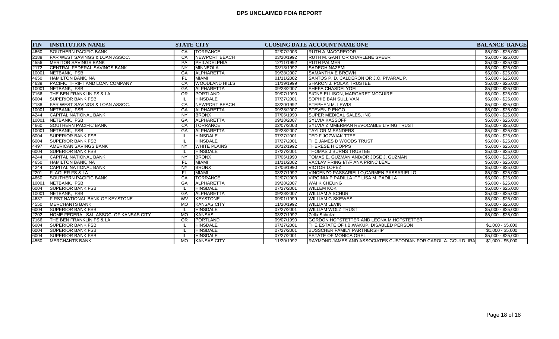| <b>FIN</b> | <b>INSTITUTION NAME</b>                    |                 | <b>STATE CITY</b>     |            | <b>CLOSING DATE ACCOUNT NAME ONE</b>                            | <b>BALANCE RANGE</b> |
|------------|--------------------------------------------|-----------------|-----------------------|------------|-----------------------------------------------------------------|----------------------|
| 4660       | <b>SOUTHERN PACIFIC BANK</b>               | CA              | <b>TORRANCE</b>       | 02/07/2003 | <b>IRUTH A MACGREGOR</b>                                        | $$5,000 - $25,000$   |
| 2188       | <b>IFAR WEST SAVINGS &amp; LOAN ASSOC.</b> | CA              | INEWPORT BEACH        | 03/20/1992 | <b>RUTH M. GANT OR CHARLENE SPEER</b>                           | $$5,000 - $25,000$   |
| 4556       | IMERITOR SAVINGS BANK                      | PA              | PHILADELPHIA          | 12/11/1992 | <b>RUTH PALMER</b>                                              | $$5,000 - $25,000$   |
| 2172       | CENTRAL FEDERAL SAVINGS BANK               | <b>NY</b>       | MINNEOLA              | 03/13/1992 | <b>SADEGH NAZEMI</b>                                            | $$5,000 - $25,000$   |
| 10001      | NETBANK, FSB                               | GA              | <b>ALPHARETTA</b>     | 09/28/2007 | <b>SAMANTHA E BROWN</b>                                         | $$5,000 - $25,000$   |
| 4650       | HAMILTON BANK, NA                          | FL              | <b>MIAMI</b>          | 01/11/2002 | SANTOS P. D. CALDERON OR J.O. PIVARAL P.                        | $$5,000 - $25,000$   |
| 4639       | <b>IPACIFIC THRIFT AND LOAN COMPANY</b>    | CA              | <b>WOODLAND HILLS</b> | 11/19/1999 | <b>ISHARON J. POLAK TRUSTEE</b>                                 | $$5,000 - $25,000$   |
| 10001      | NETBANK, FSB                               | G A             | ALPHARETTA            | 09/28/2007 | <b>SHEFA CHASDEI YOEL</b>                                       | $$5,000 - $25,000$   |
| 7166       | <b>THE BEN FRANKLIN FS &amp; LA</b>        | $\overline{OR}$ | <b>PORTLAND</b>       | 09/07/1990 | <b>SIGNE ELLISON, MARGARET MCGUIRE</b>                          | $$5,000 - $25,000$   |
| 6004       | <b>SUPERIOR BANK FSB</b>                   |                 | <b>HINSDALE</b>       | 07/27/2001 | <b>SOPHIE BAN SULLIVAN</b>                                      | $$5,000 - $25,000$   |
| 2188       | <b>IFAR WEST SAVINGS &amp; LOAN ASSOC.</b> | CA              | <b>NEWPORT BEACH</b>  | 03/20/1992 | <b>STEPHEN M. LEWIS</b>                                         | $$5,000 - $25,000$   |
| 10001      | NETBANK, FSB                               | GA              | ALPHARETTA            | 09/28/2007 | <b>STEVEN P ENGO</b>                                            | $$5,000 - $25,000$   |
| 4244       | <b>CAPITAL NATIONAL BANK</b>               | $\overline{NY}$ | <b>BRONX</b>          | 07/06/1990 | <b>SUPER MEDICAL SALES, INC.</b>                                | $$5,000 - $25,000$   |
| 10001      | NETBANK, FSB                               | <b>GA</b>       | <b>ALPHARETTA</b>     | 09/28/2007 | <b>SYLVIA KASSOFF</b>                                           | $$5,000 - $25,000$   |
| 4660       | <b>SOUTHERN PACIFIC BANK</b>               | CA              | <b>TORRANCE</b>       | 02/07/2003 | <b>SYLVIA ZIMMERMAN REVOCABLE LIVING TRUST</b>                  | $$5,000 - $25,000$   |
| 10001      | NETBANK, FSB                               | GA              | ALPHARETTA            | 09/28/2007 | <b>TAYLOR M SANDERS</b>                                         | $$5,000 - $25,000$   |
| 6004       | <b>SUPERIOR BANK FSB</b>                   |                 | <b>HINSDALE</b>       | 07/27/2001 | TED F JOZWIAK TTEE                                              | $$5,000 - $25,000$   |
| 6004       | <b>SUPERIOR BANK FSB</b>                   |                 | <b>HINSDALE</b>       | 07/27/2001 | THE JAMES D WOODS TRUST                                         | $$5,000 - $25,000$   |
| 4497       | <b>AMERICAN SAVINGS BANK</b>               | NY              | <b>WHITE PLAINS</b>   | 06/12/1992 | <b>THERESE H COPPS</b>                                          | $$5,000 - $25,000$   |
| 6004       | <b>SUPERIOR BANK FSB</b>                   |                 | <b>HINSDALE</b>       | 07/27/2001 | <b>THOMAS J BURNS TRUSTEE</b>                                   | $$5,000 - $25,000$   |
| 4244       | <b>CAPITAL NATIONAL BANK</b>               | NY              | <b>BRONX</b>          | 07/06/1990 | TOMAS E. GUZMAN AND/OR JOSE J. GUZMAN                           | $$5,000 - $25,000$   |
| 4650       | <b>HAMILTON BANK, NA</b>                   | FL              | <b>MIAMI</b>          | 01/11/2002 | <b>VACLAV PRING I/T/F ANA PRINC LEAL</b>                        | $$5,000 - $25,000$   |
| 4244       | <b>CAPITAL NATIONAL BANK</b>               | NY              | <b>BRONX</b>          | 07/06/1990 | <b>VICTOR LOPEZ</b>                                             | $$5,000 - $25,000$   |
| 2201       | <b>FLAGLER FS &amp; LA</b>                 | FL              | <b>MIAMI</b>          | 03/27/1992 | VINCENZO PASSARIELLO, CARMEN PASSARIELLO                        | $$5,000 - $25,000$   |
| 4660       | <b>SOUTHERN PACIFIC BANK</b>               | CA              | <b>TORRANCE</b>       | 02/07/2003 | <b>VIRGINIA P PADILLA ITF LISA M. PADILLA</b>                   | $$5,000 - $25,000$   |
| 10001      | NETBANK, FSB                               | GA              | <b>ALPHARETTA</b>     | 09/28/2007 | <b>WAI K CHEUNG</b>                                             | $$5,000 - $25,000$   |
| 6004       | <b>SUPERIOR BANK FSB</b>                   |                 | <b>HINSDALE</b>       | 07/27/2001 | <b>WILLEM KOK</b>                                               | $$5,000 - $25,000$   |
| 10001      | NETBANK, FSB                               | GA              | <b>ALPHARETTA</b>     | 09/28/2007 | <b>WILLIAM A SCHUR</b>                                          | $$5,000 - $25,000$   |
| 4637       | FIRST NATIONAL BANK OF KEYSTONE            | <b>WV</b>       | KEYSTONE              | 09/01/1999 | <b>WILLIAM G SKEWES</b>                                         | $$5,000 - $25,000$   |
| 4550       | <b>MERCHANTS BANK</b>                      | <b>MO</b>       | KANSAS CITY           | 11/20/1992 | <b>WILLIAM LEVIN</b>                                            | $$5,000 - $25,000$   |
| 6004       | <b>SUPERIOR BANK FSB</b>                   |                 | <b>HINSDALE</b>       | 07/27/2001 | <b>WILLIAM WOLZ TRUST</b>                                       | $$5,000 - $25,000$   |
| 2202       | HOME FEDERAL S&L ASSOC. OF KANSAS CITY     | <b>MO</b>       | <b>KANSAS</b>         | 03/27/1992 | Zella Schulze                                                   | $$5,000 - $25,000$   |
| 7166       | ITHE BEN FRANKLIN FS & LA                  | $\overline{OR}$ | <b>PORTLAND</b>       | 09/07/1990 | GORDON HOFSTETTER AND LEONA M HOFSTETTER                        |                      |
| 6004       | <b>SUPERIOR BANK FSB</b>                   |                 | <b>HINSDALE</b>       | 07/27/2001 | THE ESTATE OF I.B.WAKUP, DISABLED PERSON                        | $$1,000 - $5,000$    |
| 6004       | <b>SUPERIOR BANK FSB</b>                   |                 | <b>HINSDALE</b>       | 07/27/2001 | <b>BUSSCHER FAMILY PARTNERSHIP</b>                              | $$1,000 - $5,000$    |
| 6004       | <b>SUPERIOR BANK FSB</b>                   |                 | <b>HINSDALE</b>       | 07/27/2001 | <b>ESTATE OF MONICA OREL</b>                                    | $$5,000 - $25,000$   |
| 4550       | <b>IMERCHANTS BANK</b>                     | <b>MO</b>       | <b>KANSAS CITY</b>    | 11/20/1992 | RAYMOND JAMES AND ASSOCIATES CUSTODIAN FOR CAROL A. GOULD. IRAL | $$1,000 - $5,000$    |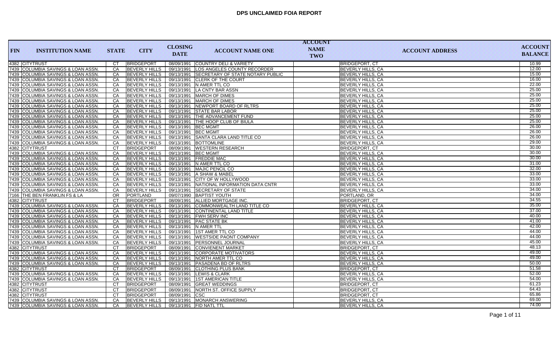|            |                                      |              |                      |                     |                                             | <b>ACCOUNT</b> |                          |                |
|------------|--------------------------------------|--------------|----------------------|---------------------|---------------------------------------------|----------------|--------------------------|----------------|
| <b>FIN</b> | <b>INSTITUTION NAME</b>              | <b>STATE</b> | <b>CITY</b>          | <b>CLOSING</b>      | <b>ACCOUNT NAME ONE</b>                     | <b>NAME</b>    | <b>ACCOUNT ADDRESS</b>   | <b>ACCOUNT</b> |
|            |                                      |              |                      | <b>DATE</b>         |                                             | TWO            |                          | <b>BALANCE</b> |
|            | 4382 CITYTRUST                       | CT           | BRIDGEPORT           |                     | 08/09/1991 COUNTRY DELI & VARIETY           |                | <b>BRIDGEPORT, CT</b>    | 10.99          |
|            | 7439 COLUMBIA SAVINGS & LOAN ASSN.   | CA           | <b>BEVERLY HILLS</b> |                     | 09/13/1991 LOS ANGELES COUNTY RECORDER      |                | <b>BEVERLY HILLS, CA</b> | 12.00          |
|            | 7439 COLUMBIA SAVINGS & LOAN ASSN.   | <b>CA</b>    | <b>BEVERLY HILLS</b> |                     | 09/13/1991 SECRETARY OF STATE NOTARY PUBLIC |                | <b>BEVERLY HILLS, CA</b> | 15.00          |
|            | 7439 COLUMBIA SAVINGS & LOAN ASSN.   | CA           | <b>BEVERLY HILLS</b> |                     | 09/13/1991 CLERK OF THE COURT               |                | <b>BEVERLY HILLS, CA</b> | 16.00          |
|            | 7439 COLUMBIA SAVINGS & LOAN ASSN.   | CA           | <b>BEVERLY HILLS</b> |                     | 09/13/1991 N AMER TTL CO                    |                | <b>BEVERLY HILLS, CA</b> | 22.00          |
|            | 7439 COLUMBIA SAVINGS & LOAN ASSN.   | CA           | <b>BEVERLY HILLS</b> |                     | 09/13/1991 LA CNTY BAR ASSN                 |                | <b>BEVERLY HILLS, CA</b> | 25.00          |
|            | 7439 COLUMBIA SAVINGS & LOAN ASSN.   | CA           | <b>BEVERLY HILLS</b> |                     | 09/13/1991   MARCH OF DIMES                 |                | <b>BEVERLY HILLS, CA</b> | 25.00          |
|            | 7439 COLUMBIA SAVINGS & LOAN ASSN.   | CA           | <b>BEVERLY HILLS</b> |                     | 09/13/1991   MARCH OF DIMES                 |                | <b>BEVERLY HILLS, CA</b> | 25.00          |
|            | 7439 COLUMBIA SAVINGS & LOAN ASSN.   | CA           | <b>BEVERLY HILLS</b> |                     | 09/13/1991 NEWPORT BOARD OF RLTRS           |                | <b>BEVERLY HILLS, CA</b> | 25.00          |
|            | 7439 COLUMBIA SAVINGS & LOAN ASSN.   | CA           | <b>BEVERLY HILLS</b> |                     | 09/13/1991 STATE BAR LABOR                  |                | <b>BEVERLY HILLS, CA</b> | 25.00          |
|            | 7439 COLUMBIA SAVINGS & LOAN ASSN.   | CA           | <b>BEVERLY HILLS</b> |                     | 09/13/1991 THE ADVANCEMENT FUND             |                | <b>BEVERLY HILLS, CA</b> | 25.00          |
|            | 7439 COLUMBIA SAVINGS & LOAN ASSN.   | <b>CA</b>    | <b>BEVERLY HILLS</b> |                     | 09/13/1991 THE HOOP CLUB OF BIULA           |                | <b>BEVERLY HILLS, CA</b> | 25.00          |
|            | 7439 COLUMBIA SAVINGS & LOAN ASSN.   | <b>CA</b>    | <b>BEVERLY HILLS</b> | 09/13/1991 BEC MGMT |                                             |                | <b>BEVERLY HILLS, CA</b> | 26.00          |
|            | 7439 COLUMBIA SAVINGS & LOAN ASSN.   | CA           | <b>BEVERLY HILLS</b> | 09/13/1991 BEC MGMT |                                             |                | <b>BEVERLY HILLS, CA</b> | 26.00          |
|            | 7439 COLUMBIA SAVINGS & LOAN ASSN.   | CA           | <b>BEVERLY HILLS</b> |                     | 09/13/1991 SANTA CLARA LAND TITLE CO        |                | <b>BEVERLY HILLS, CA</b> | 26.00          |
|            | 7439 COLUMBIA SAVINGS & LOAN ASSN.   | <b>CA</b>    | <b>BEVERLY HILLS</b> |                     | 09/13/1991 BOTTOMLINE                       |                | <b>BEVERLY HILLS, CA</b> | 29.00          |
|            | 4382 CITYTRUST                       | <b>CT</b>    | <b>BRIDGEPORT</b>    |                     | 08/09/1991 WESTERN RESEARCH                 |                | <b>BRIDGEPORT, CT</b>    | 30.00          |
|            | 7439 COLUMBIA SAVINGS & LOAN ASSN.   | CA           | <b>BEVERLY HILLS</b> | 09/13/1991 BEC MGMT |                                             |                | <b>BEVERLY HILLS, CA</b> | 30.00          |
|            | 7439 COLUMBIA SAVINGS & LOAN ASSN.   | CA           | <b>BEVERLY HILLS</b> |                     | 09/13/1991 FREDDIE MAC                      |                | <b>BEVERLY HILLS, CA</b> | 30.00          |
|            | 7439 COLUMBIA SAVINGS & LOAN ASSN.   | CA           | <b>BEVERLY HILLS</b> |                     | 09/13/1991 N AMER TTL CO                    |                | BEVERLY HILLS, CA        | 31.00          |
|            | 7439   COLUMBIA SAVINGS & LOAN ASSN. | CA           | <b>BEVERLY HILLS</b> |                     | 09/13/1991   MAJIC PENCIL CO                |                | <b>BEVERLY HILLS, CA</b> | 32.00          |
|            | 7439 COLUMBIA SAVINGS & LOAN ASSN.   | CA           | <b>BEVERLY HILLS</b> |                     | 09/13/1991 A SHAW & MABEL                   |                | <b>BEVERLY HILLS, CA</b> | 33.00          |
|            | 7439 COLUMBIA SAVINGS & LOAN ASSN.   | CA           | <b>BEVERLY HILLS</b> |                     | 09/13/1991 CITY OF W HOLLYWOOD              |                | <b>BEVERLY HILLS, CA</b> | 33.00          |
|            | 7439 COLUMBIA SAVINGS & LOAN ASSN.   | CA           | <b>BEVERLY HILLS</b> |                     | 09/13/1991 NATIONAL INFORMATION DATA CNTR   |                | <b>BEVERLY HILLS, CA</b> | 33.00          |
|            | 7439 COLUMBIA SAVINGS & LOAN ASSN.   | CA           | <b>BEVERLY HILLS</b> |                     | 09/13/1991 SECRETARY OF STATE               |                | <b>BEVERLY HILLS, CA</b> | 34.00          |
|            | 7166 THE BEN FRANKLIN FS & LA        | <b>OR</b>    | PORTLAND             |                     | 09/07/1990 BAPTIST YOUTH                    |                | PORTLAND, OR             | 34.00          |
|            | 4382 CITYTRUST                       | <b>CT</b>    | <b>BRIDGEPORT</b>    |                     | 08/09/1991 ALLIED MORTGAGE INC.             |                | <b>BRIDGEPORT, CT</b>    | 34.55          |
|            | 7439 COLUMBIA SAVINGS & LOAN ASSN.   | CA           | <b>BEVERLY HILLS</b> |                     | 09/13/1991 COMMONWEALTH LAND TITLE CO       |                | <b>BEVERLY HILLS, CA</b> | 35.00          |
|            | 7439 COLUMBIA SAVINGS & LOAN ASSN.   | CA           | <b>BEVERLY HILLS</b> |                     | 09/13/1991 CONTINENTAL LAND TITLE           |                | <b>BEVERLY HILLS, CA</b> | 37.00          |
|            | 7439 COLUMBIA SAVINGS & LOAN ASSN.   | CA           | <b>BEVERLY HILLS</b> |                     | 09/13/1991   FWH SERV INC                   |                | <b>BEVERLY HILLS, CA</b> | 40.00          |
|            | 7439 COLUMBIA SAVINGS & LOAN ASSN.   | <b>CA</b>    | <b>BEVERLY HILLS</b> |                     | 09/13/1991 PAC STATE BK                     |                | <b>BEVERLY HILLS, CA</b> | 41.00          |
|            | 7439 COLUMBIA SAVINGS & LOAN ASSN.   | CA           | <b>BEVERLY HILLS</b> |                     | 09/13/1991 N AMER TTL                       |                | <b>BEVERLY HILLS, CA</b> | 42.00          |
|            | 7439 COLUMBIA SAVINGS & LOAN ASSN.   | CA           | <b>BEVERLY HILLS</b> |                     | 09/13/1991 1ST AMER TTL CO                  |                | <b>BEVERLY HILLS, CA</b> | 44.00          |
|            | 7439 COLUMBIA SAVINGS & LOAN ASSN.   | CA           | <b>BEVERLY HILLS</b> |                     | 09/13/1991   WESTSIDE PAONT COMPANY         |                | <b>BEVERLY HILLS, CA</b> | 44.00          |
|            | 7439 COLUMBIA SAVINGS & LOAN ASSN.   | CA           | <b>BEVERLY HILLS</b> |                     | 09/13/1991 PERSONNEL JOURNAL                |                | <b>BEVERLY HILLS, CA</b> | 45.00          |
|            | 4382 CITYTRUST                       | <b>CT</b>    | BRIDGEPORT           |                     | 08/09/1991 CONVIENENT MARKET                |                | <b>BRIDGEPORT, CT</b>    | 48.13          |
|            | 7439 COLUMBIA SAVINGS & LOAN ASSN.   | CA           | <b>BEVERLY HILLS</b> |                     | 09/13/1991 CORPORATE MOTIVATORS             |                | <b>BEVERLY HILLS, CA</b> | 49.00          |
|            | 7439 COLUMBIA SAVINGS & LOAN ASSN.   | CA           | <b>BEVERLY HILLS</b> |                     | 09/13/1991 NORTH AMER TTL CO                |                | <b>BEVERLY HILLS, CA</b> | 49.00          |
|            | 7439 COLUMBIA SAVINGS & LOAN ASSN.   | <b>CA</b>    | <b>BEVERLY HILLS</b> |                     | 09/13/1991 PASADENA BD OF RLTRS             |                | <b>BEVERLY HILLS, CA</b> | 50.00          |
|            | 4382 CITYTRUST                       | <b>CT</b>    | BRIDGEPORT           |                     | 08/09/1991 CLOTHING PLUS BANK               |                | <b>BRIDGEPORT, CT</b>    | 51.58          |
|            | 7439 COLUMBIA SAVINGS & LOAN ASSN.   | CA           | <b>BEVERLY HILLS</b> |                     | 09/13/1991 LEWIS & CLARK                    |                | BEVERLY HILLS, CA        | 52.00          |
|            | 7439 COLUMBIA SAVINGS & LOAN ASSN.   | CA           | <b>BEVERLY HILLS</b> |                     | 09/13/1991 1ST AMERICAN TITLE               |                | <b>BEVERLY HILLS, CA</b> | 54.00          |
|            | 4382 CITYTRUST                       | <b>CT</b>    | BRIDGEPORT           |                     | 08/09/1991 GREAT WEDDINGS                   |                | <b>BRIDGEPORT, CT</b>    | 61.23          |
|            | 4382 CITYTRUST                       | <b>CT</b>    | BRIDGEPORT           |                     | 08/09/1991   NORTH ST. OFFICE SUPPLY        |                | <b>BRIDGEPORT, CT</b>    | 64.43          |
|            | 4382 CITYTRUST                       | <b>CT</b>    | <b>BRIDGEPORT</b>    | 08/09/1991 CSC      |                                             |                | <b>BRIDGEPORT, CT</b>    | 65.86          |
|            | 7439 COLUMBIA SAVINGS & LOAN ASSN.   | CA           | <b>BEVERLY HILLS</b> |                     | 09/13/1991 MONARCH ANSWERING                |                | <b>BEVERLY HILLS, CA</b> | 69.00          |
|            | 7439 COLUMBIA SAVINGS & LOAN ASSN.   | CA           | <b>BEVERLY HILLS</b> |                     | 09/13/1991 FID NATL TTL                     |                | BEVERLY HILLS, CA        | 74.00          |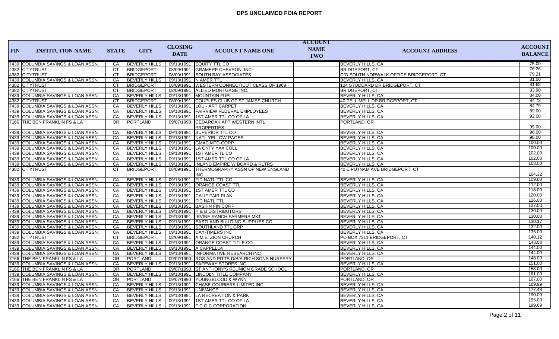| <b>FIN</b> | <b>INSTITUTION NAME</b>            | <b>STATE</b> | <b>CITY</b>          | <b>CLOSING</b><br><b>DATE</b> | <b>ACCOUNT NAME ONE</b>                               | <b>ACCOUNT</b><br><b>NAME</b><br><b>TWO</b> | <b>ACCOUNT ADDRESS</b>                  | <b>ACCOUNT</b><br><b>BALANCE</b> |
|------------|------------------------------------|--------------|----------------------|-------------------------------|-------------------------------------------------------|---------------------------------------------|-----------------------------------------|----------------------------------|
|            | 7439 COLUMBIA SAVINGS & LOAN ASSN. | CA           | <b>BEVERLY HILLS</b> |                               | 09/13/1991 EQUITY TTL CO                              |                                             | <b>BEVERLY HILLS, CA</b>                | 75.00                            |
|            | 4382 CITYTRUST                     | <b>CT</b>    | BRIDGEPORT           |                               | 08/09/1991 GRAMERE CHEVRON, INC                       |                                             | <b>BRIDGEPORT, CT</b>                   | 76.26                            |
|            | 4382 CITYTRUST                     | CT           | BRIDGEPORT           |                               | 08/09/1991 SOUTH BAY ASSOCIATES                       |                                             | C/O SOUTH NORWALK OFFICE BRIDGEPORT, CT | 79.21                            |
|            | 7439 COLUMBIA SAVINGS & LOAN ASSN. | CA           | <b>BEVERLY HILLS</b> |                               | 09/13/1991 N AMER TTL                                 |                                             | <b>BEVERLY HILLS, CA</b>                | 81.00                            |
|            | 4382 CITYTRUST                     | CT           | <b>BRIDGEPORT</b>    |                               | 08/09/1991   WESTERN CONNECTICUT CLASS OF 1969        |                                             | 124 STODDARD DR BRIDGEPORT, CT          | 81.68                            |
|            | 4382 CITYTRUST                     | CT           | <b>BRIDGEPORT</b>    |                               | 08/09/1991 ALLIED MORTGAGE INC.                       |                                             | <b>BRIDGEPORT, CT</b>                   | 83.90                            |
|            | 7439 COLUMBIA SAVINGS & LOAN ASSN. | CA           | <b>BEVERLY HILLS</b> |                               | 09/13/1991 MOUNTAIN FUEL                              |                                             | <b>BEVERLY HILLS, CA</b>                | 84.00                            |
|            | 4382 CITYTRUST                     | <b>CT</b>    | BRIDGEPORT           |                               | 08/09/1991 COUPLES CLUB OF ST JAMES CHURCH            |                                             | 40 PELL MELL DR BRIDGEPORT, CT          | 84.73                            |
|            | 7439 COLUMBIA SAVINGS & LOAN ASSN. | CA           | <b>BEVERLY HILLS</b> |                               | 09/13/1991   LOU - ART CARPET                         |                                             | <b>BEVERLY HILLS, CA</b>                | 84.79                            |
|            | 7439 COLUMBIA SAVINGS & LOAN ASSN. | CA           | <b>BEVERLY HILLS</b> |                               | 09/13/1991 FAIRVIEW FEDERAL EMPLOYEES                 |                                             | <b>BEVERLY HILLS, CA</b>                | 89.00                            |
|            | 7439 COLUMBIA SAVINGS & LOAN ASSN. | CA           | <b>BEVERLY HILLS</b> |                               | 09/13/1991 1ST AMER TTL CO OF LA                      |                                             | <b>BEVERLY HILLS, CA</b>                | 92.00                            |
|            | 7166 THE BEN FRANKLIN FS & LA      | OR.          | PORTLAND             | 09/07/1990                    | <b>CEDAROAK APT WESTERN INTL</b><br><b>PROPERTIES</b> |                                             | PORTLAND, OR                            | 95.00                            |
|            | 7439 COLUMBIA SAVINGS & LOAN ASSN. | CA           | <b>BEVERLY HILLS</b> |                               | 09/13/1991 SUPERIOR TTL CO                            |                                             | <b>BEVERLY HILLS, CA</b>                | 96.00                            |
|            | 7439 COLUMBIA SAVINGS & LOAN ASSN. | CA           | <b>BEVERLY HILLS</b> |                               | 09/13/1991 NATL YELLOW PAGES                          |                                             | <b>BEVERLY HILLS, CA</b>                | 98.00                            |
|            | 7439 COLUMBIA SAVINGS & LOAN ASSN. | <b>CA</b>    | <b>BEVERLY HILLS</b> |                               | 09/13/1991 GMAC MTG CORP                              |                                             | <b>BEVERLY HILLS, CA</b>                | 100.00                           |
|            | 7439 COLUMBIA SAVINGS & LOAN ASSN. | CA           | <b>BEVERLY HILLS</b> |                               | 09/13/1991   LA CNTY YAX COLL                         |                                             | BEVERLY HILLS, CA                       | 100.00                           |
|            | 7439 COLUMBIA SAVINGS & LOAN ASSN. | CA           | <b>BEVERLY HILLS</b> |                               | 09/13/1991 1ST AMER TL CO                             |                                             | BEVERLY HILLS, CA                       | 102.00                           |
|            | 7439 COLUMBIA SAVINGS & LOAN ASSN. | CA           | <b>BEVERLY HILLS</b> |                               | 09/13/1991 1ST AMER TTL CO OF LA                      |                                             | <b>BEVERLY HILLS, CA</b>                | 102.00                           |
|            | 7439 COLUMBIA SAVINGS & LOAN ASSN. | <b>CA</b>    | <b>BEVERLY HILLS</b> | 09/13/1991                    | <b>INLAND EMPIRE W BOARD &amp; RLTRS</b>              |                                             | <b>BEVERLY HILLS, CA</b>                | 103.00                           |
|            | 4382 CITYTRUST                     | <b>CT</b>    | BRIDGEPORT           | 08/09/1991                    | THERMOGRAPHY ASSN OF NEW ENGLAND<br><b>INC</b>        |                                             | 40 E PUTNAM AVE BRIDGEPORT, CT          | 104.32                           |
|            | 7439 COLUMBIA SAVINGS & LOAN ASSN. | CA           | <b>BEVERLY HILLS</b> |                               | 09/13/1991 FID NATL TTL CO                            |                                             | <b>BEVERLY HILLS, CA</b>                | 109.00                           |
|            | 7439 COLUMBIA SAVINGS & LOAN ASSN. | CA           | <b>BEVERLY HILLS</b> |                               | 09/13/1991   ORANGE COAST TTL                         |                                             | <b>BEVERLY HILLS, CA</b>                | 112.00                           |
|            | 7439 COLUMBIA SAVINGS & LOAN ASSN. | CA           | <b>BEVERLY HILLS</b> |                               | 09/13/1991 1ST AMER TTL CO                            |                                             | <b>BEVERLY HILLS, CA</b>                | 118.00                           |
|            | 7439 COLUMBIA SAVINGS & LOAN ASSN  | CA           | <b>BEVERLY HILLS</b> |                               | 09/13/1991 CALIF FAIR PLAN                            |                                             | <b>BEVERLY HILLS, CA</b>                | 120.00                           |
|            | 7439 COLUMBIA SAVINGS & LOAN ASSN. | CA           | <b>BEVERLY HILLS</b> |                               | 09/13/1991 FID NATL TTL                               |                                             | BEVERLY HILLS, CA                       | 126.00                           |
|            | 7439 COLUMBIA SAVINGS & LOAN ASSN. | CA           | <b>BEVERLY HILLS</b> |                               | 09/13/1991 BASKIN FIN CORP                            |                                             | <b>BEVERLY HILLS, CA</b>                | 127.00                           |
|            | 7439 COLUMBIA SAVINGS & LOAN ASSN. | CA           | <b>BEVERLY HILLS</b> |                               | 09/13/1991 H & B DISTRIBUTORS                         |                                             | BEVERLY HILLS, CA                       | 130.00                           |
|            | 7439 COLUMBIA SAVINGS & LOAN ASSN. | CA           | <b>BEVERLY HILLS</b> |                               | 09/13/1991 IRVINE RANCH FARMERS MKT                   |                                             | <b>BEVERLY HILLS, CA</b>                | 130.00                           |
|            | 7439 COLUMBIA SAVINGS & LOAN ASSN. | CA           | <b>BEVERLY HILLS</b> |                               | 09/13/1991 EASTLAND BUILDING SUPPLIES CO              |                                             | <b>BEVERLY HILLS, CA</b>                | 130.17                           |
|            | 7439 COLUMBIA SAVINGS & LOAN ASSN. | CA           | <b>BEVERLY HILLS</b> |                               | 09/13/1991 SOUTHLAND TTL GRP                          |                                             | <b>BEVERLY HILLS, CA</b>                | 132.00                           |
|            | 7439 COLUMBIA SAVINGS & LOAN ASSN. | CA           | <b>BEVERLY HILLS</b> |                               | 09/13/1991   DAY-TIMERS INC                           |                                             | <b>BEVERLY HILLS, CA</b>                | 135.00                           |
|            | 4382 CITYTRUST                     | <b>CT</b>    | BRIDGEPORT           |                               | 08/09/1991 A.M.E. ZION CHURCH                         |                                             | PO BOX 7311 BRIDGEPORT, CT              | 140.12                           |
|            | 7439 COLUMBIA SAVINGS & LOAN ASSN. | CA           | <b>BEVERLY HILLS</b> |                               | 09/13/1991   ORANGE COAST TITLE CO                    |                                             | <b>BEVERLY HILLS, CA</b>                | 143.00                           |
|            | 7439 COLUMBIA SAVINGS & LOAN ASSN. | CA           | <b>BEVERLY HILLS</b> |                               | 09/13/1991 A CAPPELLA                                 |                                             | <b>BEVERLY HILLS, CA</b>                | 144.00                           |
|            | 7439 COLUMBIA SAVINGS & LOAN ASSN. | CA           | <b>BEVERLY HILLS</b> |                               | 09/13/1991 INFORMATIVE RESEARCH INC                   |                                             | <b>BEVERLY HILLS, CA</b>                | 144.00                           |
|            | 7166 THE BEN FRANKLIN FS & LA      | OR.          | PORTLAND             |                               | 09/07/1990 ROS AND PITTS D/B/A RICH SONS NURSERY      |                                             | PORTLAND, OR                            | 148.00                           |
|            | 7439 COLUMBIA SAVINGS & LOAN ASSN. | CA           | <b>BEVERLY HILLS</b> |                               | 09/13/1991 SAFEWAY STORES INC                         |                                             | BEVERLY HILLS, CA                       | 151.00                           |
|            | 7166 THE BEN FRANKLIN FS & LA      | OR.          | PORTLAND             |                               | 09/07/1990 ST ANTHONY'S REUNION GRADE SCHOOL          |                                             | PORTLAND, OR                            | 158.00                           |
|            | 7439 COLUMBIA SAVINGS & LOAN ASSN. | CA           | <b>BEVERLY HILLS</b> |                               | 09/13/1991 LINCOLN TITLE COMPANY                      |                                             | <b>BEVERLY HILLS, CA</b>                | 161.00                           |
|            | 7166 THE BEN FRANKLIN FS & LA      | OR.          | <b>PORTLAND</b>      |                               | 09/07/1990 YOUNGBLOOD & WYNN                          |                                             | PORTLAND, OR                            | 167.00                           |
|            | 7439 COLUMBIA SAVINGS & LOAN ASSN. | CA           | <b>BEVERLY HILLS</b> |                               | 09/13/1991 CHASE COURIERS LIMITED INC                 |                                             | <b>BEVERLY HILLS, CA</b>                | 169.99                           |
|            | 7439 COLUMBIA SAVINGS & LOAN ASSN. | CA           | <b>BEVERLY HILLS</b> |                               | 09/13/1991 UNIVANCE                                   |                                             | <b>BEVERLY HILLS, CA</b>                | 177.48                           |
|            | 7439 COLUMBIA SAVINGS & LOAN ASSN. | CA           | <b>BEVERLY HILLS</b> |                               | 09/13/1991   LA RECREATION & PARK                     |                                             | <b>BEVERLY HILLS, CA</b>                | 190.00                           |
|            | 7439 COLUMBIA SAVINGS & LOAN ASSN. | CA           | <b>BEVERLY HILLS</b> |                               | 09/13/1991 1ST AMER TTL CO OF LA                      |                                             | <b>BEVERLY HILLS, CA</b>                | 195.00                           |
|            | 7439 COLUMBIA SAVINGS & LOAN ASSN  | CA           |                      |                               | BEVERLY HILLS   09/13/1991   F C G C CORPORATION      |                                             | <b>BEVERLY HILLS, CA</b>                | 199.69                           |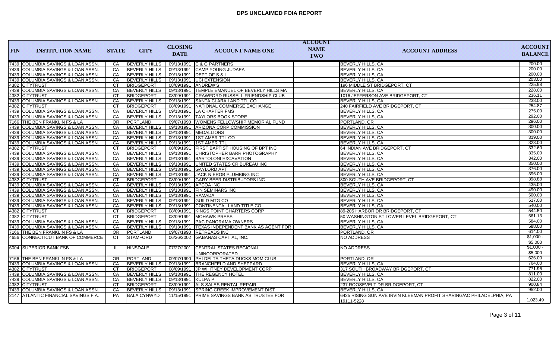|            |                                      |                 |                                    |                      |                                                  | <b>ACCOUNT</b> |                                                                      |                  |
|------------|--------------------------------------|-----------------|------------------------------------|----------------------|--------------------------------------------------|----------------|----------------------------------------------------------------------|------------------|
| <b>FIN</b> | <b>INSTITUTION NAME</b>              | <b>STATE</b>    | <b>CITY</b>                        | <b>CLOSING</b>       | <b>ACCOUNT NAME ONE</b>                          | <b>NAME</b>    | <b>ACCOUNT ADDRESS</b>                                               | <b>ACCOUNT</b>   |
|            |                                      |                 |                                    | <b>DATE</b>          |                                                  | <b>TWO</b>     |                                                                      | <b>BALANCE</b>   |
|            | 7439 COLUMBIA SAVINGS & LOAN ASSN.   |                 | <b>BEVERLY HILLS</b>               |                      | 09/13/1991 C & G PARTNERS                        |                |                                                                      | 200.00           |
|            |                                      | CA<br><b>CA</b> | <b>BEVERLY HILLS</b>               |                      | 09/13/1991 CAMP YOUNG JUDAEA                     |                | BEVERLY HILLS, CA                                                    | 200.00           |
|            | 7439 COLUMBIA SAVINGS & LOAN ASSN.   |                 |                                    |                      |                                                  |                | BEVERLY HILLS, CA                                                    | 200.00           |
|            | 7439 COLUMBIA SAVINGS & LOAN ASSN.   | CA              | <b>BEVERLY HILLS</b>               |                      | 09/13/1991 DEPT OF S & L                         |                | BEVERLY HILLS. CA                                                    | 203.00           |
|            | 7439 COLUMBIA SAVINGS & LOAN ASSN.   | CA              | <b>BEVERLY HILLS</b>               |                      | 09/13/1991   UCI EXTENSION                       |                | <b>BEVERLY HILLS, CA</b>                                             | 225.98           |
|            | 4382 CITYTRUST                       | CT.             | BRIDGEPORT                         | 08/09/1991 ANDREW'S  |                                                  |                | 196 MIDDLE ST BRIDGEPORT, CT                                         | 228.00           |
|            | 7439 COLUMBIA SAVINGS & LOAN ASSN.   | CA              | <b>BEVERLY HILLS</b>               |                      | 09/13/1991 TEMPLE EMANUEL OF BEVERLY HILLS MA    |                | <b>BEVERLY HILLS, CA</b>                                             | 236.11           |
|            | 4382 CITYTRUST                       | <b>CT</b>       | BRIDGEPORT<br><b>BEVERLY HILLS</b> |                      | 08/09/1991 CRAWFORD RUSSELL FRIENDSHIP CLUB      |                | 1016 JEFFERSON AVE BRIDGEPORT, CT                                    | 238.00           |
|            | 7439 COLUMBIA SAVINGS & LOAN ASSN.   | CA              |                                    |                      | 09/13/1991 SANTA CLARA LAND TTL CO               |                | <b>BEVERLY HILLS, CA</b>                                             | 254.87           |
|            | 4382 CITYTRUST                       | <b>CT</b>       | <b>BRIDGEPORT</b>                  |                      | 08/09/1991 NATIONAL COMMERSE EXCHANGE            |                | 240 FAIRFIELD AVE BRIDGEPORT, CT                                     | 275.00           |
|            | 7439 COLUMBIA SAVINGS & LOAN ASSN.   | CA              | <b>BEVERLY HILLS</b>               |                      | 09/13/1991 LA CHAPTER FMS                        |                | BEVERLY HILLS, CA                                                    | 292.00           |
|            | 7439 COLUMBIA SAVINGS & LOAN ASSN.   | CA              | <b>BEVERLY HILLS</b>               |                      | 09/13/1991 TAYLORS BOOK STORE                    |                | <b>BEVERLY HILLS, CA</b>                                             | 296.00           |
|            | 7166 THE BEN FRANKLIN FS & LA        | <b>OR</b>       | PORTLAND                           |                      | 09/07/1990 WOMENS FELLOWSHIP MEMORIAL FUND       |                | PORTLAND, OR                                                         | 300.00           |
|            | 7439 COLUMBIA SAVINGS & LOAN ASSN.   | CA              | <b>BEVERLY HILLS</b>               |                      | 09/13/1991   ARIZONA CORP COMMISSION             |                | <b>BEVERLY HILLS, CA</b>                                             | 300.00           |
|            | 7439 COLUMBIA SAVINGS & LOAN ASSN.   | CA              | <b>BEVERLY HILLS</b>               |                      | 09/13/1991   MEDALLIONS                          |                | <b>BEVERLY HILLS, CA</b>                                             | 319.00           |
|            | 7439 COLUMBIA SAVINGS & LOAN ASSN.   | CA              | <b>BEVERLY HILLS</b>               |                      | 09/13/1991 1ST AMER TTL CO                       |                | <b>BEVERLY HILLS, CA</b>                                             |                  |
|            | 7439 COLUMBIA SAVINGS & LOAN ASSN.   | CA              | <b>BEVERLY HILLS</b>               |                      | 09/13/1991 1ST AMER TTL                          |                | BEVERLY HILLS, CA                                                    | 323.00<br>332.60 |
|            | 4382 CITYTRUST                       | <b>CT</b>       | BRIDGEPORT                         |                      | 08/09/1991   FIRST BAPTIST HOUSING OF BPT INC    |                | 64 INDIAN AVE BRIDGEPORT, CT                                         | 335.00           |
|            | 7439 COLUMBIA SAVINGS & LOAN ASSN.   | CA              | <b>BEVERLY HILLS</b>               |                      | 09/13/1991 CHRISTOPHER BARR PHOTOGRAPHY          |                | <b>BEVERLY HILLS, CA</b>                                             |                  |
|            | 7439 COLUMBIA SAVINGS & LOAN ASSN.   | <b>CA</b>       | <b>BEVERLY HILLS</b>               |                      | 09/13/1991   BARTOLONI EXCAVATION                |                | <b>BEVERLY HILLS, CA</b>                                             | 342.00           |
|            | 7439 COLUMBIA SAVINGS & LOAN ASSN.   | CA              | <b>BEVERLY HILLS</b>               |                      | 09/13/1991 UNITED STATES CR BUREAU INC           |                | <b>BEVERLY HILLS, CA</b>                                             | 350.00           |
|            | 7439 COLUMBIA SAVINGS & LOAN ASSN.   | CA              | <b>BEVERLY HILLS</b>               |                      | 09/13/1991 GAYLORD APT                           |                | BEVERLY HILLS, CA                                                    | 376.00           |
|            | 7439 COLUMBIA SAVINGS & LOAN ASSN.   | CA              | <b>BEVERLY HILLS</b>               |                      | 09/13/1991 JACK NIEROB PLUMBING INC              |                | <b>BEVERLY HILLS, CA</b>                                             | 396.00           |
|            | 4382 CITYTRUST                       | CT              | <b>BRIDGEPORT</b>                  |                      | 08/09/1991 GARY BEER DISTRIBUTORS INC            |                | 800 SOUTH AVE BRIDGEPORT, CT                                         | 398.88           |
|            | 7439 COLUMBIA SAVINGS & LOAN ASSN.   | CA              | <b>BEVERLY HILLS</b>               | 09/13/1991 APCOA INC |                                                  |                | <b>BEVERLY HILLS, CA</b>                                             | 435.00           |
|            | 7439 COLUMBIA SAVINGS & LOAN ASSN.   | CA              | <b>BEVERLY HILLS</b>               |                      | 09/13/1991 FIN SEMINARS INC                      |                | <b>BEVERLY HILLS, CA</b>                                             | 490.00           |
|            | 7439 COLUMBIA SAVINGS & LOAN ASSN.   | CA              | <b>BEVERLY HILLS</b>               | 09/13/1991 RAMADA    |                                                  |                | <b>BEVERLY HILLS, CA</b>                                             | 500.00           |
|            | 7439 COLUMBIA SAVINGS & LOAN ASSN.   | <b>CA</b>       | <b>BEVERLY HILLS</b>               |                      | 09/13/1991 GUILD MTG CO                          |                | <b>BEVERLY HILLS, CA</b>                                             | 517.00           |
|            | 7439 COLUMBIA SAVINGS & LOAN ASSN.   | CA              | <b>BEVERLY HILLS</b>               |                      | 09/13/1991 CONTINENTAL LAND TITLE CO             |                | <b>BEVERLY HILLS, CA</b>                                             | 540.00           |
|            | 4382 CITYTRUST                       | CT              | <b>BRIDGEPORT</b>                  |                      | 08/09/1991 KINGS POINT CHARTERS CORP             |                | 89-205 HARBOR DR BRIDGEPORT. CT                                      | 544.50           |
|            | 4382 CITYTRUST                       | CT.             | <b>BRIDGEPORT</b>                  |                      | 08/09/1991 MOHAWK PRESS                          |                | 50 WASHINGTON ST LOWER LEVEL BRIDGEPORT. CT                          | 561.13           |
|            | 7439 COLUMBIA SAVINGS & LOAN ASSN.   | <b>CA</b>       | <b>BEVERLY HILLS</b>               |                      | 09/13/1991 PAC PANORAMA OWNERS                   |                | <b>BEVERLY HILLS, CA</b>                                             | 584.00           |
|            | 7439 COLUMBIA SAVINGS & LOAN ASSN.   | CA              | <b>BEVERLY HILLS</b>               |                      | 09/13/1991   TEXAS INDEPENDENT BANK AS AGENT FOR |                | <b>BEVERLY HILLS, CA</b>                                             | 588.00           |
|            | 7166 THE BEN FRANKLIN FS & LA        | OR.             | PORTLAND                           |                      | 09/07/1990 RETREADS INC                          |                | PORTLAND, OR                                                         | 614.00           |
|            | 4656 CONNECTICUT BANK OF COMMERCE    | CT              | <b>STAMFORD</b>                    |                      | 06/26/2002 GABANAS CAPITAL, INC.                 |                | NO ADDRESS                                                           | $$1,000 -$       |
|            |                                      |                 |                                    |                      |                                                  |                |                                                                      | \$5,000          |
|            | 6004 SUPERIOR BANK FSB               | ΙL              | HINSDALE                           |                      | 07/27/2001 CENTRAL STATES REGIONAL               |                | <b>NO ADDRESS</b>                                                    | $$1,000 -$       |
|            |                                      |                 |                                    |                      | <b>UNINCORPORATED</b>                            |                |                                                                      | \$5,000          |
|            | 7166 THE BEN FRANKLIN FS & LA        | OR.             | PORTLAND                           |                      | 09/07/1990 PHI DELTA THETA DUCKS MOM CLUB        |                | PORTLAND, OR                                                         | 626.00           |
|            | 7439 COLUMBIA SAVINGS & LOAN ASSN.   | CA              | <b>BEVERLY HILLS</b>               |                      | 09/13/1991   BRANCHFELD AND SHEPPARD             |                | BEVERLY HILLS, CA                                                    | 764.00           |
|            | 4382 CITYTRUST                       | CT              | BRIDGEPORT                         |                      | 08/09/1991 JP WHITNEY DEVELOPMENT CORP           |                | 317 SOUTH BROADWAY BRIDGEPORT, CT                                    | 771.96           |
|            | 7439 COLUMBIA SAVINGS & LOAN ASSN.   | <b>CA</b>       | <b>BEVERLY HILLS</b>               |                      | 09/13/1991 THE REGENCY HOTEL                     |                | <b>BEVERLY HILLS, CA</b>                                             | 811.00           |
|            | 7439 COLUMBIA SAVINGS & LOAN ASSN.   | CA              | <b>BEVERLY HILLS</b>               | 09/13/1991 KULPA P   |                                                  |                | BEVERLY HILLS, CA                                                    | 822.00           |
|            | 4382 CITYTRUST                       | CT              | BRIDGEPORT                         |                      | 08/09/1991 ALS SALES RENTAL REPAIR               |                | 237 ROOSEVELT DR BRIDGEPORT, CT                                      | 900.84           |
|            | 7439 COLUMBIA SAVINGS & LOAN ASSN.   | CA              | <b>BEVERLY HILLS</b>               |                      | 09/13/1991 SPRING CREEK IMPROVEMENT DIST         |                | <b>BEVERLY HILLS, CA</b>                                             | 952.00           |
|            | 2147 ATLANTIC FINANCIAL SAVINGS F.A. | <b>PA</b>       | <b>BALA CYNWYD</b>                 |                      | 11/15/1991 PRIME SAVINGS BANK AS TRUSTEE FOR     |                | 6425 RISING SUN AVE IRVIN KLEEMAN PROFIT SHARING/AC PHILADELPHIA, PA |                  |
|            |                                      |                 |                                    |                      |                                                  |                | 19111-5228                                                           | 1,023.49         |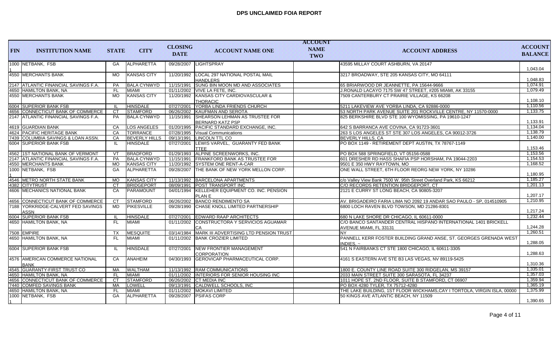| <b>FIN</b> | <b>INSTITUTION NAME</b>                        | <b>STATE</b> | <b>CITY</b>          | <b>CLOSING</b> | <b>ACCOUNT NAME ONE</b>                                          | <b>ACCOUNT</b><br><b>NAME</b> | <b>ACCOUNT ADDRESS</b>                                                                           | <b>ACCOUNT</b> |
|------------|------------------------------------------------|--------------|----------------------|----------------|------------------------------------------------------------------|-------------------------------|--------------------------------------------------------------------------------------------------|----------------|
|            |                                                |              |                      | <b>DATE</b>    |                                                                  | TWO                           |                                                                                                  | <b>BALANCE</b> |
|            | 1000 NETBANK, FSB                              | GA           | ALPHARETTA           | 09/28/2007     | <b>LIGHTSPRAY</b>                                                |                               | 43595 MILLAY COURT ASHBURN, VA 20147                                                             | 1,043.04       |
|            | 4550 MERCHANTS BANK                            | <b>MO</b>    | <b>KANSAS CITY</b>   | 11/20/1992     | LOCAL 297 NATIONAL POSTAL MAIL<br><b>HANDLERS</b>                |                               | 3217 BROADWAY, STE 205 KANSAS CITY, MO 64111                                                     | 1.048.83       |
|            | 2147 ATLANTIC FINANCIAL SAVINGS F.A.           | <b>PA</b>    | <b>BALA CYNWYD</b>   |                | 11/15/1991 SUNG BIN MOON MD AND ASSOCIATES                       |                               | 65 BRIARWOOD DR JEANNETTE, PA 15644-9666                                                         | 1,074.91       |
|            | 4650 HAMILTON BANK, NA                         | <b>FL</b>    | MIAMI                |                | 01/11/2002 VIVE LA FETE. INC.                                    |                               | J.RONALD LACAYO 7175 SW 47 STREET, #205 MIAMI, AK 33155                                          | 1,079.49       |
|            | 4550 MERCHANTS BANK                            | <b>MO</b>    | <b>KANSAS CITY</b>   |                | 11/20/1992 KANSAS CITY CARDIOVASCULAR &<br>THORACIC              |                               | 7509 CANTERBURY CT PRAIRIE VILLAGE, KS 66208                                                     | 1,108.10       |
|            | 6004 SUPERIOR BANK FSB                         | - IL         | <b>HINSDALE</b>      |                | 07/27/2001 YORBA LINDA FRIENDS CHURCH                            |                               | 5211 LAKEVIEW AVE YORBA LINDA, CA 92886-0000                                                     | 1,110.56       |
|            | 4656 CONNECTICUT BANK OF COMMERCE              | <b>CT</b>    | STAMFORD             |                | 06/26/2002 KAUFMAN AND SEROTA                                    |                               | 53 NORTH PARK AVENUE SUITE 201 ROCKVILLE CENTRE, NY 11570-0000                                   | 1,133.75       |
|            | 2147 ATLANTIC FINANCIAL SAVINGS F.A.           | PA           | <b>BALA CYNWYD</b>   | 11/15/1991     | <b>SHEARSON LEHMAN AS TRUSTEE FOR</b><br><b>BERNARD KATZ PSP</b> |                               | 825 BERKSHIRE BLVD STE 100 WYOMISSING, PA 19610-1247                                             | 1,133.91       |
|            | 4619 GUARDIAN BANK                             | CA           | LOS ANGELES          |                | 01/20/1995 PACIFIC STANDARD EXCHANGE, INC.                       |                               | 642 S BARRANCA AVE COVINA, CA 91723-3601                                                         | 1,134.04       |
|            | 4624 PACIFIC HERITAGE BANK                     | CA           | <b>TORRANCE</b>      |                | 07/28/1995   Visual Communications                               |                               | 263 S LOS ANGELES ST STE 307 LOS ANGELES, CA 90012-3726                                          | 1,138.79       |
|            | 7439 COLUMBIA SAVINGS & LOAN ASSN.             | CA           | <b>BEVERLY HILLS</b> | 09/13/1991     | LINCOLN TTL CO                                                   |                               | BEVERLY HILLS, CA                                                                                | 1,140.00       |
|            | 6004 SUPERIOR BANK FSB                         | -IL.         | <b>HINSDALE</b>      | 07/27/2001     | LEWIS VARVEL, GUARANTY FED BANK<br><b>TTEE</b>                   |                               | PO BOX 1149 - RETIREMENT DEPT AUSTIN, TX 78767-1149                                              | 1,153.46       |
|            | 4562 1ST NATIONAL BANK OF VERMONT              | VT           | BRADFORD             |                | 01/29/1993 ALPINE SCREENWORKS, INC.                              |                               | PO BOX 588 SPRINGFIELD. VT 05156-0588                                                            | 1,153.56       |
|            | 2147 ATLANTIC FINANCIAL SAVINGS F.A.           | PA           | <b>BALA CYNWYD</b>   |                | 11/15/1991   FRANKFORD BANK AS TRUSTEE FOR                       |                               | 601 DRESHER RD HASS SHAFIA PSP HORSHAM, PA 19044-2203                                            | 1,154.53       |
|            | 4550 MERCHANTS BANK                            | <b>MO</b>    | <b>KANSAS CITY</b>   |                | 11/20/1992 SYSTEM ONE RENT-A-CAR                                 |                               | 9501 E 350 HWY RAYTOWN, MO                                                                       | 1,168.52       |
|            | 1000 NETBANK, FSB                              | <b>GA</b>    | ALPHARETTA           |                | 09/28/2007 THE BANK OF NEW YORK MELLON CORP.                     |                               | ONE WALL STREET, 6TH FLOOR REORG NEW YORK, NY 10286                                              | 1,180.95       |
|            | 4546 METRO NORTH STATE BANK                    | <b>MO</b>    | <b>KANSAS CITY</b>   |                | 11/13/1992 BARCELONA APARTMENTS                                  |                               | c/o Valley View Bank 7500 W. 95th Street Overland Park, KS 66212                                 | 1,185.27       |
|            | 4382 CITYTRUST                                 | <b>CT</b>    | BRIDGEPORT           |                | 08/09/1991 POST TRANSPORT INC                                    |                               | C/O RECORDS RETENTION BRIDGEPORT. CT                                                             | 1,201.13       |
|            | 4606 MECHANICS NATIONAL BANK                   | CA           | PARAMOUNT            |                | 04/01/1994 KELLEHER EQUIPMENT CO. INC. PENSION<br>PLAN E         |                               | 2121 E CURRY ST LONG BEACH, CA 90805-3207                                                        | 1.207.17       |
|            | 4656 CONNECTICUT BANK OF COMMERCE              | <b>CT</b>    | <b>STAMFORD</b>      |                | 06/26/2002 BANCO RENDIMENTO SA                                   |                               | IAV. BRIGADEIRO FARIA LIMA NO 2092 19 ANDAR SAO PAULO - SP. 014510905                            | 1,210.95       |
|            | 7188 YORKRIDGE-CALVERT FED SAVINGS<br>ASSN     | MD           | <b>PIKESVILLE</b>    |                | 09/28/1990 CHASE KNOLL LIMITED PARTNERSHIP                       |                               | 6800 LOCH RAVEN BLVD TOWSON, MD 21286-8301                                                       | 1,217.24       |
|            | 6004 SUPERIOR BANK FSB                         | -IL          | <b>HINSDALE</b>      |                | 07/27/2001 EDWARD RAAP ARCHITECTS                                |                               | 680 N LAKE SHORE DR CHICAGO. IL 60611-0000                                                       | 1,232.44       |
|            | 4650 HAMILTON BANK, NA                         | FL.          | MIAMI                | 01/11/2002     | CONSTRUCTORA Y SERVICIOS AGUAMAR<br>CA                           |                               | C/O BANCO SANTANDER CENTRAL HISPANO INTERNATIONAL 1401 BRICKELL<br><b>AVENUE MIAMI. FL 33131</b> | 1,244.28       |
|            | 7508 EMPIRE                                    | <b>TX</b>    | <b>MESQUITE</b>      |                | 03/14/1984   MARK III ADVERTISING LTD PENSION TRUST              |                               | INY.                                                                                             | 1,260.51       |
|            | 4650 HAMILTON BANK, NA                         | FL.          | MIAMI                |                | 01/11/2002 BANK CROZIER LIMITED                                  |                               | PANNELL KERR FOSTER BUILDING GRAND ANSE. ST. GEORGES GRENADA WEST<br>INDIES. $\sim$              | 1,288.05       |
|            | 6004 SUPERIOR BANK FSB                         | -lL          | <b>HINSDALE</b>      | 07/27/2001     | <b>NEW FRONTIER MANAGEMENT</b><br><b>CORPORATION</b>             |                               | 541 N FAIRBANKS CT STE 1800 CHICAGO. IL 60611-3305                                               | 1,288.63       |
|            | 4576 AMERICAN COMMERCE NATIONAL<br><b>BANK</b> | CA           | ANAHEIM              |                | 04/30/1993 GEROVICAP PHARMACEUTICAL CORP.                        |                               | 4161 S EASTERN AVE STE B3 LAS VEGAS. NV 89119-5425                                               | 1,310.36       |
|            | 4545 GUARANTY-FIRST TRUST CO                   | MA           | <b>WALTHAM</b>       |                | 11/13/1992 RAM COMMUNICATIONS                                    |                               | 1800 E. COUNTY LINE ROAD SUITE 300 RIDGELAN, MS 39157                                            | 1,335.01       |
|            | 4650 HAMILTON BANK, NA                         | -FL          | MIAMI                |                | 01/11/2002 INTERIORS FOR SENIOR HOUSING INC                      |                               | 2033 MAIN STREET SUITE 300 SARASOTA, FL 34237                                                    | 1,357.03       |
|            | 4656 CONNECTICUT BANK OF COMMERCE              | <b>CT</b>    | <b>STAMFORD</b>      |                | 06/26/2002 CT MEDIA INC                                          |                               | 1011 HOPE ST. 2ND FLOOR, SUITE B STAMFORD, CT 06907                                              | 1,359.94       |
|            | 7440 COMFED SAVINGS BANK                       | MA           | LOWELL               |                | 09/13/1991 CALDWELL SCHOOLS, INC                                 |                               | PO BOX 4280 TYLER, TX 75712-4280                                                                 | 1,365.19       |
|            | 4650 HAMILTON BANK, NA                         | <b>FL</b>    | MIAMI                |                | 01/11/2002 MOKAVI LIMITED                                        |                               | THE LAKE BUILDING, 1ST FLOOR WICKHAMS, CAY I TORTOLA, VIRGIN ISLA, 00000                         | 1,375.99       |
|            | 1000 NETBANK, FSB                              | GA           | <b>ALPHARETTA</b>    |                | 09/28/2007 PSIFAS CORP                                           |                               | 50 KINGS AVE ATLANTIC BEACH, NY 11509                                                            | 1,390.65       |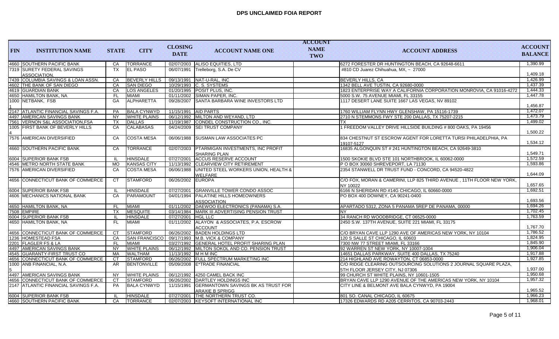| <b>FIN</b> | <b>INSTITUTION NAME</b>                      | <b>STATE</b> | <b>CITY</b>          | <b>CLOSING</b><br><b>DATE</b> | <b>ACCOUNT NAME ONE</b>                                         | <b>ACCOUNT</b><br><b>NAME</b><br>TWO | <b>ACCOUNT ADDRESS</b>                                                                              | <b>ACCOUNT</b><br><b>BALANCE</b> |
|------------|----------------------------------------------|--------------|----------------------|-------------------------------|-----------------------------------------------------------------|--------------------------------------|-----------------------------------------------------------------------------------------------------|----------------------------------|
|            | 4660 SOUTHERN PACIFIC BANK                   | CA           | <b>TORRANCE</b>      |                               | 02/07/2003 ALISO EQUITIES, LTD                                  |                                      | 6272 FORESTER DR HUNTINGTON BEACH, CA 92648-6611                                                    | 1,390.99                         |
|            | 7319  SURETY FEDERAL SAVINGS<br>ASSOCIATION. | <b>TX</b>    | <b>EL PASO</b>       | 06/07/1991                    | Trelleborg, S.A. De CV                                          |                                      | #810 CD Juarez Chihuahua, MX. ~ 27000                                                               | 1,409.18                         |
|            | 7439 COLUMBIA SAVINGS & LOAN ASSN.           | CA           | <b>BEVERLY HILLS</b> |                               | 09/13/1991 NAT-U-RAL, INC                                       |                                      | <b>BEVERLY HILLS, CA</b>                                                                            | 1,426.99                         |
|            | 4602 THE BANK OF SAN DIEGO                   | CA           | <b>SAN DIEGO</b>     |                               | 10/29/1993 C. S. SYSTEMS                                        |                                      | 1342 BELL AVE TUSTIN, CA 92680-0000                                                                 | 1,437.39                         |
|            | 4619 GUARDIAN BANK                           | CA           | <b>LOS ANGELES</b>   |                               | 01/20/1995 POSIT PLUS, INC.                                     |                                      | 1823 ENTERPRISE WAY A CALIFORNIA CORPORATION MONROVIA, CA 91016-4272                                | 1,444.33                         |
|            | 4650  HAMILTON BANK, NA                      | <b>FL</b>    | MIAMI                |                               | 01/11/2002 SIMAN PAPER, INC.                                    |                                      | 5000 S.W. 75 AVENUE MIAMI, FL 33155                                                                 | 1,447.78                         |
|            | 1000 NETBANK, FSB                            | GA           | <b>ALPHARETTA</b>    |                               | 09/28/2007 SANTA BARBARA WINE INVESTORS LTD                     |                                      | 1117 DESERT LANE SUITE 1667 LAS VEGAS, NV 89102                                                     | 1.456.87                         |
|            | 2147 ATLANTIC FINANCIAL SAVINGS F.A.         | <b>PA</b>    | <b>BALA CYNWYD</b>   |                               | 11/15/1991 AID PARTS                                            |                                      | 1760 WILLIAM FLYNN HWY GLENSHAW, PA 15116-1739                                                      | 1,472.07                         |
|            | 4497  AMERICAN SAVINGS BANK                  | <b>NY</b>    | <b>WHITE PLAINS</b>  |                               | 06/12/1992 MILTON AND WEYAND, LTD                               |                                      | 2710 N STEMMONS FWY STE 200 DALLAS, TX 75207-2215                                                   | 1.473.79                         |
|            | 7561 VERNON S&L ASSOCIATION.FSA              | <b>TX</b>    | <b>DALLAS</b>        | 11/19/1987                    | CONDEL CONSTRUCTION CO., INC.                                   |                                      | <b>TX</b>                                                                                           | 1,499.02                         |
|            | 1005 FIRST BANK OF BEVERLY HILLS             | CA           | <b>CALABASAS</b>     |                               | 04/24/2009 ISEI TRUST COMPANY                                   |                                      | 1 FREEDOM VALLEY DRIVE HILLSIDE BUILDING # 800 OAKS, PA 19456                                       | 1,500.22                         |
|            | 7576 AMERICAN DIVERSIFIED                    | CA           | <b>COSTA MESA</b>    | 06/06/1988                    | <b>ISUSMAN LAW ASSOCIATES PC</b>                                |                                      | 834 CHESTNUT ST ESCROW AGENT FOR LORETTA TURSI PHILADELPHIA, PA<br>19107-5127                       | 1,534.12                         |
|            | <b>4660 SOUTHERN PACIFIC BANK</b>            | CA           | <b>TORRANCE</b>      | 02/07/2003                    | <b>PTARMIGAN INVESTMENTS, INC PROFIT</b><br><b>SHARING PLAN</b> |                                      | 16835 ALGONQUIN ST # 241 HUNTINGTON BEACH, CA 92649-3810                                            | 1,549.71                         |
|            | 6004 SUPERIOR BANK FSB                       | - II         | <b>HINSDALE</b>      |                               | 07/27/2001 ACCUS RESERVE ACCOUNT                                |                                      | 1500 SKOKIE BLVD STE 101 NORTHBROOK, IL 60062-0000                                                  | 1.572.59                         |
|            | 4546 METRO NORTH STATE BANK                  | <b>MO</b>    | <b>KANSAS CITY</b>   |                               | 11/13/1992 CLEARVIEW CITY RETIREMENT                            |                                      | P O BOX 30060 SHREVEPORT, LA 71130                                                                  | 1,593.86                         |
|            | 7576 AMERICAN DIVERSIFIED                    | CA           | <b>COSTA MESA</b>    | 06/06/1988                    | UNITED STEEL WORKERS UNION, HEALTH &                            |                                      | 2354 STANWELL DR TRUST FUND - CONCORD, CA 94520-4822                                                |                                  |
|            |                                              |              |                      |                               | WELFARE                                                         |                                      |                                                                                                     | 1,644.09                         |
|            | 4656 CONNECTICUT BANK OF COMMERCE            | <b>CT</b>    | <b>STAMFORD</b>      | 06/26/2002 EUROPA             |                                                                 |                                      | C/O FOX, MORAN & CAMERINI, LLP 825 THIRD AVENUE , 11TH FLOOR NEW YORK,<br>NY 10022                  | 1,657.65                         |
|            | 6004 SUPERIOR BANK FSB                       | - IL         | <b>HINSDALE</b>      | 07/27/2001                    | <b>GRANVILLE TOWER CONDO ASSOC</b>                              |                                      | 6166 N SHERIDAN RD #14G CHICAGO, IL 60660-0000                                                      | 1.692.51                         |
|            | 4606   MECHANICS NATIONAL BANK               | CA           | <b>PARAMOUNT</b>     |                               | 04/01/1994   PALATINE HILLS HOMEOWNERS<br><b>ASSOCIATION</b>    |                                      | PO BOX 400 DOWNEY, CA 90241-0400                                                                    | 1,693.56                         |
|            | 4650 HAMILTON BANK, NA                       | <b>FL</b>    | <b>MIAMI</b>         |                               | 01/11/2002   DAEWOO ELECTRONICS (PANAMA) S.A.                   |                                      | APARTADO 5312, ZONA 5 PANAMA 5REP DE PANAMA, 00000                                                  | 1.694.26                         |
|            | 7508 EMPIRE                                  | <b>TX</b>    | <b>MESQUITE</b>      |                               | 03/14/1984 MARK III ADVERTISING PENSION TRUST                   |                                      | <b>NY</b>                                                                                           | 1,702.45                         |
|            | 6004 SUPERIOR BANK FSB                       | H            | <b>HINSDALE</b>      | 07/27/2001   HGL LLC          |                                                                 |                                      | 34 RANCH RD WOODBRIDGE, CT 06525-0000                                                               | 1,763.59                         |
|            | 4650 HAMILTON BANK, NA                       | FL.          | MIAMI                | 01/11/2002                    | ALAYON & ASSOCIATES, P.A. ESCROW<br><b>ACCOUNT</b>              |                                      | 2450 S.W. 137TH AVENUE, SUITE 221 MIAMI, FL 33175                                                   | 1,767.70                         |
|            | 4656 CONNECTICUT BANK OF COMMERCE            | <b>CT</b>    | <b>STAMFORD</b>      |                               | 06/26/2002 BADEN HOLDINGS LTD                                   |                                      | C/O BRYAN CAVE LLP 1290 AVE OF AMERICAS NEW YORK, NY 10104                                          | 1,786.52                         |
|            | 1236 HOMESTEAD FSA                           | CA           |                      |                               | SAN FRANCISCO 09/17/1993 M.B. VICK & COMPANY                    |                                      | 120 S SALLE ST CHICAGO. IL 60603                                                                    | 1,824.95                         |
|            | 2201 FLAGLER FS & LA                         | <b>FL</b>    | MIAMI                |                               | 03/27/1992 GENERAL HOTEL PROFIT SHARING PLAN                    |                                      | 7300 NW 77 STREET MIAMI, FL 33166                                                                   | 1,845.90                         |
|            | 4497 AMERICAN SAVINGS BANK                   | <b>NY</b>    | <b>WHITE PLAINS</b>  |                               | 06/12/1992 MILTON SOKOL AND CO. PENSION TRUST                   |                                      | 92 WARREN ST NEW YORK, NY 10007-1004                                                                | 1,906.04                         |
|            | 4545  GUARANTY-FIRST TRUST CO                | <b>MA</b>    | <b>WALTHAM</b>       | 11/13/1992 M H M INC          |                                                                 |                                      | 14651 DALLAS PARKWAY, SUITE 400 DALLAS, TX 75240                                                    | 1,917.88                         |
|            | 4656 CONNECTICUT BANK OF COMMERCE            | <b>CT</b>    | <b>STAMFORD</b>      |                               | 06/26/2002 FULL SPECTRUM MARKETING INC                          |                                      | 214 HIGHLAND AVE ROWAYTON, CT 06853-0000                                                            | 1,927.85                         |
|            | 1000  ANB FINANCIAL, N.A.                    | AR.          | <b>BENTONVILLE</b>   |                               | 05/09/2008 E*TRADE FINANCIAL                                    |                                      | C/O RIDGE CLEARING OUTSOURCING SOLUTIONS 2 JOURNAL SQUARE PLAZA.<br>5TH FLOOR JERSEY CITY, NJ 07306 | 1,937.00                         |
|            | 4497 AMERICAN SAVINGS BANK                   | <b>NY</b>    | <b>WHITE PLAINS</b>  | 06/12/1992                    | 4250 CAMEL BACK INC                                             |                                      | 99 CHURCH ST WHITE PLAINS, NY 10601-1505                                                            | 1,950.68                         |
|            | 4656 CONNECTICUT BANK OF COMMERCE            | <b>CT</b>    | <b>STAMFORD</b>      |                               | 06/26/2002 DARTLEY HOLDINGS INC                                 |                                      | BRYAN CAVE LLP 1290 AVENUE OF THE AMERICAS NEW YORK, NY 10104                                       | 1,957.32                         |
|            | 2147 ATLANTIC FINANCIAL SAVINGS F.A.         | <b>PA</b>    | <b>BALA CYNWYD</b>   | 11/15/1991                    | <b>GERMANTOWN SAVINGS BK AS TRUST FOR</b><br>ARAXIE B SPRIGG    |                                      | CITY LINE & BELMONT AVE BALA CYNWYD, PA 19004                                                       | 1,965.52                         |
|            | 6004 SUPERIOR BANK FSB                       | -H           | <b>HINSDALE</b>      |                               | 07/27/2001 THE NORTHERN TRUST CO.                               |                                      | 801 SO. CANAL CHICAGO, IL 60675                                                                     | 1,966.23                         |
|            | 4660 SOUTHERN PACIFIC BANK                   | CA           | <b>TORRANCE</b>      |                               | 02/07/2003 KEYSOFT INTERNATIONAL INC                            |                                      | 17326 EDWARDS RD A205 CERRITOS, CA 90703-2443                                                       | 1,968.01                         |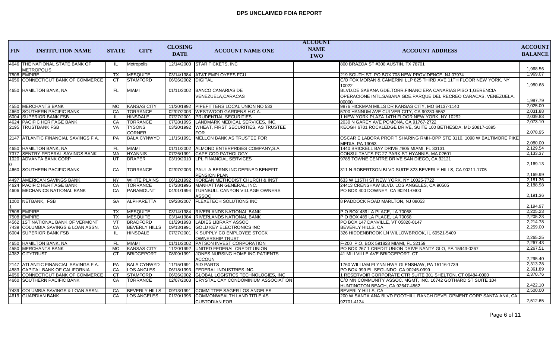| <b>FIN</b>  | <b>INSTITUTION NAME</b>                              | <b>STATE</b> | <b>CITY</b>          | <b>CLOSING</b><br><b>DATE</b> | <b>ACCOUNT NAME ONE</b>                                     | <b>ACCOUNT</b><br><b>NAME</b><br>TWO | <b>ACCOUNT ADDRESS</b>                                                                          | <b>ACCOUNT</b><br><b>BALANCE</b> |
|-------------|------------------------------------------------------|--------------|----------------------|-------------------------------|-------------------------------------------------------------|--------------------------------------|-------------------------------------------------------------------------------------------------|----------------------------------|
|             | 4646 THE NATIONAL STATE BANK OF<br><b>METROPOLIS</b> | -lL          | Metropolis           |                               | 12/14/2000 STAR TICKETS, INC                                |                                      | 800 BRAZOA ST #300 AUSTIN. TX 78701                                                             | 1,968.56                         |
| 7508 EMPIRE |                                                      | <b>TX</b>    | MESQUITE             |                               | 03/14/1984 AT&T EMPLOYEES FCU                               |                                      | 219 SOUTH ST. PO BOX 708 NEW PROVIDENCE. NJ 07974                                               | 1,969.07                         |
|             | 4656 CONNECTICUT BANK OF COMMERCE                    | <b>CT</b>    | STAMFORD             | 06/26/2002 DIGITAL            |                                                             |                                      | C/O FOX MORAN & CAMERINI LLP 825 THIRD AVE 11TH FLOOR NEW YORK, NY                              |                                  |
|             |                                                      |              |                      |                               |                                                             |                                      | 10022                                                                                           | 1,980.68                         |
|             | 4650 HAMILTON BANK, NA                               | FL.          | MIAMI                |                               | 01/11/2002 BANCO CANARIAS DE                                |                                      | BLVD.DE SABANA GDE.TORR.FINANCIERA CANARIAS PISO 1, GERENCIA                                    |                                  |
|             |                                                      |              |                      |                               | VENEZUELA, CARACAS                                          |                                      | OPERACIONE INTL.SABANA GDE.PARQUE DEL RECREO CARACAS, VENEZUELA,                                | 1,987.79                         |
|             | 4550 MERCHANTS BANK                                  | <b>MO</b>    | <b>KANSAS CITY</b>   |                               | 11/20/1992 PIPEFITTERS LOCAL UNION NO 533                   |                                      | 00000<br>9876 HICKMAN MILLS DR KANSAS CITY, MO 64137-1140                                       | 2.025.00                         |
|             | 4660 SOUTHERN PACIFIC BANK                           | CA           | <b>TORRANCE</b>      |                               | 02/07/2003 WESTWOOD GARDENS H.O.A.                          |                                      | 5700 HANNUM AVE CULVER CITY, CA 90230-6552                                                      | 2,031.88                         |
|             | 6004 SUPERIOR BANK FSB                               | -H.          | <b>HINSDALE</b>      |                               | 07/27/2001   PRUDENTIAL SECURITIES                          |                                      | 1 NEW YORK PLAZA 14TH FLOOR NEW YORK, NY 10292                                                  | 2.039.83                         |
|             | 4624 PACIFIC HERITAGE BANK                           | CA           | <b>TORRANCE</b>      |                               | 07/28/1995   LANDMARK MEDICAL SERVICES, INC.                |                                      | 2030 N GAREY AVE POMONA, CA 91767-2722                                                          | 2,073.10                         |
|             | 2195 TRUSTBANK FSB                                   | <b>VA</b>    | <b>TYSONS</b>        | 03/20/1992                    | <b>WHEAT, FIRST SECURITIES, AS TRUSTEE</b>                  |                                      | KEOGH 6701 ROCKLEDGE DRIVE, SUITE 100 BETHESDA, MD 20817-1895                                   |                                  |
|             |                                                      |              | <b>CORNER</b>        |                               | <b>FOR</b>                                                  |                                      |                                                                                                 | 2,078.95                         |
|             | 2147 ATLANTIC FINANCIAL SAVINGS F.A.                 | PA           | <b>BALA CYNWYD</b>   | 11/15/1991                    | MELLON BANK AS TRUSTEE FOR                                  |                                      | OSCAR E LABORA PROFIT SHARING RMH-OPP STE 3110, 1098 W BALTIMORE PIKE<br><b>MEDIA, PA 19063</b> | 2,080.00                         |
|             | 4650 HAMILTON BANK, NA                               | <b>FL</b>    | <b>MIAMI</b>         |                               | 01/11/2002 ALMOND ENTERPRISES COMPANY, S.A.                 |                                      | 1440 BRICKELL BAY DRIVE #805 MIAMI, FL 33131                                                    | 2.129.54                         |
|             | 7377 SENTRY FEDERAL SAVINGS BANK                     | MA           | <b>HYANNIS</b>       |                               | 07/26/1991 CAPE COD PATHOLOGY                               |                                      | CONSULTANTS PC 27 PARK ST HYANNIS, MA 02601                                                     | 2,133.37                         |
|             | 1020 ADVANTA BANK CORP                               | UT           | DRAPER               |                               | 03/19/2010 LPL FINANCIAL SERVICES                           |                                      | 9785 TOWNE CENTRE DRIVE SAN DIEGO, CA 92121                                                     | 2,169.13                         |
|             | 4660 SOUTHERN PACIFIC BANK                           | CA           | <b>TORRANCE</b>      |                               | 02/07/2003 PAUL A BERNS INC DEFINED BENEFIT<br>PENSION PLAN |                                      | 311 N ROBERTSON BLVD SUITE 823 BEVERLY HILLS, CA 90211-1705                                     | 2,169.99                         |
|             | 4497 AMERICAN SAVINGS BANK                           | <b>NY</b>    | <b>WHITE PLAINS</b>  |                               | 06/12/1992 KOREAN METHODIST CHURCH & INST                   |                                      | 633 W 115TH ST NEW YORK. NY 10025-7722                                                          | 2.181.36                         |
|             | 4624 PACIFIC HERITAGE BANK                           | CA           | <b>TORRANCE</b>      |                               | 07/28/1995   MANHATTAN GENERAL, INC.                        |                                      | 24413 CRENSHAW BLVD. LOS ANGELES, CA 90505                                                      | 2,188.98                         |
|             | 4606 MECHANICS NATIONAL BANK                         | CA           | PARAMOUNT            | 04/01/1994                    | <b>TURNBULL CANYON VILLAGE OWNERS</b><br>ASSOC              |                                      | PO BOX 400 DOWNEY, CA 90241-0400                                                                | 2,191.36                         |
|             | 1000 NETBANK, FSB                                    | GA           | ALPHARETTA           | 09/28/2007                    | <b>FLEXETECH SOLUTIONS INC</b>                              |                                      | 8 PADDOCK ROAD MARLTON, NJ 08053                                                                | 2.194.97                         |
| 7508 EMPIRE |                                                      | <b>TX</b>    | MESQUITE             |                               | 03/14/1984 RIVERLANDS NATIONAL BANK                         |                                      | P O BOX 489 LA PLACE, LA 70068                                                                  | 2,205.23                         |
| 7508 EMPIRE |                                                      | TX           | <b>MESQUITE</b>      |                               | 03/14/1984   RIVERLANDS NATIONAL BANK                       |                                      | PO BOX 489 LA PLACE, LA 70068                                                                   | 2,205.23                         |
|             | 4562 1ST NATIONAL BANK OF VERMONT                    | VT           | <b>BRADFORD</b>      |                               | 01/29/1993 LADIES LIBRARY ASSOC                             |                                      | PO BOX 147 DANVILLE, VT 05828-0147                                                              | 2,214.78                         |
|             | 7439 COLUMBIA SAVINGS & LOAN ASSN.                   | CA           | <b>BEVERLY HILLS</b> | 09/13/1991                    | GOLD KEY ELECTRONICS INC                                    |                                      | BEVERLY HILLS, CA                                                                               | 2,259.00                         |
|             | 6004 SUPERIOR BANK FSB                               | IL           | <b>HINSDALE</b>      | 07/27/2001                    | K SUPPLY CO EMPLOYEE STOCK<br>OWNERSHIP TRUST               |                                      | 326 HIDDENBROOK LN WILLOWBROOK, IL 60521-5409                                                   | 2,265.25                         |
|             | 4650 HAMILTON BANK, NA                               | <b>FL</b>    | <b>MIAMI</b>         |                               | 01/11/2002 PATSON INVEST CORPORATION                        |                                      | F-200 P.O. BOX 591828 MIAMI, FL 32159                                                           | 2,267.43                         |
|             | 4550 MERCHANTS BANK                                  | <b>MO</b>    | <b>KANSAS CITY</b>   |                               | 11/20/1992 UNITED FEDERAL CREDIT UNION                      |                                      | PO BOX 267 1 CREDIT UNION DRIVE NANTY GLO. PA 15943-0267                                        | 2,267.51                         |
|             | 4382 CITYTRUST                                       | СT           | <b>BRIDGEPORT</b>    | 08/09/1991                    | JONES NURSING HOME INC PATIENTS<br><b>ACCOUN</b>            |                                      | 41 MILLVILLE AVE BRIDGEPORT, CT                                                                 | 2,295.40                         |
|             | 2147 ATLANTIC FINANCIAL SAVINGS F.A.                 | PA           | <b>BALA CYNWYD</b>   |                               | 11/15/1991 AID PARTS                                        |                                      | 1760 WILLIAM FLYNN HWY GLENSHAW, PA 15116-1739                                                  | 2,313.28                         |
|             | 4583 CAPITAL BANK OF CALIFORNIA                      | <b>CA</b>    | <b>LOS ANGLES</b>    |                               | 06/18/1993 FEDERAL INDUSTRIES INC.                          |                                      | PO BOX 999 EL SEGUNDO. CA 90245-0999                                                            | 2,361.89                         |
|             | 4656 CONNECTICUT BANK OF COMMERCE                    | <b>CT</b>    | <b>STAMFORD</b>      |                               | 06/26/2002 GLOBAL LOGISTICS TECHNOLOGIES, INC               |                                      | 1 RESERVOIR CORPORATE CTR SUITE 301 SHELTON, CT 06484-0000                                      | 2,370.76                         |
|             | 4660 SOUTHERN PACIFIC BANK                           | CA           | <b>TORRANCE</b>      |                               | 02/07/2003 CRYSTAL CAY CONDOMINIUM ASSOCIATION              |                                      | C/O MN COMMUNITY ASSOC. MGMT, INC. 16742 GOTHARD ST SUITE 104                                   |                                  |
|             |                                                      |              |                      |                               |                                                             |                                      | HUNTINGTON BEACH, CA 92647-4562                                                                 | 2,422.10                         |
|             | 7439 COLUMBIA SAVINGS & LOAN ASSN.                   | CA           | <b>BEVERLY HILLS</b> | 09/13/1991                    | COMMITTEE SAGER LOS ANGELES                                 |                                      | BEVERLY HILLS, CA                                                                               | 2,500.00                         |
|             | 4619 GUARDIAN BANK                                   | <b>CA</b>    | <b>LOS ANGELES</b>   | 01/20/1995                    | COMMONWEALTH LAND TITLE AS                                  |                                      | 200 W SANTA ANA BLVD FOOTHILL RANCH DEVELOPMENT CORP SANTA ANA, CA                              |                                  |
|             |                                                      |              |                      |                               | <b>CUSTODIAN FOR</b>                                        |                                      | 92701-4134                                                                                      | 2,512.65                         |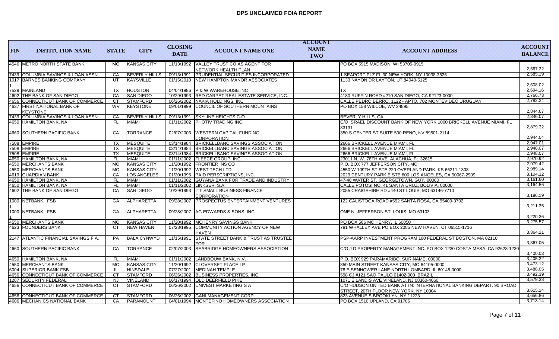|            |                                                |              |                      | <b>CLOSING</b> |                                                               | <b>ACCOUNT</b>     |                                                                              | <b>ACCOUNT</b> |
|------------|------------------------------------------------|--------------|----------------------|----------------|---------------------------------------------------------------|--------------------|------------------------------------------------------------------------------|----------------|
| <b>FIN</b> | <b>INSTITUTION NAME</b>                        | <b>STATE</b> | <b>CITY</b>          | <b>DATE</b>    | <b>ACCOUNT NAME ONE</b>                                       | <b>NAME</b><br>TWO | <b>ACCOUNT ADDRESS</b>                                                       | <b>BALANCE</b> |
|            | 4546 METRO NORTH STATE BANK                    | <b>MO</b>    | <b>KANSAS CITY</b>   |                | 11/13/1992 VALLEY TRUST CO AS AGENT FOR                       |                    | PO BOX 5915 MADISON, WI 53705-0915                                           |                |
|            |                                                |              |                      |                | NETWORK HEALTH PLAN                                           |                    |                                                                              | 2.567.22       |
|            | 7439 COLUMBIA SAVINGS & LOAN ASSN.             | CA           | <b>BEVERLY HILLS</b> |                | 09/13/1991 PRUDENTIAL SECURITIES INCORPORATED                 |                    | 1 SEAPORT PLZ FL 30 NEW YORK, NY 10038-3526                                  | 2.585.19       |
|            | 1017 BARNES BANKING COMPANY                    | UT           | KAYSVILLE            |                | 01/15/2010 NEW HAMPTON MANOR ASSOCIATES                       |                    | 1133 NAYON DR LAYTON, UT 84040-5125                                          | 2.608.02       |
|            | 7529 MAINLAND                                  | <b>TX</b>    | <b>HOUSTON</b>       |                | 04/04/1986 P & W WAREHOUSE INC                                |                    | ITX.                                                                         | 2,694.16       |
|            | 4602 THE BANK OF SAN DIEGO                     | CA           | <b>SAN DIEGO</b>     |                | 10/29/1993 RED CARPET REAL ESTATE SERVICE, INC.               |                    | 4180 RUFFIN ROAD #210 SAN DIEGO, CA 92123-0000                               | 2,766.73       |
|            | 4656 CONNECTICUT BANK OF COMMERCE              | <b>CT</b>    | <b>STAMFORD</b>      |                | 06/26/2002 NAKIA HOLDINGS, INC                                |                    | CALLE PEDRO BERRO. 1122 - APTO. 702 MONTEVIDEO URUGUAY                       | 2,782.24       |
|            | 4637 FIRST NATIONAL BANK OF<br><b>KEYSTONE</b> | <b>WV</b>    | KEYSTONE             |                | 09/01/1999 COUNCIL OF SOUTHERN MOUNTAINS                      |                    | PO BOX 158 WILCOE. WV 24895                                                  | 2,844.67       |
|            | 7439 COLUMBIA SAVINGS & LOAN ASSN.             | CA           | <b>BEVERLY HILLS</b> |                | 09/13/1991 SKYLINE HEIGHTS C-O                                |                    | BEVERLY HILLS, CA                                                            | 2.846.07       |
|            | 4650 HAMILTON BANK, NA                         | FL.          | <b>MIAMI</b>         |                | 01/11/2002 PHOTIV TRADING INC.                                |                    | C/O ISRAEL DISCOUNT BANK OF NEW YORK 1000 BRICKELL AVENUE MIAMI, FL<br>33131 | 2,879.32       |
|            | 4660 SOUTHERN PACIFIC BANK                     | CA           | <b>TORRANCE</b>      | 02/07/2003     | <b>WESTERN CAPITAL FUNDING</b><br><b>CORPORATION</b>          |                    | 350 S CENTER ST SUITE 500 RENO, NV 89501-2114                                | 2.944.04       |
|            | 7508 EMPIRE                                    | <b>TX</b>    | MESQUITE             |                | 03/14/1984 BRICKELLBANC SAVINGS ASSOCIATION                   |                    | 2666 BRICKELL AVENUE MIAMI, FL                                               | 2,947.01       |
|            | 7508 EMPIRE                                    | TX           | MESQUITE             |                | 03/14/1984   BRICKELLBANC SAVINGS ASSOCIATION                 |                    | 2666 BRICKELL AVENUE MIAMI, FL                                               | 2,948.07       |
|            | 7508 EMPIRE                                    | <b>TX</b>    | MESQUITE             |                | 03/14/1984 BRICKELLBANC SAVINGS ASSOCIATION                   |                    | 2666 BRICKELL AVENUE MIAMI. FL                                               | 2.948.07       |
|            | 4650 HAMILTON BANK, NA                         | <b>FL</b>    | MIAMI                |                | 01/11/2002 FLEECE GROUP, INC.                                 |                    | 23011 N.W. 78TH AVE. ALACHUA, FL 32615                                       | 2,970.92       |
|            | 4550 MERCHANTS BANK                            | <b>MO</b>    | <b>KANSAS CITY</b>   |                | 11/20/1992   FRONTIER INS CO                                  |                    | P.O. BOX 777 JEFFERSON CITY, MO                                              | 2,979.42       |
|            | 4550 MERCHANTS BANK                            | <b>MO</b>    | <b>KANSAS CITY</b>   |                | 11/20/1992 WEST TECH LTD                                      |                    | 4550 W 109TH ST STE 220 OVERLAND PARK, KS 66211-1308                         | 2.989.14       |
|            | 4619 GUARDIAN BANK                             | CA           | <b>LOS ANGELES</b>   |                | 01/20/1995 PAID PERSCRIPTIONS, INC.                           |                    | 2029 CENTURY PARK E STE 800 LOS ANGELES, CA 90067-2909                       | 3,104.32       |
|            | 4650 HAMILTON BANK, NA                         | <b>FL</b>    | MIAMI                |                | 01/11/2002 GUYANA BANK FOR TRADE AND INDUSTRY                 |                    | 47-48 WATER ST. GEORGETOWN, GUY, 00000                                       | 3,161.60       |
|            | 4650 HAMILTON BANK, NA                         | <b>FL</b>    | MIAMI                |                | 01/11/2002 LINKSER, S.A.                                      |                    | ICALLE POTOSI NO. 41 SANTA CRUZ. BOLIVIA. 00000                              | 3.164.56       |
|            | 4602 THE BANK OF SAN DIEGO                     | CA           | <b>SAN DIEGO</b>     |                | 10/29/1993   ITT SMALL BUSINESS FINANCE<br><b>CORPORATION</b> |                    | 2055 CRAIGSHIRE RD #440 ST LOUIS, MO 63146-7710                              | 3.186.19       |
|            | 1000 NETBANK, FSB                              | GA           | <b>ALPHARETTA</b>    | 09/28/2007     | <b>PROSPECTUS ENTERTAINMENT VENTURES</b>                      |                    | 122 CALISTOGA ROAD #552 SANTA ROSA, CA 95409-3702                            | 3,211.35       |
|            | 1000 NETBANK, FSB                              | GA           | <b>ALPHARETTA</b>    | 09/28/2007     | AG EDWARDS & SONS, INC.                                       |                    | ONE N. JEFFERSON ST. LOUIS, MO 63103                                         | 3,220.36       |
|            | 4550 MERCHANTS BANK                            | <b>MO</b>    | <b>KANSAS CITY</b>   |                | 11/20/1992 MCHENRY SAVINGS BANK                               |                    | PO BOX 566 MC HENRY. IL 60050                                                | 3.275.57       |
|            | 4623 FOUNDERS BANK                             | <b>CT</b>    | <b>NEW HAVEN</b>     | 07/28/1995     | COMMUNITY ACTION AGENCY OF NEW<br><b>HAVEN</b>                |                    | 781 WHALLEY AVE PO BOX 2085 NEW HAVEN, CT 06515-1716                         | 3,364.21       |
|            | 2147 ATLANTIC FINANCIAL SAVINGS F.A.           | <b>PA</b>    | <b>BALA CYNWYD</b>   | 11/15/1991     | STATE STREET BANK & TRUST AS TRUSTEE<br><b>FOR</b>            |                    | PSP-AARP INVESTMENT PROGRAM 160 FEDERAL ST BOSTON, MA 02110                  | 3,367.05       |
|            | 4660 SOUTHERN PACIFIC BANK                     | CA           | <b>TORRANCE</b>      | 02/07/2003     | <b>SEABRIDGE HOMEOWNERS ASSOCIATION</b>                       |                    | IC/O J D PROPERTY MANAGEMENT INC. PO BOX 1230 COSTA MESA, CA 92628-1230      | 3,400.03       |
|            | 4650 HAMILTON BANK, NA                         | - FL         | MIAMI                |                | 01/11/2002 LANDBOUW BANK, N.V.                                |                    | P.O. BOX 929 PARAMARIBO, SURINAME, 00000                                     | 3,405.22       |
|            | 4550 MERCHANTS BANK                            | <b>MO</b>    | <b>KANSAS CITY</b>   |                | 11/20/1992 CLOVERSET PLACE LP                                 |                    | 850 MAIN STREET KANSAS CITY, MO 64105-0000                                   | 3,473.12       |
|            | 6004 SUPERIOR BANK FSB                         | $\mathbf{H}$ | <b>HINSDALE</b>      |                | 07/27/2001 MEDINAH TEMPLE                                     |                    | 78 EISENHOWER LANE NORTH LOMBARD. IL 60148-0000                              | 3,488.05       |
|            | 4656 CONNECTICUT BANK OF COMMERCE              | CT           | STAMFORD             |                | 06/26/2002 BUSINESS PROPERTIES, INC.                          |                    | 598 CJ #121 SAO PAULO 01402-000 BRAZIL                                       | 3,492.39       |
|            | 1287 SECURITY FEDERAL                          | <b>NJ</b>    | <b>VINELAND</b>      |                | 06/17/1994   OLD DEERFIELD PIKE                               |                    | 1071 E LANDIS AVE VINELAND, NJ 08360-4060                                    | 3,579.38       |
|            | 4656 CONNECTICUT BANK OF COMMERCE              | <b>CT</b>    | <b>STAMFORD</b>      |                | 06/26/2002 UNIVEST MARKETING S A                              |                    | C/O HUDSON UNITED BANK ATTN: INTERNATIONAL BANKING DEPART. 90 BROAD          |                |
|            |                                                |              |                      |                |                                                               |                    | STREET, 20TH FLOOR NEW YORK, NY 10004                                        | 3,615.14       |
|            | 4656 CONNECTICUT BANK OF COMMERCE              | CT           | <b>STAMFORD</b>      |                | 06/26/2002 GANI MANAGEMENT CORP                               |                    | 823 AVENUE S BROOKLYN, NY 11223                                              | 3,656.86       |
|            | 4606 MECHANICS NATIONAL BANK                   | CA           | PARAMOUNT            |                | 04/01/1994 MONTEFINO HOMEOWNERS ASSOCIATION                   |                    | PO BOX 1510 UPLAND. CA 91786                                                 | 3,713.14       |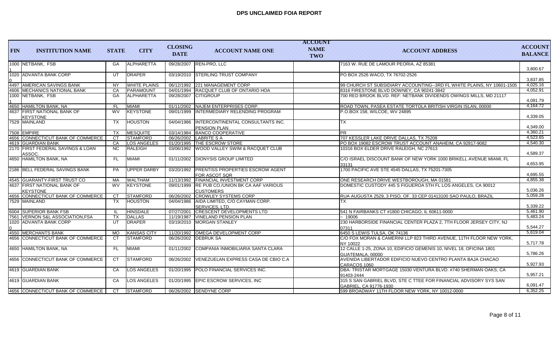| <b>FIN</b> | <b>INSTITUTION NAME</b>                        | <b>STATE</b> | <b>CITY</b>         | <b>CLOSING</b><br><b>DATE</b> | <b>ACCOUNT NAME ONE</b>                                           | <b>ACCOUNT</b><br><b>NAME</b><br><b>TWO</b> | <b>ACCOUNT ADDRESS</b>                                                                      | <b>ACCOUNT</b><br><b>BALANCE</b> |
|------------|------------------------------------------------|--------------|---------------------|-------------------------------|-------------------------------------------------------------------|---------------------------------------------|---------------------------------------------------------------------------------------------|----------------------------------|
|            | 1000 NETBANK, FSB                              | GA           | <b>ALPHARETTA</b>   |                               | 09/28/2007 REN-PRO, LLC                                           |                                             | 7163 W. RUE DE LAMOUR PEORIA, AZ 85381                                                      | 3.800.67                         |
|            | 1020 ADVANTA BANK CORP                         | UT           | DRAPER              |                               | 03/19/2010 STERLING TRUST COMPANY                                 |                                             | PO BOX 2526 WACO, TX 76702-2526                                                             | 3.837.85                         |
|            | 4497 AMERICAN SAVINGS BANK                     | <b>NY</b>    | <b>WHITE PLAINS</b> |                               | 06/12/1992 221 MANAGEMENT CORP                                    |                                             | 99 CHURCH ST SUBSIDIARY ACCOUNTING--3RD FL WHITE PLAINS, NY 10601-1505                      | 4,025.16                         |
|            | 4606 MECHANICS NATIONAL BANK                   | CA           | PARAMOUNT           |                               | 04/01/1994 RACQUET CLUB OF ONTARIO HOA                            |                                             | 8316 FIRESTONE BLVD DOWNEY, CA 90241-3842                                                   | 4.052.91                         |
|            | 1000 NETBANK, FSB                              | GA           | ALPHARETTA          |                               | 09/28/2007 CITIGROUP                                              |                                             | 700 RED BROOK BLVD. REF: NETBANK DIVIDENDS OWINGS MILLS, MD 21117                           | 4,091.79                         |
|            | 4650 HAMILTON BANK, NA                         | <b>FL</b>    | <b>MIAMI</b>        | 01/11/2002                    | <b>NAJEM ENTERPRISES CORP.</b>                                    |                                             | ROAD TOWN, PASEA ESTATE TORTOLA BRITISH VIRGIN ISLAN, 00000                                 | 4,164.72                         |
|            | 4637 FIRST NATIONAL BANK OF<br><b>KEYSTONE</b> | <b>WV</b>    | <b>KEYSTONE</b>     | 09/01/1999                    | INTERMEDIARY RELENDING PROGRAM                                    |                                             | P.O.BOX 158, WILCOE, WV 24895                                                               | 4,339.05                         |
|            | 7529 MAINLAND                                  | <b>TX</b>    | <b>HOUSTON</b>      | 04/04/1986                    | INTERCONTINENTAL CONSULTANTS INC.<br><b>PENSION PLAN</b>          |                                             | <b>TX</b>                                                                                   | 4,349.00                         |
|            | 7508 EMPIRE                                    | TX           | <b>MESQUITE</b>     |                               | 03/14/1984 BANCO COOPERATIVE                                      |                                             | <b>PR</b>                                                                                   | 4,360.21                         |
|            | 4656 CONNECTICUT BANK OF COMMERCE              | <b>CT</b>    | <b>STAMFORD</b>     |                               | 06/26/2002 LABRITE S A                                            |                                             | 707 KESSLER LAKE DRIVE DALLAS, TX 75208                                                     | 4,523.65                         |
|            | 4619 GUARDIAN BANK                             | CA           | <b>LOS ANGELES</b>  |                               | 01/20/1995 THE ESCROW STORE                                       |                                             | PO BOX 19082 ESCROW TRUST ACCOUNT ANAHEIM, CA 92817-9082                                    | 4,540.30                         |
|            | 2170 FIRST FEDERAL SAVINGS & LOAN<br>ASSOC.    | <b>NC</b>    | RALEIGH             |                               | 03/06/1992 WOOD VALLEY SWIM & RACQUET CLUB                        |                                             | 10316 BOX ELDER DRIVE RALEIGH, NC 27613                                                     | 4,589.37                         |
|            | 4650 HAMILTON BANK, NA                         | FL.          | <b>MIAMI</b>        |                               | 01/11/2002 DIONYSIS GROUP LIMITED                                 |                                             | IC/O ISRAEL DISCOUNT BANK OF NEW YORK 1000 BRIKELL AVENUE MIAMI. FL<br>33131                | 4.653.95                         |
|            | 2186 BELL FEDERAL SAVINGS BANK                 | <b>PA</b>    | <b>UPPER DARBY</b>  | 03/20/1992                    | <b>IPRENTISS PROPERTIES ESCROW AGENT</b><br>FOR ASCOT SQR         |                                             | 1700 PACIFIC AVE STE 4545 DALLAS, TX 75201-7305                                             | 4.695.55                         |
|            | 4545 GUARANTY-FIRST TRUST CO                   | MA           | <b>WALTHAM</b>      |                               | 11/13/1992 FINANCIAL INVESTMENT CORP                              |                                             | ONE RESEARCH DRIVE WESTBOROUGH. MA 01581                                                    | 4,855.38                         |
|            | 4637 FIRST NATIONAL BANK OF<br><b>KEYSTONE</b> | <b>WV</b>    | <b>KEYSTONE</b>     |                               | 09/01/1999 RE PUB CO./UNION BK CA AAF VARIOUS<br><b>CUSTOMERS</b> |                                             | DOMESTIC CUSTODY 445 S FIGUEROA 5TH FL LOS ANGELES, CA 90012                                | 5,036.26                         |
|            | 4656 CONNECTICUT BANK OF COMMERCE              | <b>CT</b>    | <b>STAMFORD</b>     |                               | 06/26/2002 CROWLEY SYSTEMS CORP                                   |                                             | RUA AUGUSTA 2529, 3 PISO, OF. 33 CEP 01413100 SAO PAULO, BRAZIL                             | 5,059.28                         |
|            | 7529 MAINLAND                                  | TX.          | <b>HOUSTON</b>      |                               | 04/04/1986   AIDA LIMITED, C/O CAYMAN CORP.<br>SERVICES, LTD.     |                                             | <b>TX</b>                                                                                   | 5,339.22                         |
|            | 6004 SUPERIOR BANK FSB                         | -H.          | <b>HINSDALE</b>     | 07/27/2001                    | <b>CRESCENT DEVELOPMENTS LTD</b>                                  |                                             | 541 N FAIRBANKS CT #1800 CHICAGO, IL 60611-0000                                             | 5.461.90                         |
|            | 7561   VERNON S&L ASSOCIATION, FSA             | TX           | DALLAS              |                               | 11/19/1987   VINELAND PENSION PLAN                                |                                             | ~19006                                                                                      | 5,483.24                         |
|            | 1020 ADVANTA BANK CORP                         | UT           | DRAPER              |                               | 03/19/2010 MORGAN STANLEY                                         |                                             | 230 HARBORSIDE FINANCIAL CENTER PLAZA 2, 7TH FLOOR JERSEY CITY, NJ<br>07311                 | 5,544.27                         |
|            | 4550 MERCHANTS BANK                            | MO           | <b>KANSAS CITY</b>  |                               | 11/20/1992 OMEGA DEVELOPMENT CORP                                 |                                             | 6450 S LEWIS TULSA, OK 74136                                                                | 5,619.04                         |
|            | 4656 CONNECTICUT BANK OF COMMERCE              | <b>CT</b>    | <b>STAMFORD</b>     |                               | 06/26/2002 DEBRUK SA                                              |                                             | C/O FOX MORAN & CAMERINI LLP 823 THIRD AVENUE, 11TH FLOOR NEW YORK,<br>NY 10022             | 5,717.78                         |
|            | 4650 HAMILTON BANK, NA                         | <b>FL</b>    | MIAMI               | 01/11/2002                    | COMPANIA INMOBILIARIA SANTA CLARA                                 |                                             | 12 CALLE 1-25, ZONA 10, EDIFICIO GEMENIS 10, NIVEL 18, OFICINA 1801<br>GUATEMALA, 00000     | 5.786.26                         |
|            | 4656 CONNECTICUT BANK OF COMMERCE              | CT           | <b>STAMFORD</b>     | 06/26/2002                    | VENEZUELAN EXPRESS CASA DE CBIO C.A                               |                                             | AVENIDA LIBERTADOR EDIFICIO NUEVO CENTRO PLANTA BAJA CHACAO<br>CARACOS 1060                 | 5,927.93                         |
|            | 4619 GUARDIAN BANK                             | CA           | LOS ANGELES         |                               | 01/20/1995 POLO FINANCIAL SERVICES INC.                           |                                             | DBA: TRISTAR MORTGAGE 15030 VENTURA BLVD. #740 SHERMAN OAKS, CA<br>91403-2444               | 5,957.21                         |
|            | 4619 GUARDIAN BANK                             | CA           | <b>LOS ANGELES</b>  |                               | 01/20/1995 EPIC ESCROW SERVICES, INC                              |                                             | 315 S SAN GABRIEL BLVD, STE C TTEE FOR FINANCIAL ADVISORY SYS SAN<br>GABRIEL, CA 91776-1930 | 6,091.47                         |
|            | 4656 CONNECTICUT BANK OF COMMERCE              | CT.          | <b>STAMFORD</b>     |                               | 06/26/2002 SENDYNE CORP                                           |                                             | 599 BROADWAY 11TH FLOOR NEW YORK. NY 10012-0000                                             | 6,352.25                         |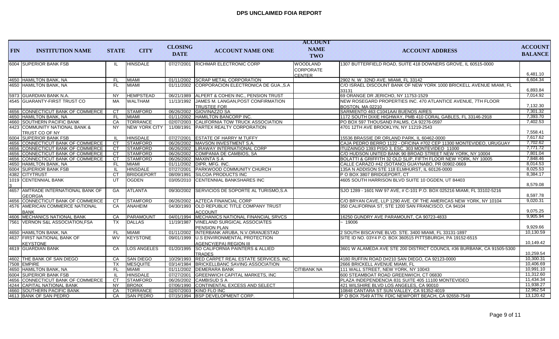|            |                                                                        |              |                                    |                |                                                                            | <b>ACCOUNT</b>     |                                                                                                               |                        |
|------------|------------------------------------------------------------------------|--------------|------------------------------------|----------------|----------------------------------------------------------------------------|--------------------|---------------------------------------------------------------------------------------------------------------|------------------------|
| <b>FIN</b> | <b>INSTITUTION NAME</b>                                                | <b>STATE</b> | <b>CITY</b>                        | <b>CLOSING</b> | <b>ACCOUNT NAME ONE</b>                                                    | <b>NAME</b>        | <b>ACCOUNT ADDRESS</b>                                                                                        | <b>ACCOUNT</b>         |
|            |                                                                        |              |                                    | <b>DATE</b>    |                                                                            | <b>TWO</b>         |                                                                                                               | <b>BALANCE</b>         |
|            | 6004 SUPERIOR BANK FSB                                                 | IL           | <b>HINSDALE</b>                    | 07/27/2001     | <b>RICHMAR ELECTRONIC CORP</b>                                             | <b>WOODLAND</b>    | 1307 BUTTERFIELD ROAD, SUITE 418 DOWNERS GROVE, IL 60515-0000                                                 |                        |
|            |                                                                        |              |                                    |                |                                                                            | <b>CORPORATE</b>   |                                                                                                               |                        |
|            |                                                                        |              |                                    |                |                                                                            | <b>CENTER</b>      |                                                                                                               | 6,481.10               |
|            | 4650 HAMILTON BANK, NA                                                 | <b>FL</b>    | <b>MIAMI</b>                       |                | 01/11/2002 SCRAP METAL CORPORATION                                         |                    | 2902 N. W. 32ND AVE. MIAMI. FL 33142                                                                          | 6,604.34               |
|            | 4650 HAMILTON BANK, NA                                                 | FL.          | <b>MIAMI</b>                       | 01/11/2002     | CORPORACION ELECTRONICA DE GUA., S.A.                                      |                    | C/O ISRAEL DISCOUNT BANK OF NEW YORK 1000 BRICKELL AVENUE MIAMI, FL                                           |                        |
|            |                                                                        |              |                                    |                |                                                                            |                    | 33131                                                                                                         | 6,893.84               |
|            | 5973 GUARDIAN BANK N.A.                                                | <b>NY</b>    | <b>HEMPSTEAD</b>                   |                | 06/21/1989   ALPERT & COHEN INC., PENSION TRUST                            |                    | 69 ORANGE DR JERICHO, NY 11753-1529                                                                           | 7,014.92               |
|            | 4545 GUARANTY-FIRST TRUST CO                                           | <b>MA</b>    | <b>WALTHAM</b>                     |                | 11/13/1992 JAMES M. LANGAN, POST CONFIRMATION                              |                    | NEW ROSEGARD PROPERTIES INC. 470 ATLANTICE AVENUE, 7TH FLOOR                                                  |                        |
|            |                                                                        |              |                                    |                | <b>TRUSTEE FOR</b>                                                         |                    | BOSTON, MA 02210                                                                                              | 7,132.30               |
|            | 4656 CONNECTICUT BANK OF COMMERCE                                      | <b>CT</b>    | STAMFORD                           |                | 06/26/2002 GIOVINAZZO SA                                                   |                    | SARMIENTO 463 C1041AAI BUENOS AIRES                                                                           | 7,301.32               |
|            | 4650 HAMILTON BANK, NA                                                 | <b>FL</b>    | MIAMI                              |                | 01/11/2002 HAMILTON BANCORP INC.                                           |                    | 1172 SOUTH DIXIE HIGHWAY, PMB 410 CORAL GABLES, FL 33146-2918                                                 | 7,393.70               |
|            | 4660 SOUTHERN PACIFIC BANK                                             | CA           | <b>TORRANCE</b>                    |                | 02/07/2003 CALIFORNIA TOW TRUCK ASSOCIATION                                |                    | PO BOX 597 THOUSAND PALMS, CA 92276-0597                                                                      | 7,402.53               |
|            | 4423 COMMUNITY NATIONAL BANK &                                         | <b>NY</b>    | <b>NEW YORK CITY</b>               |                | 11/08/1991   PARTEX REALTY CORPORATION                                     |                    | 4701 12TH AVE BROOKLYN, NY 11219-2543                                                                         | 7,558.41               |
|            | TRUST CO OF NY                                                         |              |                                    |                |                                                                            |                    |                                                                                                               | 7,617.62               |
|            | 6004 SUPERIOR BANK FSB                                                 | -IL          | <b>HINSDALE</b>                    |                | 07/27/2001 ESTATE OF HARRY M TUFFY                                         |                    | 15536 BRASSIE DR ORLAND PARK, IL 60462-0000                                                                   | 7,702.62               |
|            | 4656 CONNECTICUT BANK OF COMMERCE<br>4656 CONNECTICUT BANK OF COMMERCE | CT.<br>CT.   | <b>STAMFORD</b><br><b>STAMFORD</b> |                | 06/26/2002 MAVSON INVESTMENT S.A.<br>06/26/2002 LIRAWAY INTERNATIONAL CORP |                    | CAJA PEDRO BERRO 1122 - OFICINA #702 CEP 11300 MONTEVIDEO, URUGUAY                                            | 7,771.72               |
|            | 4656 CONNECTICUT BANK OF COMMERCE                                      | CT.          | <b>STAMFORD</b>                    |                | 06/26/2002 COMPANIA DE CAMBIOS, SA                                         |                    | ITUZAINGO 1393 PISO 3, ESC. 303 MONTEVIDEO 11000<br>C/O HUDSON UNITED BANK 90 BROAD STREET NEW YORK, NY 10004 | 7,801.04               |
|            | 4656 CONNECTICUT BANK OF COMMERCE                                      | CT           | STAMFORD                           |                | 06/26/2002   MAXINTA S A                                                   |                    | BOLATTI & GRIFFITH 32 OLD SLIP, FIFTH FLOOR NEW YORK, NY 10005                                                | 7,848.46               |
|            | 4650 HAMILTON BANK, NA                                                 | <b>FL</b>    | <b>MIAMI</b>                       |                | 01/11/2002   DIPR, MFG. INC.                                               |                    | CALLE CARAZO #42 (SOTANO) GUAYNABO, PR 00902-0669                                                             | 8,014.53               |
|            | 6004 SUPERIOR BANK FSB                                                 | - IL         | <b>HINSDALE</b>                    |                | 07/27/2001 PARKWOOD COMMUNITY CHURCH                                       |                    | 135A N ADDISON STE 118 ELMHURST, IL 60126-0000                                                                | 8,025.53               |
|            | 4382 CITYTRUST                                                         | <b>CT</b>    | BRIDGEPORT                         | 08/09/1991     | <b>SILCOA PRODUCTS INC</b>                                                 |                    | P O BOX 3807 BRIDGEPORT, CT                                                                                   | 8,384.17               |
|            | 1019 CENTENNIAL BANK                                                   | UT           | <b>OGDEN</b>                       | 03/05/2010     | CENTENNIAL BANKSHARES INC                                                  |                    | 4605 SOUTH HARRISON BLVD SUITE 10 OGDEN, UT 84403                                                             |                        |
|            |                                                                        |              |                                    |                |                                                                            |                    |                                                                                                               | 8,579.08               |
|            | 4657 AMTRADE INTERNATIONAL BANK OF                                     | <b>GA</b>    | <b>ATLANTA</b>                     | 09/30/2002     | SERVICIOS DE SOPORTE AL TURISMO, S.A                                       |                    | SJO 1289 - 1601 NW 97 AVE, # C-101 P.O. BOX 025216 MIAMI, FL 33102-5216                                       |                        |
|            | <b>GEORGIA</b>                                                         |              |                                    |                |                                                                            |                    |                                                                                                               | 8,597.78               |
|            | 4656 CONNECTICUT BANK OF COMMERCE                                      | СT           | <b>STAMFORD</b>                    |                | 06/26/2002 AZTECA FINANCIAL CORP                                           |                    | IC/O BRYAN CAVE. LLP 1290 AVE. OF THE AMERICAS NEW YORK. NY 10104                                             | 9,020.31               |
|            | 4576 AMERICAN COMMERCE NATIONAL                                        | CA           | <b>ANAHEIM</b>                     | 04/30/1993     | <b>OLD REPUBLIC TITLE COMPANY TRUST</b>                                    |                    | 350 CALIFORNIA ST, STE 1200 SAN FRANCISCO, CA 94104                                                           |                        |
|            | <b>BANK</b>                                                            |              |                                    |                | ACCOUNT                                                                    |                    |                                                                                                               | 9,075.25               |
|            | 4606   MECHANICS NATIONAL BANK                                         | CA           | PARAMOUNT                          | 04/01/1994     | MECHANICS NATIONAL FINANCIAL SRVCS                                         |                    | 16250 GUNDRY AVE PARAMOUNT, CA 90723-4833                                                                     | 9.905.94               |
|            | 7561 VERNON S&L ASSOCIATION, FSA                                       | TX           | DALLAS                             | 11/19/1987     | VINELAND SURGICAL ASSOCIATES                                               |                    | - 19006                                                                                                       |                        |
|            |                                                                        |              |                                    |                | PENSION PLAN                                                               |                    |                                                                                                               | 9,929.66               |
|            | 4650 HAMILTON BANK, NA                                                 | - FL         | <b>MIAMI</b>                       |                | 01/11/2002   INTERBANK ARUBA, N.V.ORANJESTAD                               |                    | 2 SOUTH BISCAYNE BLVD. STE. 3400 MIAMI, FL 33131-1897                                                         | 10,130.59              |
|            | 4637 FIRST NATIONAL BANK OF                                            | <b>WV</b>    | KEYSTONE                           |                | 09/01/1999 U.S ENVIRONMENTAL PROTECTION                                    |                    | SITE ID NO. 03Y4 P.O. BOX 360515 PITTSBURGH, PA 19152-6515                                                    |                        |
|            | <b>KEYSTONE</b>                                                        |              |                                    |                | AGENCY(EPA) REGION III                                                     |                    |                                                                                                               | 10,149.42              |
|            | 4619 GUARDIAN BANK                                                     | CA           | <b>LOS ANGELES</b>                 | 01/20/1995     | <b>SO CALIFORNIA PAINTERS &amp; ALLIED</b>                                 |                    | 3601 W ALAMEDA AVE STE 200 DISTRICT COUNCIL #36 BURBANK, CA 91505-5300                                        |                        |
|            |                                                                        |              |                                    |                | <b>TRADES</b>                                                              |                    |                                                                                                               | 10,259.54              |
|            | 4602 THE BANK OF SAN DIEGO                                             | CA           | <b>SAN DIEGO</b>                   |                | 10/29/1993 RED CARPET REAL ESTATE SERVICES, INC.                           |                    | 4180 RUFFIN ROAD D#210 SAN DIEGO, CA 92123-0000                                                               | 10,300.31              |
|            | 7508 EMPIRE                                                            | <b>TX</b>    | <b>IMESQUITE</b>                   |                | 03/14/1984 BRICKELLBANC SAVING ASSOCIATION                                 |                    | I2666 BRICKELL AVENUE MIAMI. FL                                                                               | 10,406.69              |
|            | 4650 HAMILTON BANK, NA                                                 | FL.          | <b>MIAMI</b>                       |                | 01/11/2002 DEMERARA BANK                                                   | <b>CITIBANK NA</b> | 111 WALL STREET, NEW YORK, NY 10043                                                                           | 10,991.10              |
|            | 6004 SUPERIOR BANK FSB                                                 | -IL          | <b>HINSDALE</b>                    |                | 07/27/2001 GREENWICH CAPITAL MARKETS, INC                                  |                    | 600 STEAMBOAT ROAD GREENWICH, CT 06830                                                                        | 11,312.60              |
|            | 4656 CONNECTICUT BANK OF COMMERCE                                      | CT           | <b>STAMFORD</b>                    |                | 06/26/2002 CAMBISUD S A                                                    |                    | PLAZA INDEPENDENCIA 831 SUITE 405 11100 MONTEVIDEO                                                            | 11,434.34              |
|            | 4244 CAPITAL NATIONAL BANK                                             | NY.          | <b>BRONX</b>                       |                | 07/06/1990 CONTINENTAL EXCESS AND SELECT                                   |                    | 421 WILSHIRE BLVD LOS ANGELES, CA 90010                                                                       | 11,938.27<br>12,962.54 |
|            | 4660 SOUTHERN PACIFIC BANK                                             | CA           | <b>TORRANCE</b>                    |                | 02/07/2003   KINO FLO INC                                                  |                    | 10848 CANTARA ST SUN VALLEY, CA 91352-4019                                                                    | 13,120.42              |
|            | 4613 BANK OF SAN PEDRO                                                 | CA           | <b>SAN PEDRO</b>                   |                | 07/15/1994 BSP DEVELOPMENT CORP.                                           |                    | P O BOX 7549 ATTN: FDIC NEWPORT BEACH, CA 92658-7549                                                          |                        |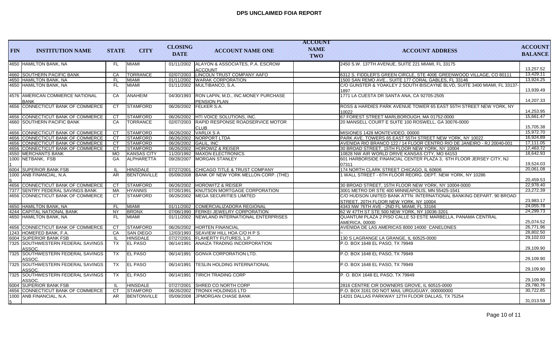| <b>FIN</b> | <b>INSTITUTION NAME</b>                          | <b>STATE</b> | <b>CITY</b>        | <b>CLOSING</b><br><b>DATE</b> | <b>ACCOUNT NAME ONE</b>                                    | <b>ACCOUNT</b><br><b>NAME</b><br><b>TWO</b> | <b>ACCOUNT ADDRESS</b>                                                                                       | <b>ACCOUNT</b><br><b>BALANCE</b> |
|------------|--------------------------------------------------|--------------|--------------------|-------------------------------|------------------------------------------------------------|---------------------------------------------|--------------------------------------------------------------------------------------------------------------|----------------------------------|
|            | 4650 HAMILTON BANK, NA                           | FL.          | <b>MIAMI</b>       | 01/11/2002                    | ALAYON & ASSOCIATES, P.A. ESCROW<br><b>ACCOUNT</b>         |                                             | 2450 S.W. 137TH AVENUE, SUITE 221 MIAMI, FL 33175                                                            | 13,257.52                        |
|            | 4660 SOUTHERN PACIFIC BANK                       | CA           | TORRANCE           |                               | 02/07/2003 LINCOLN TRUST COMPANY AAFO                      |                                             | 6312 S. FIDDLER'S GREEN CIRCLE, STE 400E GREENWOOD VILLAGE, CO 80111                                         | 13,429.11                        |
|            | 4650 HAMILTON BANK, NA                           | FL           | <b>MIAMI</b>       |                               | 01/11/2002 WARAK CORPORATION                               |                                             | 1500 SAN REMO AVE., SUITE 177 CORAL GABLES, FL 33146                                                         | 13,924.25                        |
|            | 4650 HAMILTON BANK, NA                           | <b>FL</b>    | <b>MIAMI</b>       |                               | 01/11/2002 MULTIBANCO, S.A.                                |                                             | C/O GUNSTER & YOAKLEY 2 SOUTH BISCAYNE BLVD, SUITE 3400 MIAMI, FL 33137-<br>1897                             | 13,939.49                        |
|            | 4576   AMERICAN COMMERCE NATIONAL<br><b>BANK</b> | CA           | ANAHEIM            | 04/30/1993                    | RON LAPIN, M.D., INC.MONEY PURCHASE<br><b>PENSION PLAN</b> |                                             | 1771 LA CUESTA DR SANTA ANA, CA 92705-2505                                                                   | 14,207.33                        |
|            | 4656 CONNECTICUT BANK OF COMMERCE                | <b>CT</b>    | <b>STAMFORD</b>    |                               | 06/26/2002 FELKER S.A.                                     |                                             | ROSS & HARDIES PARK AVENUE TOWER 65 EAST 55TH STREET NEW YORK, NY<br>10022                                   | 14,253.95                        |
|            | 4656 CONNECTICUT BANK OF COMMERCE                | CT           | <b>STAMFORD</b>    |                               | 06/26/2002 HTI VOICE SOLUTIONS, INC.                       |                                             | 67 FOREST STREET MARLBOROUGH, MA 01752-0000                                                                  | 15,661.47                        |
|            | 4660 SOUTHERN PACIFIC BANK                       | CA           | <b>TORRANCE</b>    | 02/07/2003                    | RAPID RESPONSE ROADSERVICE MOTOR<br><b>CLUB</b>            |                                             | 20 MANSELL COURT E SUITE 100 ROSWELL, GA 30076-0000                                                          | 15.705.38                        |
|            | 4656 CONNECTICUT BANK OF COMMERCE                | CT           | <b>STAMFORD</b>    |                               | 06/26/2002 VARLIX S A                                      |                                             | MISIONES 1428 MONTEVIDEO, 00000                                                                              | 15,972.70                        |
|            | 4656 CONNECTICUT BANK OF COMMERCE                | CT.          | <b>STAMFORD</b>    |                               | 06/26/2002 NORPORT LTDA                                    |                                             | PARK AVE. TOWERS 65 EAST 55TH STREET NEW YORK, NY 10022                                                      | 16.924.89                        |
|            | 4656 CONNECTICUT BANK OF COMMERCE                | CT.          | STAMFORD           | 06/26/2002 GALIL, INC         |                                                            |                                             | AVENIDA RIO BRANCO 122 / 14 FLOOR CENTRO RIO DE JANEIRO - RJ 20040-001                                       | 17,111.05                        |
|            | 4656 CONNECTICUT BANK OF COMMERCE                | CT.          | <b>STAMFORD</b>    |                               | 06/26/2002 HOROWIZ & REISER                                |                                             | 30 BROAD STREET, 15TH FLOOR NEW YORK, NY 10004                                                               | 17.463.72                        |
|            | 4550 MERCHANTS BANK                              | <b>MO</b>    | <b>KANSAS CITY</b> |                               | 11/20/1992   MAXON ELECTRONICS                             |                                             | 10828 NW AIR WORLD DRIVE KANSAS CITY, MO 64153                                                               | 18,642.93                        |
|            | 1000 NETBANK, FSB                                | <b>GA</b>    | ALPHARETTA         |                               | 09/28/2007 MORGAN STANLEY                                  |                                             | 601 HARBORSIDE FINANCIAL CENTER PLAZA 3, 6TH FLOOR JERSEY CITY, NJ                                           |                                  |
|            |                                                  |              |                    |                               |                                                            |                                             | 07311                                                                                                        | 19,524.03                        |
|            | 6004 SUPERIOR BANK FSB                           | H.           | <b>HINSDALE</b>    |                               | 07/27/2001 CHICAGO TITLE & TRUST COMPANY                   |                                             | 174 NORTH CLARK STREET CHICAGO, IL 60606                                                                     | 20.061.08                        |
|            | 1000 ANB FINANCIAL, N.A.                         | AR           | <b>BENTONVILLE</b> |                               | 05/09/2008 BANK OF NEW YORK MELLON CORP. (THE)             |                                             | 1 WALL STREET - 6TH FLOOR REORG. DEPT. NEW YORK, NY 10286                                                    | 20.459.53                        |
|            | 4656 CONNECTICUT BANK OF COMMERCE                | <b>CT</b>    | <b>STAMFORD</b>    |                               | 06/26/2002 HOROWITZ & REISER                               |                                             | 30 BROAD STREET, 15TH FLOOR NEW YORK, NY 10004-0000                                                          | 22,978.40                        |
|            | 7377 SENTRY FEDERAL SAVINGS BANK                 | MA           | <b>HYANNIS</b>     |                               | 07/26/1991 KNUTSON MORTGAGE CORPORATION                    |                                             | 3001 METRO DR STE 400 MINNEAPOLIS. MN 55425-1541                                                             | 23,272.39                        |
|            | 4656 CONNECTICUT BANK OF COMMERCE                | <b>CT</b>    | <b>STAMFORD</b>    |                               | 06/26/2002 MEGA SECURITIES LIMITED                         |                                             | C/O HUDSON UNITED BANK ATTN: INTERNATIONAL BANKING DEPART. 90 BROAD<br>STREET, 20TH FLOOR NEW YORK, NY 10004 | 23,983.17                        |
|            | 4650 HAMILTON BANK, NA                           | <b>FL</b>    | <b>MIAMI</b>       |                               | 01/11/2002 COMERCIALIZADORA REGIONAL                       |                                             | 4343 NW 76TH AVE - 2ND FL MIAMI, FL 33166                                                                    | 24,055.78                        |
|            | 4244 CAPITAL NATIONAL BANK                       | <b>NY</b>    | <b>BRONX</b>       |                               | 07/06/1990 FERKEI JEWELRY CORPORATION                      |                                             | 62 W 47TH ST STE 500 NEW YORK, NY 10036-3201                                                                 | 24,299.73                        |
|            | 4650 HAMILTON BANK, NA                           | FL.          | <b>MIAMI</b>       |                               | 01/11/2002 NEWLAND INTERNATIONAL ENTERPRISES               |                                             | QUANTUM PLAZA 2 PISO CALLE 53 ESTE MARBELLA, PANAMA CENTRAL<br><b>AMERICA, 00000</b>                         | 25,074.52                        |
|            | 4656 CONNECTICUT BANK OF COMMERCE                | <b>CT</b>    | STAMFORD           |                               | 06/26/2002 HORTEN FINANCIAL                                |                                             | AVENIDA DE LAS AMERICAS 8000 14000 CANELONES                                                                 | 26,771.96                        |
|            | 1243 HOMEFED BANK. F.A.                          | CA           | <b>SAN DIEGO</b>   |                               | 12/03/1993 SEAVIEW HILL HOA C/O H P S                      |                                             |                                                                                                              | 28,802.50                        |
|            | 6004 SUPERIOR BANK FSB                           | -IL          | <b>HINSDALE</b>    |                               | 07/27/2001 FLAHERTY FUTURES, L.P.                          |                                             | 130 S LAGRANGE LA GRANGE. IL 60525-0000                                                                      | 29,102.03                        |
|            | 7325 SOUTHWESTERN FEDERAL SAVINGS<br>ASSOC.      | <b>TX</b>    | <b>EL PASO</b>     | 06/14/1991                    | ANAIZA TRADING INCORPORATION                               |                                             | P.O. BOX 1648 EL PASO, TX 79949                                                                              | 29.109.90                        |
|            | 7325 SOUTHWESTERN FEDERAL SAVINGS<br>ASSOC.      | <b>TX</b>    | <b>EL PASO</b>     | 06/14/1991                    | <b>GONVA CORPORATION LTD.</b>                              |                                             | P.O. BOX 1648 EL PASO, TX 79949                                                                              | 29.109.90                        |
|            | 7325 SOUTHWESTERN FEDERAL SAVINGS<br>ASSOC.      | <b>TX</b>    | <b>EL PASO</b>     | 06/14/1991                    | <b>TESLIN HOLDING INTERNATIONAL</b>                        |                                             | P.O. BOX 1648 EL PASO, TX 79949                                                                              | 29,109.90                        |
|            | 7325 SOUTHWESTERN FEDERAL SAVINGS<br>ASSOC.      | <b>TX</b>    | <b>EL PASO</b>     | 06/14/1991                    | <b>TIRICH TRADING CORP</b>                                 |                                             | P.O. BOX 1648 EL PASO, TX 79949                                                                              | 29,109.90                        |
|            | 6004 SUPERIOR BANK FSB                           | -IL          | HINSDALE           |                               | 07/27/2001 SHRED CO NORTH CORP                             |                                             | 2816 CENTRE CIR DOWNERS GROVE, IL 60515-0000                                                                 | 29,780.76                        |
|            | 4656 CONNECTICUT BANK OF COMMERCE                | CT           | <b>STAMFORD</b>    |                               | 06/26/2002 TRONIX HOLDINGS LTD                             |                                             | P.O. BOX 3161 DO NOT MAIL URGUGUAY, 000000000                                                                | 30,722.85                        |
|            | 1000 ANB FINANCIAL, N.A.                         | AR           | <b>BENTONVILLE</b> |                               | 05/09/2008 JPMORGAN CHASE BANK                             |                                             | 14201 DALLAS PARKWAY 12TH FLOOR DALLAS, TX 75254                                                             | 31,013.59                        |